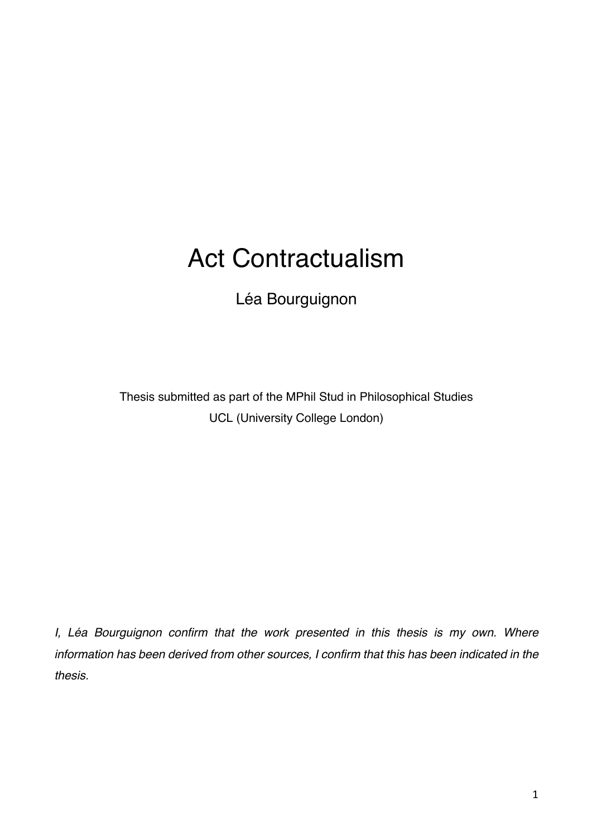# Act Contractualism

Léa Bourguignon

Thesis submitted as part of the MPhil Stud in Philosophical Studies UCL (University College London)

*I, Léa Bourguignon confirm that the work presented in this thesis is my own. Where information has been derived from other sources, I confirm that this has been indicated in the thesis.*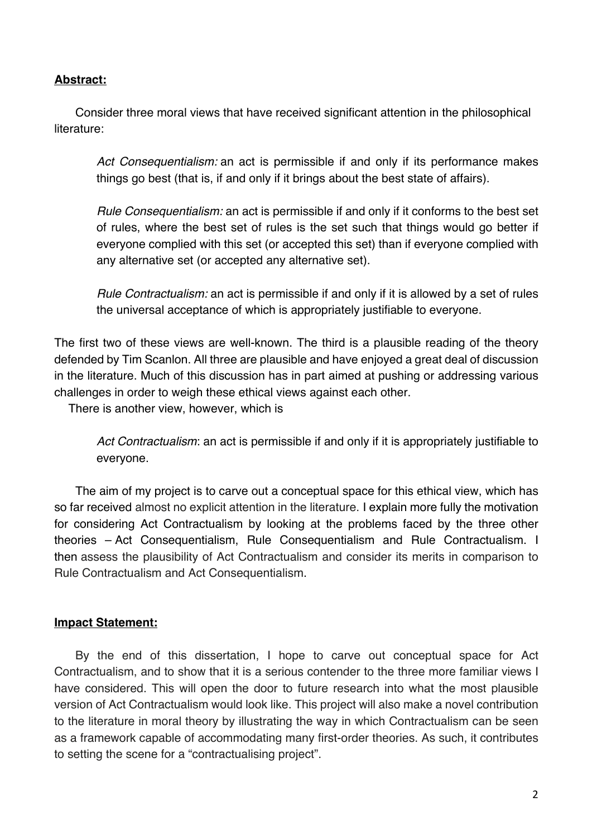# **Abstract:**

Consider three moral views that have received significant attention in the philosophical literature:

*Act Consequentialism:* an act is permissible if and only if its performance makes things go best (that is, if and only if it brings about the best state of affairs).

*Rule Consequentialism:* an act is permissible if and only if it conforms to the best set of rules, where the best set of rules is the set such that things would go better if everyone complied with this set (or accepted this set) than if everyone complied with any alternative set (or accepted any alternative set).

*Rule Contractualism:* an act is permissible if and only if it is allowed by a set of rules the universal acceptance of which is appropriately justifiable to everyone.

The first two of these views are well-known. The third is a plausible reading of the theory defended by Tim Scanlon. All three are plausible and have enjoyed a great deal of discussion in the literature. Much of this discussion has in part aimed at pushing or addressing various challenges in order to weigh these ethical views against each other.

There is another view, however, which is

*Act Contractualism*: an act is permissible if and only if it is appropriately justifiable to everyone.

The aim of my project is to carve out a conceptual space for this ethical view, which has so far received almost no explicit attention in the literature. I explain more fully the motivation for considering Act Contractualism by looking at the problems faced by the three other theories – Act Consequentialism, Rule Consequentialism and Rule Contractualism. I then assess the plausibility of Act Contractualism and consider its merits in comparison to Rule Contractualism and Act Consequentialism.

# **Impact Statement:**

By the end of this dissertation, I hope to carve out conceptual space for Act Contractualism, and to show that it is a serious contender to the three more familiar views I have considered. This will open the door to future research into what the most plausible version of Act Contractualism would look like. This project will also make a novel contribution to the literature in moral theory by illustrating the way in which Contractualism can be seen as a framework capable of accommodating many first-order theories. As such, it contributes to setting the scene for a "contractualising project".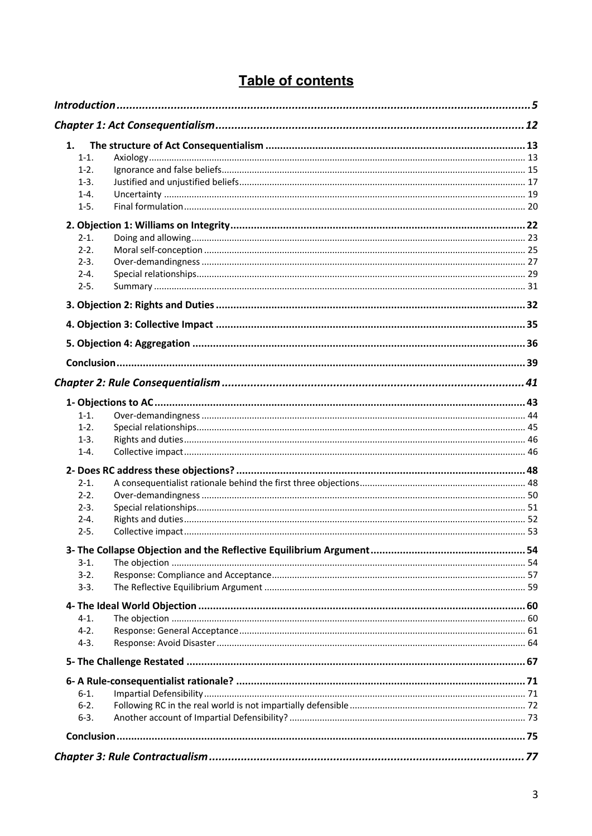# Table of contents

| 1.        |  |
|-----------|--|
| $1-1.$    |  |
| $1-2.$    |  |
| $1-3.$    |  |
| $1 - 4.$  |  |
| $1-5.$    |  |
|           |  |
| $2 - 1$ . |  |
| $2 - 2$ . |  |
| $2 - 3$ . |  |
| $2 - 4.$  |  |
| $2-5.$    |  |
|           |  |
|           |  |
|           |  |
|           |  |
|           |  |
|           |  |
|           |  |
| $1-1.$    |  |
| $1-2.$    |  |
| $1-3.$    |  |
| $1 - 4.$  |  |
|           |  |
| $2-1.$    |  |
| $2 - 2$ . |  |
| $2 - 3$ . |  |
| $2 - 4.$  |  |
| $2 - 5.$  |  |
|           |  |
| $3-1.$    |  |
| $3-2.$    |  |
| $3-3.$    |  |
|           |  |
| $4-1.$    |  |
| $4-2.$    |  |
| $4-3.$    |  |
|           |  |
|           |  |
| $6-1.$    |  |
| $6-2.$    |  |
| $6 - 3.$  |  |
|           |  |
|           |  |
|           |  |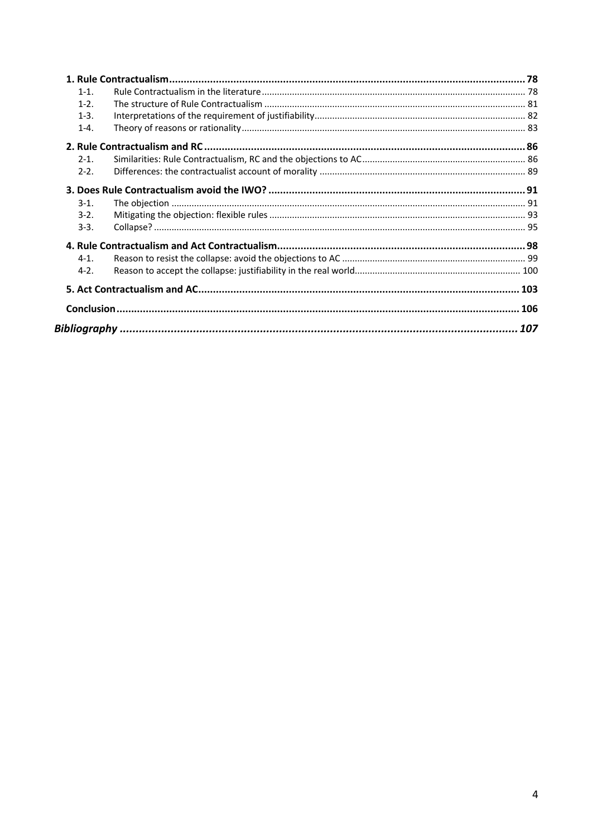| $1 - 1$ . |  |  |
|-----------|--|--|
| $1 - 2$   |  |  |
| $1-3.$    |  |  |
| $1 - 4$ . |  |  |
|           |  |  |
| $2 - 1$ . |  |  |
| $2 - 2$ . |  |  |
|           |  |  |
| $3-1.$    |  |  |
| $3-2.$    |  |  |
| $3-3.$    |  |  |
|           |  |  |
| $4 - 1$ . |  |  |
| $4-2.$    |  |  |
|           |  |  |
|           |  |  |
|           |  |  |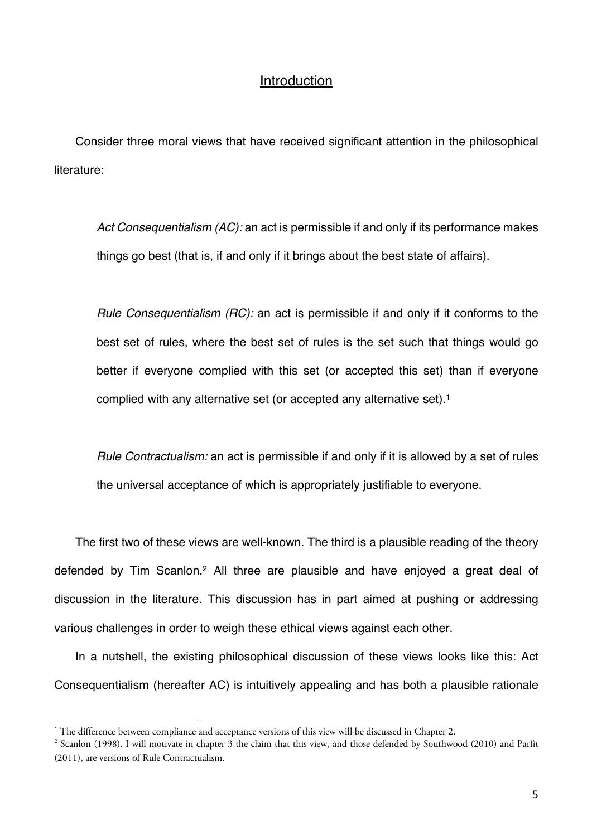# Introduction

Consider three moral views that have received significant attention in the philosophical literature:

*Act Consequentialism (AC):* an act is permissible if and only if its performance makes things go best (that is, if and only if it brings about the best state of affairs).

*Rule Consequentialism (RC):* an act is permissible if and only if it conforms to the best set of rules, where the best set of rules is the set such that things would go better if everyone complied with this set (or accepted this set) than if everyone complied with any alternative set (or accepted any alternative set).<sup>1</sup>

*Rule Contractualism:* an act is permissible if and only if it is allowed by a set of rules the universal acceptance of which is appropriately justifiable to everyone.

The first two of these views are well-known. The third is a plausible reading of the theory defended by Tim Scanlon.2 All three are plausible and have enjoyed a great deal of discussion in the literature. This discussion has in part aimed at pushing or addressing various challenges in order to weigh these ethical views against each other.

In a nutshell, the existing philosophical discussion of these views looks like this: Act Consequentialism (hereafter AC) is intuitively appealing and has both a plausible rationale

<sup>&</sup>lt;sup>1</sup> The difference between compliance and acceptance versions of this view will be discussed in Chapter 2.

<sup>2</sup> Scanlon (1998). I will motivate in chapter 3 the claim that this view, and those defended by Southwood (2010) and Parfit (2011), are versions of Rule Contractualism.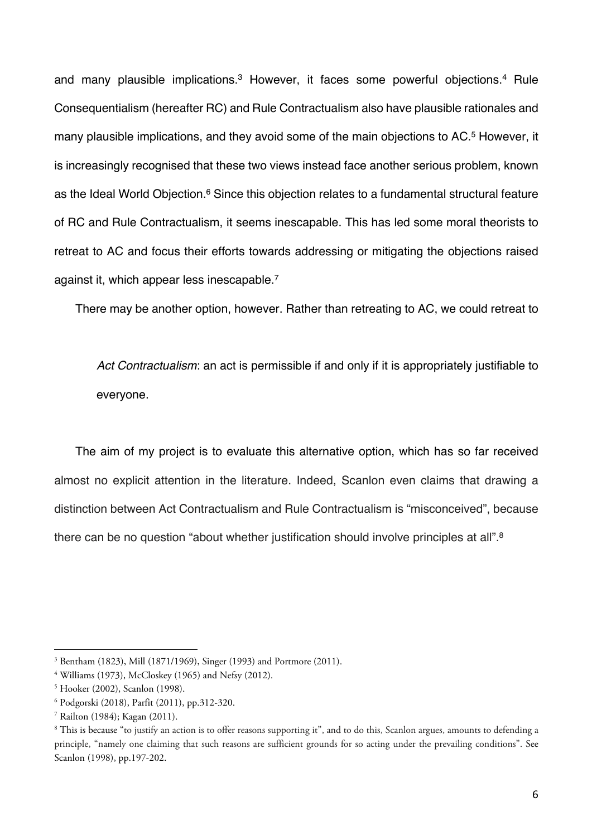and many plausible implications.<sup>3</sup> However, it faces some powerful objections.<sup>4</sup> Rule Consequentialism (hereafter RC) and Rule Contractualism also have plausible rationales and many plausible implications, and they avoid some of the main objections to AC.<sup>5</sup> However, it is increasingly recognised that these two views instead face another serious problem, known as the Ideal World Objection.<sup>6</sup> Since this objection relates to a fundamental structural feature of RC and Rule Contractualism, it seems inescapable. This has led some moral theorists to retreat to AC and focus their efforts towards addressing or mitigating the objections raised against it, which appear less inescapable.7

There may be another option, however. Rather than retreating to AC, we could retreat to

*Act Contractualism*: an act is permissible if and only if it is appropriately justifiable to everyone.

The aim of my project is to evaluate this alternative option, which has so far received almost no explicit attention in the literature. Indeed, Scanlon even claims that drawing a distinction between Act Contractualism and Rule Contractualism is "misconceived", because there can be no question "about whether justification should involve principles at all".<sup>8</sup>

<sup>3</sup> Bentham (1823), Mill (1871/1969), Singer (1993) and Portmore (2011).

<sup>4</sup> Williams (1973), McCloskey (1965) and Nefsy (2012).

<sup>5</sup> Hooker (2002), Scanlon (1998).

<sup>6</sup> Podgorski (2018), Parfit (2011), pp.312-320.

<sup>7</sup> Railton (1984); Kagan (2011).

<sup>8</sup> This is because "to justify an action is to offer reasons supporting it", and to do this, Scanlon argues, amounts to defending a principle, "namely one claiming that such reasons are sufficient grounds for so acting under the prevailing conditions". See Scanlon (1998), pp.197-202.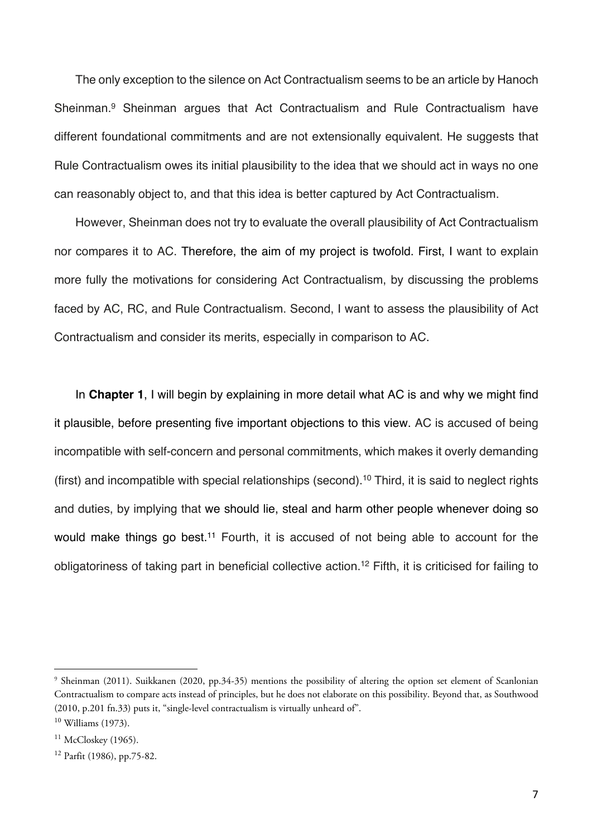The only exception to the silence on Act Contractualism seems to be an article by Hanoch Sheinman.9 Sheinman argues that Act Contractualism and Rule Contractualism have different foundational commitments and are not extensionally equivalent. He suggests that Rule Contractualism owes its initial plausibility to the idea that we should act in ways no one can reasonably object to, and that this idea is better captured by Act Contractualism.

However, Sheinman does not try to evaluate the overall plausibility of Act Contractualism nor compares it to AC. Therefore, the aim of my project is twofold. First, I want to explain more fully the motivations for considering Act Contractualism, by discussing the problems faced by AC, RC, and Rule Contractualism. Second, I want to assess the plausibility of Act Contractualism and consider its merits, especially in comparison to AC.

In **Chapter 1**, I will begin by explaining in more detail what AC is and why we might find it plausible, before presenting five important objections to this view. AC is accused of being incompatible with self-concern and personal commitments, which makes it overly demanding (first) and incompatible with special relationships (second).10 Third, it is said to neglect rights and duties, by implying that we should lie, steal and harm other people whenever doing so would make things go best.<sup>11</sup> Fourth, it is accused of not being able to account for the obligatoriness of taking part in beneficial collective action.12 Fifth, it is criticised for failing to

<sup>9</sup> Sheinman (2011). Suikkanen (2020, pp.34-35) mentions the possibility of altering the option set element of Scanlonian Contractualism to compare acts instead of principles, but he does not elaborate on this possibility. Beyond that, as Southwood (2010, p.201 fn.33) puts it, "single-level contractualism is virtually unheard of". <sup>10</sup> Williams (1973).

 $11$  McCloskey (1965).

<sup>12</sup> Parfit (1986), pp.75-82.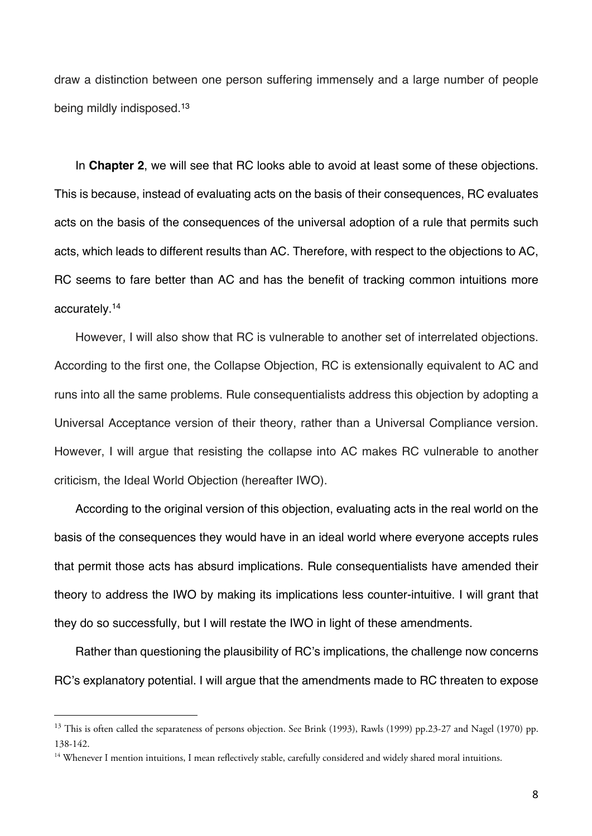draw a distinction between one person suffering immensely and a large number of people being mildly indisposed.13

In **Chapter 2**, we will see that RC looks able to avoid at least some of these objections. This is because, instead of evaluating acts on the basis of their consequences, RC evaluates acts on the basis of the consequences of the universal adoption of a rule that permits such acts, which leads to different results than AC. Therefore, with respect to the objections to AC, RC seems to fare better than AC and has the benefit of tracking common intuitions more accurately.14

However, I will also show that RC is vulnerable to another set of interrelated objections. According to the first one, the Collapse Objection, RC is extensionally equivalent to AC and runs into all the same problems. Rule consequentialists address this objection by adopting a Universal Acceptance version of their theory, rather than a Universal Compliance version. However, I will argue that resisting the collapse into AC makes RC vulnerable to another criticism, the Ideal World Objection (hereafter IWO).

According to the original version of this objection, evaluating acts in the real world on the basis of the consequences they would have in an ideal world where everyone accepts rules that permit those acts has absurd implications. Rule consequentialists have amended their theory to address the IWO by making its implications less counter-intuitive. I will grant that they do so successfully, but I will restate the IWO in light of these amendments.

Rather than questioning the plausibility of RC's implications, the challenge now concerns RC's explanatory potential. I will argue that the amendments made to RC threaten to expose

<sup>&</sup>lt;sup>13</sup> This is often called the separateness of persons objection. See Brink (1993), Rawls (1999) pp.23-27 and Nagel (1970) pp. 138-142.

 $14$  Whenever I mention intuitions, I mean reflectively stable, carefully considered and widely shared moral intuitions.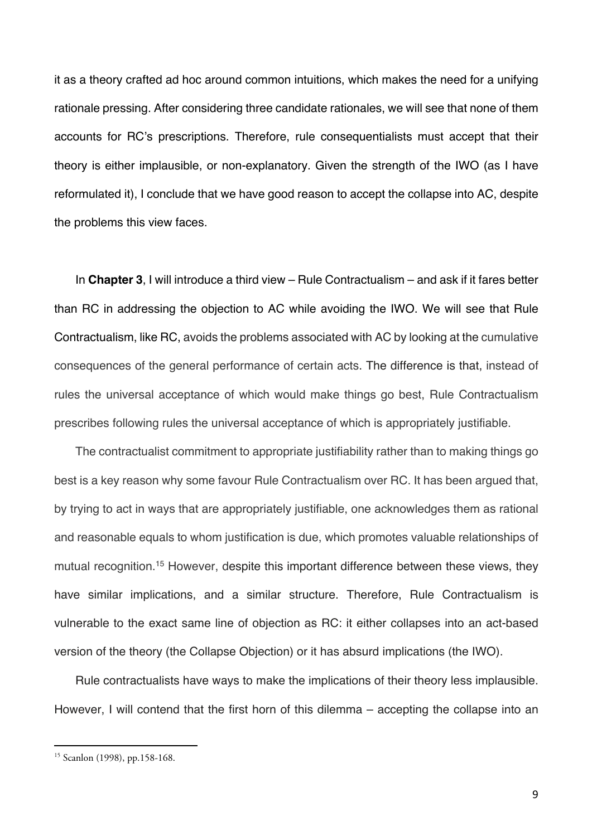it as a theory crafted ad hoc around common intuitions, which makes the need for a unifying rationale pressing. After considering three candidate rationales, we will see that none of them accounts for RC's prescriptions. Therefore, rule consequentialists must accept that their theory is either implausible, or non-explanatory. Given the strength of the IWO (as I have reformulated it), I conclude that we have good reason to accept the collapse into AC, despite the problems this view faces.

In **Chapter 3**, I will introduce a third view – Rule Contractualism – and ask if it fares better than RC in addressing the objection to AC while avoiding the IWO. We will see that Rule Contractualism, like RC, avoids the problems associated with AC by looking at the cumulative consequences of the general performance of certain acts. The difference is that, instead of rules the universal acceptance of which would make things go best, Rule Contractualism prescribes following rules the universal acceptance of which is appropriately justifiable.

The contractualist commitment to appropriate justifiability rather than to making things go best is a key reason why some favour Rule Contractualism over RC. It has been argued that, by trying to act in ways that are appropriately justifiable, one acknowledges them as rational and reasonable equals to whom justification is due, which promotes valuable relationships of mutual recognition.15 However, despite this important difference between these views, they have similar implications, and a similar structure. Therefore, Rule Contractualism is vulnerable to the exact same line of objection as RC: it either collapses into an act-based version of the theory (the Collapse Objection) or it has absurd implications (the IWO).

Rule contractualists have ways to make the implications of their theory less implausible. However, I will contend that the first horn of this dilemma – accepting the collapse into an

<sup>15</sup> Scanlon (1998), pp.158-168.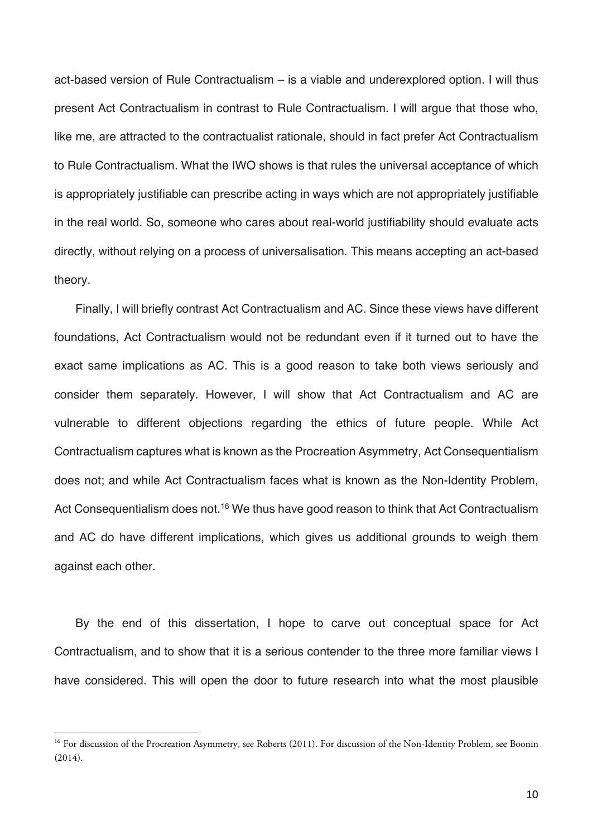act-based version of Rule Contractualism – is a viable and underexplored option. I will thus present Act Contractualism in contrast to Rule Contractualism. I will argue that those who, like me, are attracted to the contractualist rationale, should in fact prefer Act Contractualism to Rule Contractualism. What the IWO shows is that rules the universal acceptance of which is appropriately justifiable can prescribe acting in ways which are not appropriately justifiable in the real world. So, someone who cares about real-world justifiability should evaluate acts directly, without relying on a process of universalisation. This means accepting an act-based theory.

Finally, I will briefly contrast Act Contractualism and AC. Since these views have different foundations, Act Contractualism would not be redundant even if it turned out to have the exact same implications as AC. This is a good reason to take both views seriously and consider them separately. However, I will show that Act Contractualism and AC are vulnerable to different objections regarding the ethics of future people. While Act Contractualism captures what is known as the Procreation Asymmetry, Act Consequentialism does not; and while Act Contractualism faces what is known as the Non-Identity Problem, Act Consequentialism does not.<sup>16</sup> We thus have good reason to think that Act Contractualism and AC do have different implications, which gives us additional grounds to weigh them against each other.

By the end of this dissertation, I hope to carve out conceptual space for Act Contractualism, and to show that it is a serious contender to the three more familiar views I have considered. This will open the door to future research into what the most plausible

<sup>&</sup>lt;sup>16</sup> For discussion of the Procreation Asymmetry, see Roberts (2011). For discussion of the Non-Identity Problem, see Boonin (2014).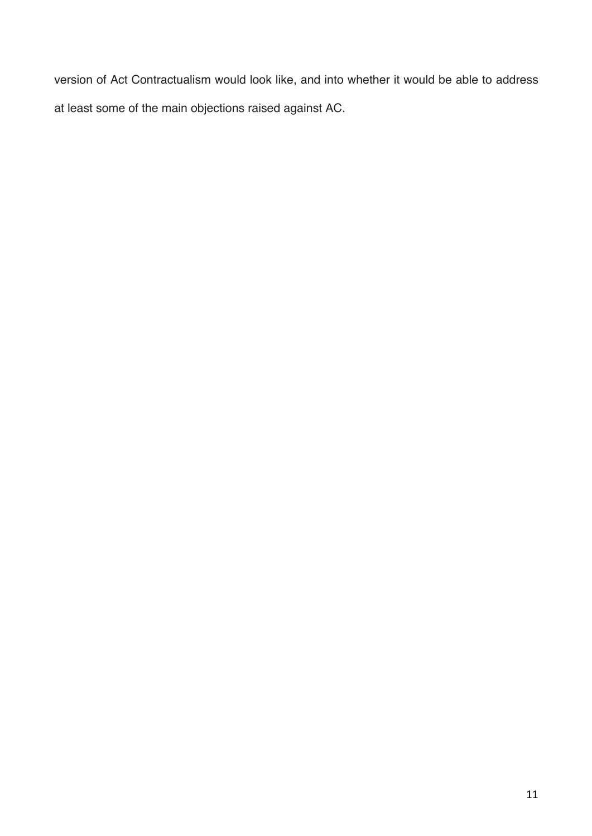version of Act Contractualism would look like, and into whether it would be able to address at least some of the main objections raised against AC.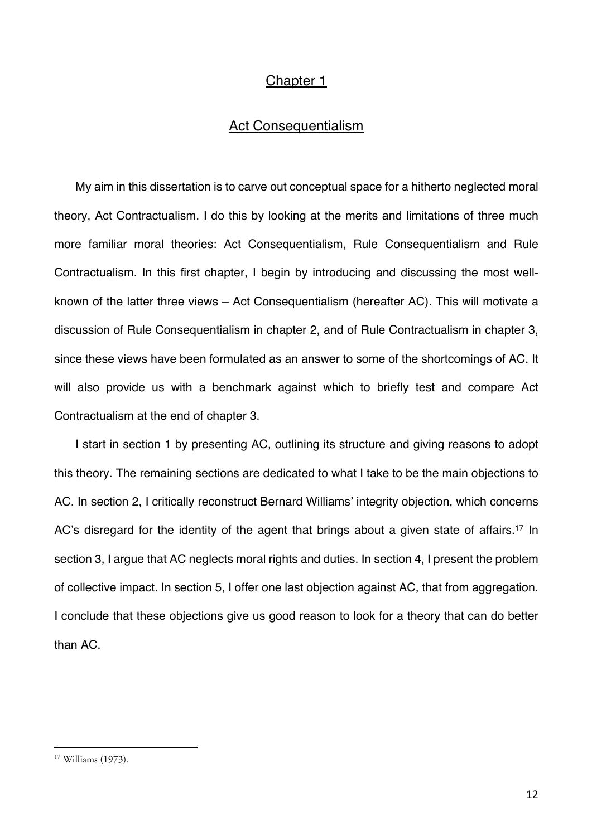# Chapter 1

# Act Consequentialism

My aim in this dissertation is to carve out conceptual space for a hitherto neglected moral theory, Act Contractualism. I do this by looking at the merits and limitations of three much more familiar moral theories: Act Consequentialism, Rule Consequentialism and Rule Contractualism. In this first chapter, I begin by introducing and discussing the most wellknown of the latter three views – Act Consequentialism (hereafter AC). This will motivate a discussion of Rule Consequentialism in chapter 2, and of Rule Contractualism in chapter 3, since these views have been formulated as an answer to some of the shortcomings of AC. It will also provide us with a benchmark against which to briefly test and compare Act Contractualism at the end of chapter 3.

I start in section 1 by presenting AC, outlining its structure and giving reasons to adopt this theory. The remaining sections are dedicated to what I take to be the main objections to AC. In section 2, I critically reconstruct Bernard Williams' integrity objection, which concerns AC's disregard for the identity of the agent that brings about a given state of affairs.<sup>17</sup> In section 3, I argue that AC neglects moral rights and duties. In section 4, I present the problem of collective impact. In section 5, I offer one last objection against AC, that from aggregation. I conclude that these objections give us good reason to look for a theory that can do better than AC.

<sup>17</sup> Williams (1973).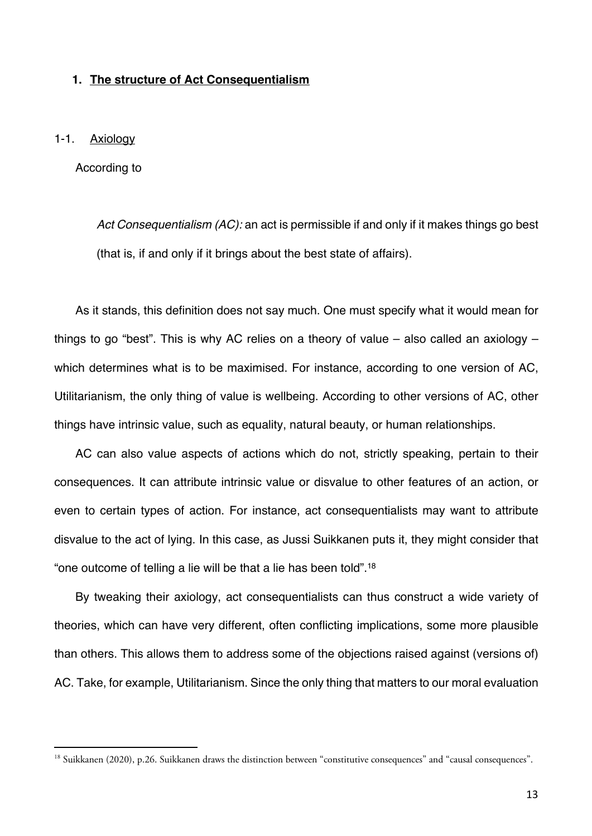## **1. The structure of Act Consequentialism**

#### 1-1. Axiology

According to

*Act Consequentialism (AC):* an act is permissible if and only if it makes things go best (that is, if and only if it brings about the best state of affairs).

As it stands, this definition does not say much. One must specify what it would mean for things to go "best". This is why AC relies on a theory of value – also called an axiology – which determines what is to be maximised. For instance, according to one version of AC, Utilitarianism, the only thing of value is wellbeing. According to other versions of AC, other things have intrinsic value, such as equality, natural beauty, or human relationships.

AC can also value aspects of actions which do not, strictly speaking, pertain to their consequences. It can attribute intrinsic value or disvalue to other features of an action, or even to certain types of action. For instance, act consequentialists may want to attribute disvalue to the act of lying. In this case, as Jussi Suikkanen puts it, they might consider that "one outcome of telling a lie will be that a lie has been told".18

By tweaking their axiology, act consequentialists can thus construct a wide variety of theories, which can have very different, often conflicting implications, some more plausible than others. This allows them to address some of the objections raised against (versions of) AC. Take, for example, Utilitarianism. Since the only thing that matters to our moral evaluation

<sup>&</sup>lt;sup>18</sup> Suikkanen (2020), p.26. Suikkanen draws the distinction between "constitutive consequences" and "causal consequences".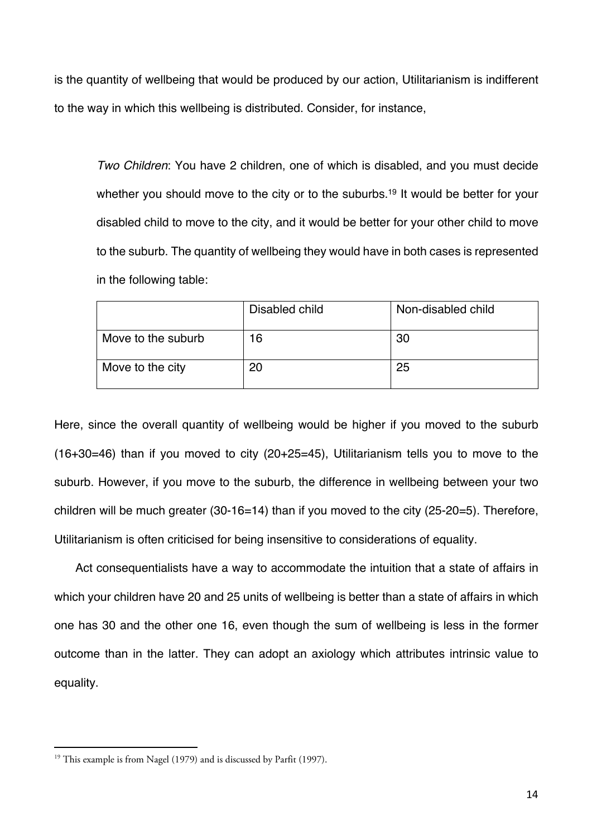is the quantity of wellbeing that would be produced by our action, Utilitarianism is indifferent to the way in which this wellbeing is distributed. Consider, for instance,

*Two Children*: You have 2 children, one of which is disabled, and you must decide whether you should move to the city or to the suburbs.<sup>19</sup> It would be better for your disabled child to move to the city, and it would be better for your other child to move to the suburb. The quantity of wellbeing they would have in both cases is represented in the following table:

|                    | Disabled child | Non-disabled child |
|--------------------|----------------|--------------------|
| Move to the suburb | 16             | 30                 |
| Move to the city   | 20             | 25                 |

Here, since the overall quantity of wellbeing would be higher if you moved to the suburb (16+30=46) than if you moved to city (20+25=45), Utilitarianism tells you to move to the suburb. However, if you move to the suburb, the difference in wellbeing between your two children will be much greater (30-16=14) than if you moved to the city (25-20=5). Therefore, Utilitarianism is often criticised for being insensitive to considerations of equality.

Act consequentialists have a way to accommodate the intuition that a state of affairs in which your children have 20 and 25 units of wellbeing is better than a state of affairs in which one has 30 and the other one 16, even though the sum of wellbeing is less in the former outcome than in the latter. They can adopt an axiology which attributes intrinsic value to equality.

<sup>&</sup>lt;sup>19</sup> This example is from Nagel (1979) and is discussed by Parfit (1997).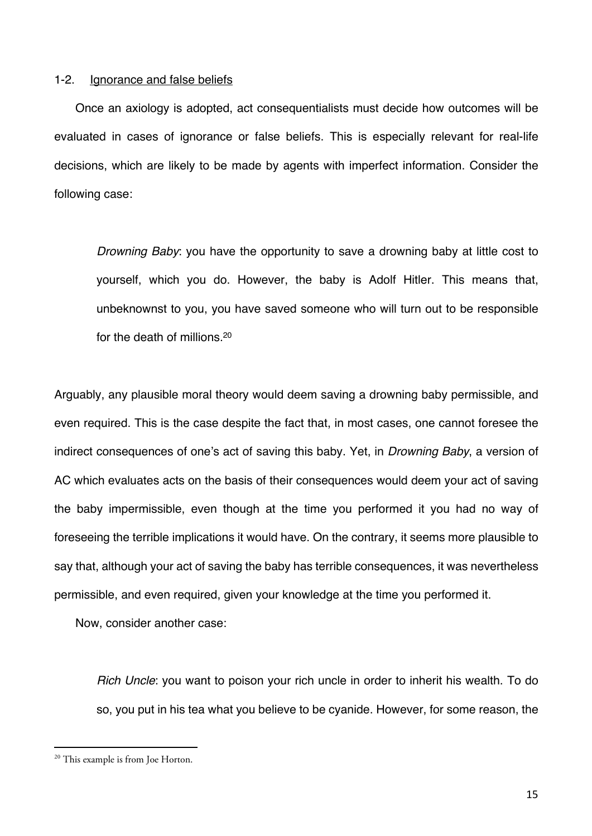#### 1-2. Ignorance and false beliefs

Once an axiology is adopted, act consequentialists must decide how outcomes will be evaluated in cases of ignorance or false beliefs. This is especially relevant for real-life decisions, which are likely to be made by agents with imperfect information. Consider the following case:

*Drowning Baby*: you have the opportunity to save a drowning baby at little cost to yourself, which you do. However, the baby is Adolf Hitler. This means that, unbeknownst to you, you have saved someone who will turn out to be responsible for the death of millions.20

Arguably, any plausible moral theory would deem saving a drowning baby permissible, and even required. This is the case despite the fact that, in most cases, one cannot foresee the indirect consequences of one's act of saving this baby. Yet, in *Drowning Baby*, a version of AC which evaluates acts on the basis of their consequences would deem your act of saving the baby impermissible, even though at the time you performed it you had no way of foreseeing the terrible implications it would have. On the contrary, it seems more plausible to say that, although your act of saving the baby has terrible consequences, it was nevertheless permissible, and even required, given your knowledge at the time you performed it.

Now, consider another case:

*Rich Uncle*: you want to poison your rich uncle in order to inherit his wealth. To do so, you put in his tea what you believe to be cyanide. However, for some reason, the

<sup>&</sup>lt;sup>20</sup> This example is from Joe Horton.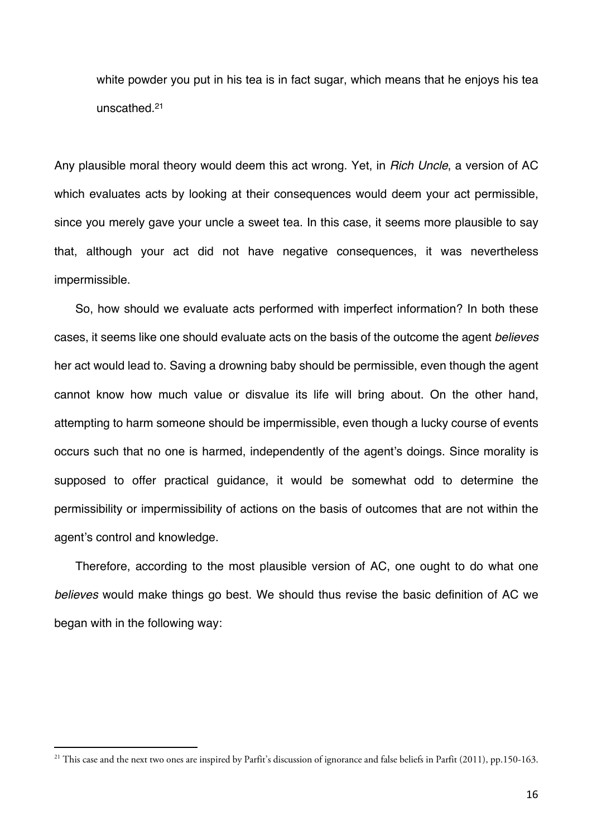white powder you put in his tea is in fact sugar, which means that he enjoys his tea unscathed.21

Any plausible moral theory would deem this act wrong. Yet, in *Rich Uncle*, a version of AC which evaluates acts by looking at their consequences would deem your act permissible, since you merely gave your uncle a sweet tea. In this case, it seems more plausible to say that, although your act did not have negative consequences, it was nevertheless impermissible.

So, how should we evaluate acts performed with imperfect information? In both these cases, it seems like one should evaluate acts on the basis of the outcome the agent *believes*  her act would lead to. Saving a drowning baby should be permissible, even though the agent cannot know how much value or disvalue its life will bring about. On the other hand, attempting to harm someone should be impermissible, even though a lucky course of events occurs such that no one is harmed, independently of the agent's doings. Since morality is supposed to offer practical guidance, it would be somewhat odd to determine the permissibility or impermissibility of actions on the basis of outcomes that are not within the agent's control and knowledge.

Therefore, according to the most plausible version of AC, one ought to do what one *believes* would make things go best. We should thus revise the basic definition of AC we began with in the following way:

<sup>&</sup>lt;sup>21</sup> This case and the next two ones are inspired by Parfit's discussion of ignorance and false beliefs in Parfit (2011), pp.150-163.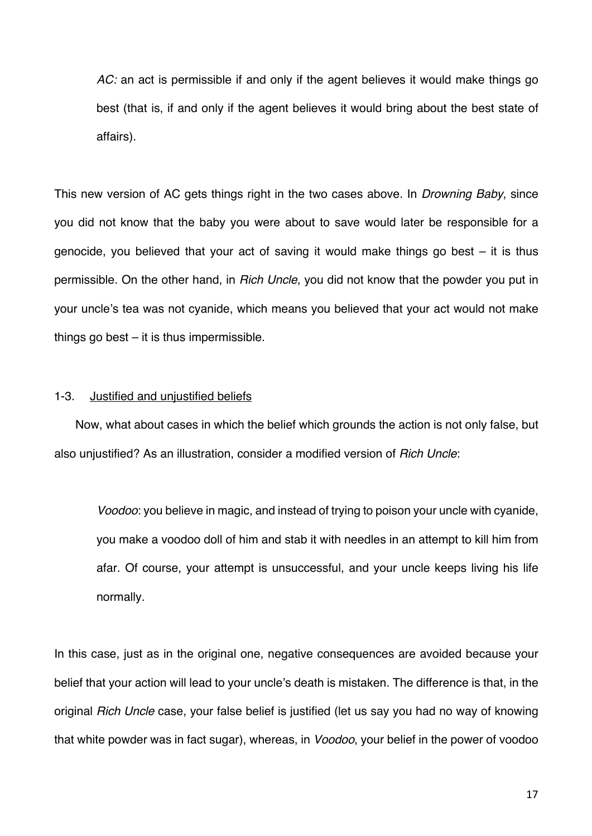*AC:* an act is permissible if and only if the agent believes it would make things go best (that is, if and only if the agent believes it would bring about the best state of affairs).

This new version of AC gets things right in the two cases above. In *Drowning Baby*, since you did not know that the baby you were about to save would later be responsible for a genocide, you believed that your act of saving it would make things go best – it is thus permissible. On the other hand, in *Rich Uncle*, you did not know that the powder you put in your uncle's tea was not cyanide, which means you believed that your act would not make things go best – it is thus impermissible.

### 1-3. Justified and unjustified beliefs

Now, what about cases in which the belief which grounds the action is not only false, but also unjustified? As an illustration, consider a modified version of *Rich Uncle*:

*Voodoo*: you believe in magic, and instead of trying to poison your uncle with cyanide, you make a voodoo doll of him and stab it with needles in an attempt to kill him from afar. Of course, your attempt is unsuccessful, and your uncle keeps living his life normally.

In this case, just as in the original one, negative consequences are avoided because your belief that your action will lead to your uncle's death is mistaken. The difference is that, in the original *Rich Uncle* case, your false belief is justified (let us say you had no way of knowing that white powder was in fact sugar), whereas, in *Voodoo*, your belief in the power of voodoo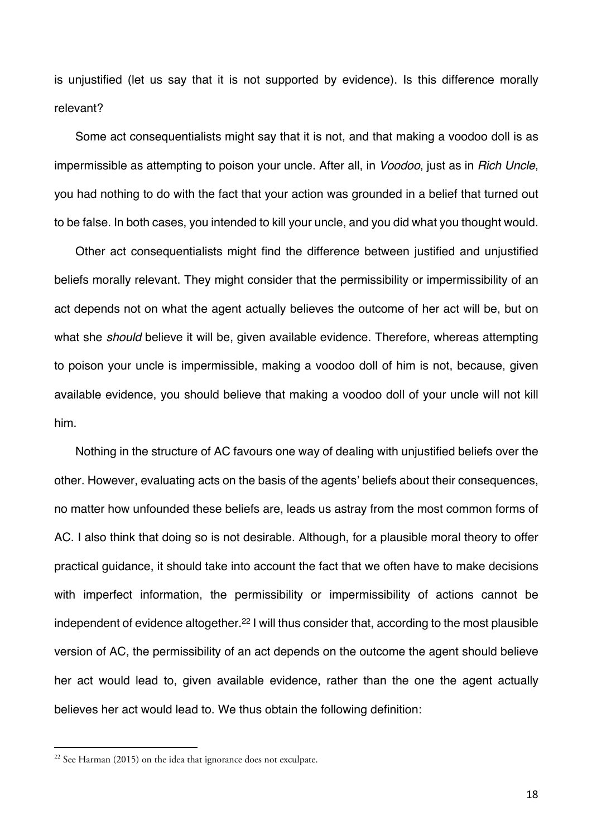is unjustified (let us say that it is not supported by evidence). Is this difference morally relevant?

Some act consequentialists might say that it is not, and that making a voodoo doll is as impermissible as attempting to poison your uncle. After all, in *Voodoo*, just as in *Rich Uncle*, you had nothing to do with the fact that your action was grounded in a belief that turned out to be false. In both cases, you intended to kill your uncle, and you did what you thought would.

Other act consequentialists might find the difference between justified and unjustified beliefs morally relevant. They might consider that the permissibility or impermissibility of an act depends not on what the agent actually believes the outcome of her act will be, but on what she *should* believe it will be, given available evidence. Therefore, whereas attempting to poison your uncle is impermissible, making a voodoo doll of him is not, because, given available evidence, you should believe that making a voodoo doll of your uncle will not kill him.

Nothing in the structure of AC favours one way of dealing with unjustified beliefs over the other. However, evaluating acts on the basis of the agents' beliefs about their consequences, no matter how unfounded these beliefs are, leads us astray from the most common forms of AC. I also think that doing so is not desirable. Although, for a plausible moral theory to offer practical guidance, it should take into account the fact that we often have to make decisions with imperfect information, the permissibility or impermissibility of actions cannot be independent of evidence altogether.<sup>22</sup> I will thus consider that, according to the most plausible version of AC, the permissibility of an act depends on the outcome the agent should believe her act would lead to, given available evidence, rather than the one the agent actually believes her act would lead to. We thus obtain the following definition:

 $22$  See Harman (2015) on the idea that ignorance does not exculpate.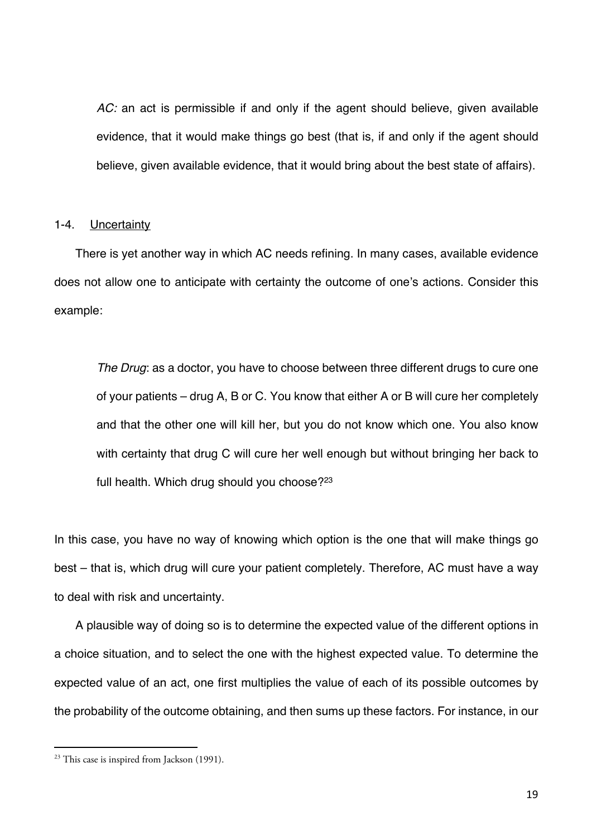*AC:* an act is permissible if and only if the agent should believe, given available evidence, that it would make things go best (that is, if and only if the agent should believe, given available evidence, that it would bring about the best state of affairs).

#### 1-4. Uncertainty

There is yet another way in which AC needs refining. In many cases, available evidence does not allow one to anticipate with certainty the outcome of one's actions. Consider this example:

*The Drug*: as a doctor, you have to choose between three different drugs to cure one of your patients – drug A, B or C. You know that either A or B will cure her completely and that the other one will kill her, but you do not know which one. You also know with certainty that drug C will cure her well enough but without bringing her back to full health. Which drug should you choose?<sup>23</sup>

In this case, you have no way of knowing which option is the one that will make things go best – that is, which drug will cure your patient completely. Therefore, AC must have a way to deal with risk and uncertainty.

A plausible way of doing so is to determine the expected value of the different options in a choice situation, and to select the one with the highest expected value. To determine the expected value of an act, one first multiplies the value of each of its possible outcomes by the probability of the outcome obtaining, and then sums up these factors. For instance, in our

 $23$  This case is inspired from Jackson (1991).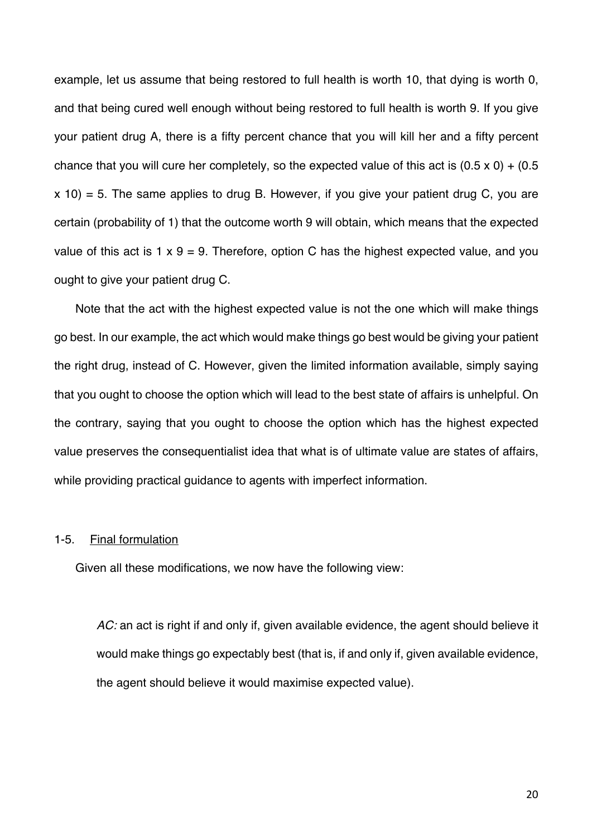example, let us assume that being restored to full health is worth 10, that dying is worth 0, and that being cured well enough without being restored to full health is worth 9. If you give your patient drug A, there is a fifty percent chance that you will kill her and a fifty percent chance that you will cure her completely, so the expected value of this act is  $(0.5 \times 0) + (0.5 \times 10^{-10})$  $x$  10) = 5. The same applies to drug B. However, if you give your patient drug C, you are certain (probability of 1) that the outcome worth 9 will obtain, which means that the expected value of this act is 1  $\times$  9 = 9. Therefore, option C has the highest expected value, and you ought to give your patient drug C.

Note that the act with the highest expected value is not the one which will make things go best. In our example, the act which would make things go best would be giving your patient the right drug, instead of C. However, given the limited information available, simply saying that you ought to choose the option which will lead to the best state of affairs is unhelpful. On the contrary, saying that you ought to choose the option which has the highest expected value preserves the consequentialist idea that what is of ultimate value are states of affairs, while providing practical guidance to agents with imperfect information.

#### 1-5. Final formulation

Given all these modifications, we now have the following view:

*AC:* an act is right if and only if, given available evidence, the agent should believe it would make things go expectably best (that is, if and only if, given available evidence, the agent should believe it would maximise expected value).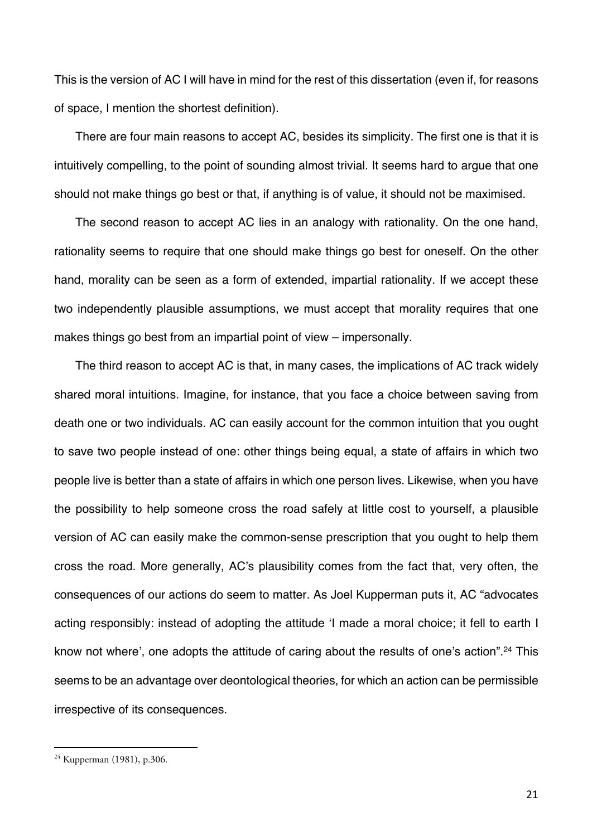This is the version of AC I will have in mind for the rest of this dissertation (even if, for reasons of space, I mention the shortest definition).

There are four main reasons to accept AC, besides its simplicity. The first one is that it is intuitively compelling, to the point of sounding almost trivial. It seems hard to argue that one should not make things go best or that, if anything is of value, it should not be maximised.

The second reason to accept AC lies in an analogy with rationality. On the one hand, rationality seems to require that one should make things go best for oneself. On the other hand, morality can be seen as a form of extended, impartial rationality. If we accept these two independently plausible assumptions, we must accept that morality requires that one makes things go best from an impartial point of view – impersonally.

The third reason to accept AC is that, in many cases, the implications of AC track widely shared moral intuitions. Imagine, for instance, that you face a choice between saving from death one or two individuals. AC can easily account for the common intuition that you ought to save two people instead of one: other things being equal, a state of affairs in which two people live is better than a state of affairs in which one person lives. Likewise, when you have the possibility to help someone cross the road safely at little cost to yourself, a plausible version of AC can easily make the common-sense prescription that you ought to help them cross the road. More generally, AC's plausibility comes from the fact that, very often, the consequences of our actions do seem to matter. As Joel Kupperman puts it, AC "advocates acting responsibly: instead of adopting the attitude 'I made a moral choice; it fell to earth I know not where', one adopts the attitude of caring about the results of one's action".<sup>24</sup> This seems to be an advantage over deontological theories, for which an action can be permissible irrespective of its consequences.

<sup>24</sup> Kupperman (1981), p.306.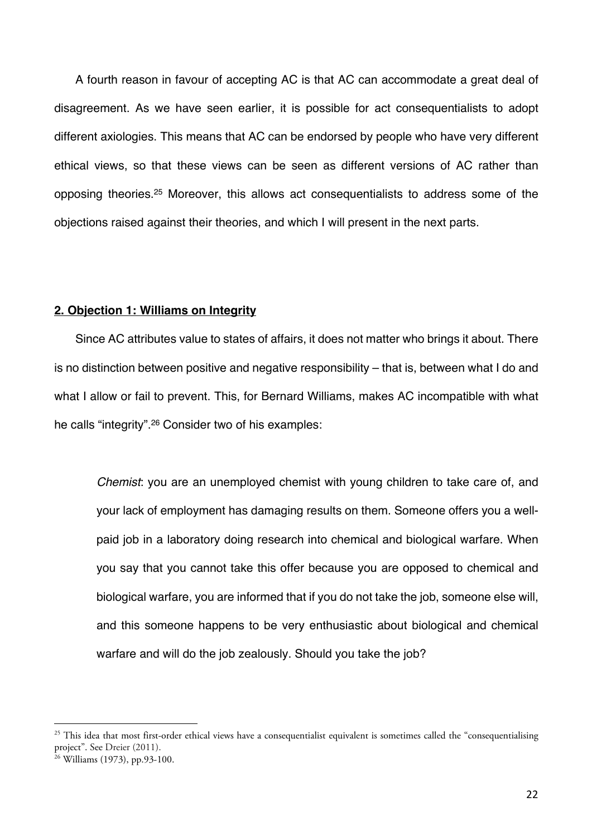A fourth reason in favour of accepting AC is that AC can accommodate a great deal of disagreement. As we have seen earlier, it is possible for act consequentialists to adopt different axiologies. This means that AC can be endorsed by people who have very different ethical views, so that these views can be seen as different versions of AC rather than opposing theories.25 Moreover, this allows act consequentialists to address some of the objections raised against their theories, and which I will present in the next parts.

#### **2. Objection 1: Williams on Integrity**

Since AC attributes value to states of affairs, it does not matter who brings it about. There is no distinction between positive and negative responsibility – that is, between what I do and what I allow or fail to prevent. This, for Bernard Williams, makes AC incompatible with what he calls "integrity".26 Consider two of his examples:

*Chemist*: you are an unemployed chemist with young children to take care of, and your lack of employment has damaging results on them. Someone offers you a wellpaid job in a laboratory doing research into chemical and biological warfare. When you say that you cannot take this offer because you are opposed to chemical and biological warfare, you are informed that if you do not take the job, someone else will, and this someone happens to be very enthusiastic about biological and chemical warfare and will do the job zealously. Should you take the job?

 $25$  This idea that most first-order ethical views have a consequentialist equivalent is sometimes called the "consequentialising" project". See Dreier (2011).

 $26 \text{ Williams} (1973)$ , pp.93-100.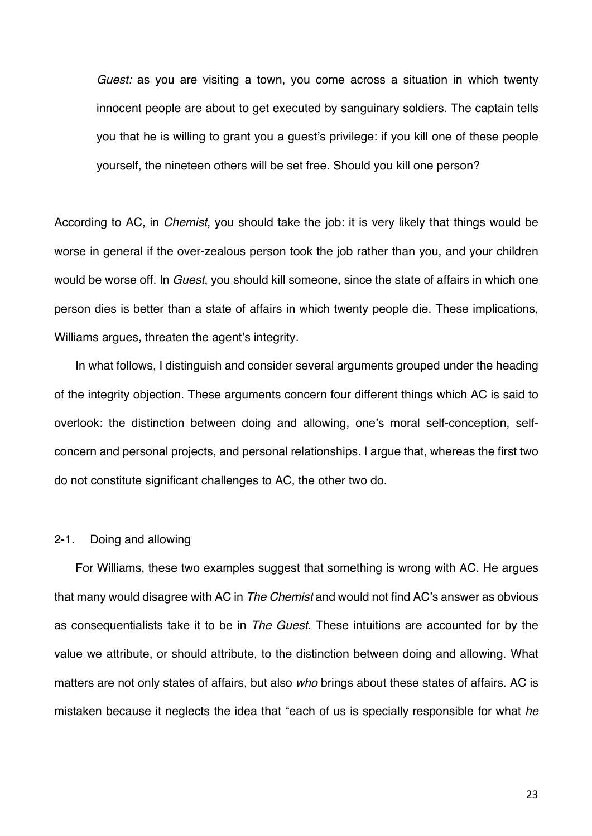*Guest:* as you are visiting a town, you come across a situation in which twenty innocent people are about to get executed by sanguinary soldiers. The captain tells you that he is willing to grant you a guest's privilege: if you kill one of these people yourself, the nineteen others will be set free. Should you kill one person?

According to AC, in *Chemist*, you should take the job: it is very likely that things would be worse in general if the over-zealous person took the job rather than you, and your children would be worse off. In *Guest*, you should kill someone, since the state of affairs in which one person dies is better than a state of affairs in which twenty people die. These implications, Williams argues, threaten the agent's integrity.

In what follows, I distinguish and consider several arguments grouped under the heading of the integrity objection. These arguments concern four different things which AC is said to overlook: the distinction between doing and allowing, one's moral self-conception, selfconcern and personal projects, and personal relationships. I argue that, whereas the first two do not constitute significant challenges to AC, the other two do.

#### 2-1. Doing and allowing

For Williams, these two examples suggest that something is wrong with AC. He argues that many would disagree with AC in *The Chemist* and would not find AC's answer as obvious as consequentialists take it to be in *The Guest*. These intuitions are accounted for by the value we attribute, or should attribute, to the distinction between doing and allowing. What matters are not only states of affairs, but also *who* brings about these states of affairs. AC is mistaken because it neglects the idea that "each of us is specially responsible for what *he*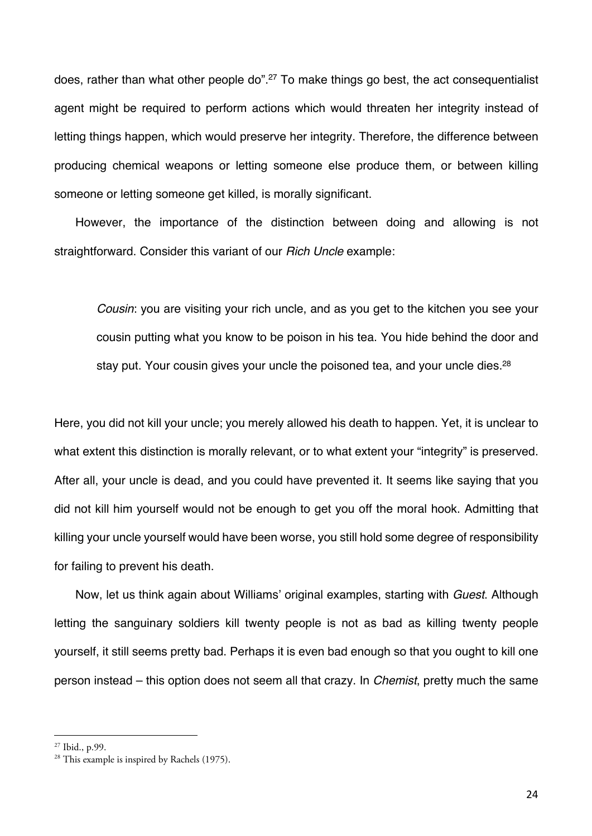does, rather than what other people do".<sup>27</sup> To make things go best, the act consequentialist agent might be required to perform actions which would threaten her integrity instead of letting things happen, which would preserve her integrity. Therefore, the difference between producing chemical weapons or letting someone else produce them, or between killing someone or letting someone get killed, is morally significant.

However, the importance of the distinction between doing and allowing is not straightforward. Consider this variant of our *Rich Uncle* example:

*Cousin*: you are visiting your rich uncle, and as you get to the kitchen you see your cousin putting what you know to be poison in his tea. You hide behind the door and stay put. Your cousin gives your uncle the poisoned tea, and your uncle dies.<sup>28</sup>

Here, you did not kill your uncle; you merely allowed his death to happen. Yet, it is unclear to what extent this distinction is morally relevant, or to what extent your "integrity" is preserved. After all, your uncle is dead, and you could have prevented it. It seems like saying that you did not kill him yourself would not be enough to get you off the moral hook. Admitting that killing your uncle yourself would have been worse, you still hold some degree of responsibility for failing to prevent his death.

Now, let us think again about Williams' original examples, starting with *Guest*. Although letting the sanguinary soldiers kill twenty people is not as bad as killing twenty people yourself, it still seems pretty bad. Perhaps it is even bad enough so that you ought to kill one person instead – this option does not seem all that crazy. In *Chemist*, pretty much the same

<sup>&</sup>lt;sup>27</sup> Ibid., p.99.<br><sup>28</sup> This example is inspired by Rachels (1975).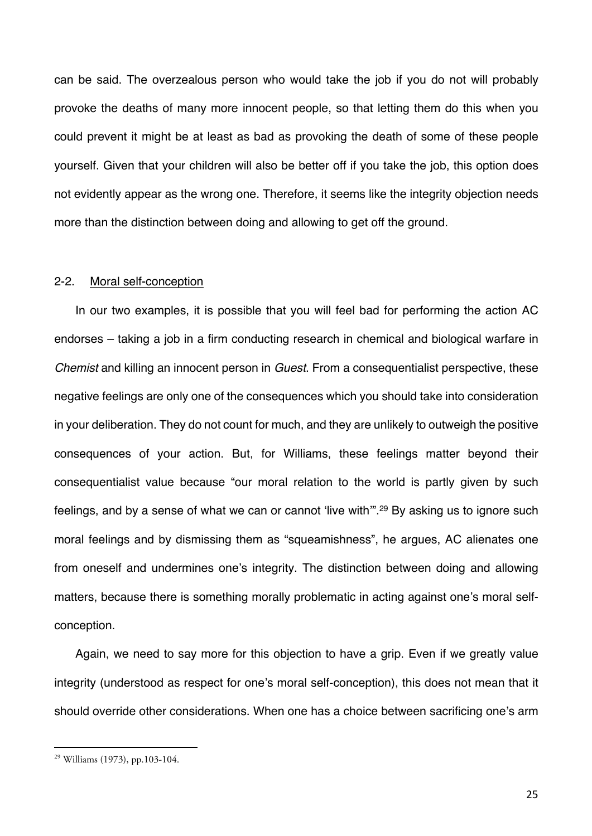can be said. The overzealous person who would take the job if you do not will probably provoke the deaths of many more innocent people, so that letting them do this when you could prevent it might be at least as bad as provoking the death of some of these people yourself. Given that your children will also be better off if you take the job, this option does not evidently appear as the wrong one. Therefore, it seems like the integrity objection needs more than the distinction between doing and allowing to get off the ground.

#### 2-2. Moral self-conception

In our two examples, it is possible that you will feel bad for performing the action AC endorses – taking a job in a firm conducting research in chemical and biological warfare in *Chemist* and killing an innocent person in *Guest*. From a consequentialist perspective, these negative feelings are only one of the consequences which you should take into consideration in your deliberation. They do not count for much, and they are unlikely to outweigh the positive consequences of your action. But, for Williams, these feelings matter beyond their consequentialist value because "our moral relation to the world is partly given by such feelings, and by a sense of what we can or cannot 'live with'".29 By asking us to ignore such moral feelings and by dismissing them as "squeamishness", he argues, AC alienates one from oneself and undermines one's integrity. The distinction between doing and allowing matters, because there is something morally problematic in acting against one's moral selfconception.

Again, we need to say more for this objection to have a grip. Even if we greatly value integrity (understood as respect for one's moral self-conception), this does not mean that it should override other considerations. When one has a choice between sacrificing one's arm

<sup>29</sup> Williams (1973), pp.103-104.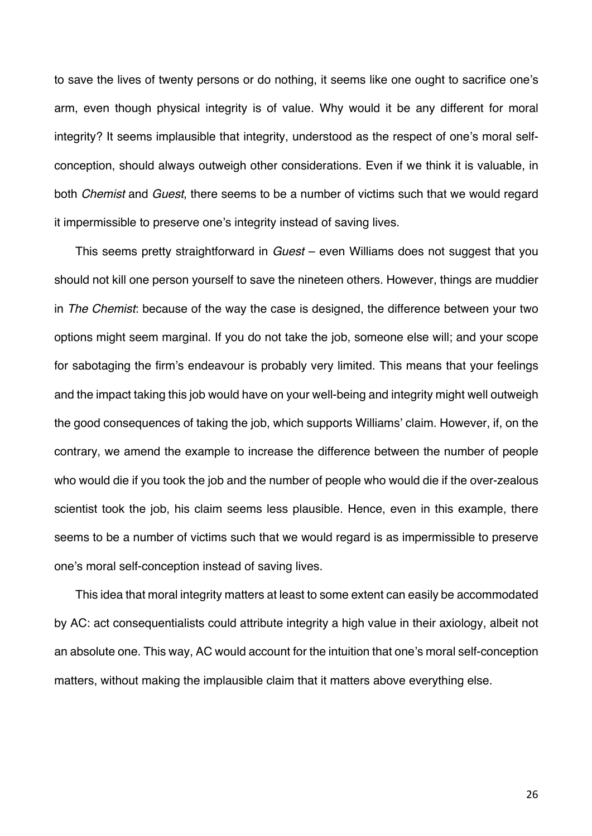to save the lives of twenty persons or do nothing, it seems like one ought to sacrifice one's arm, even though physical integrity is of value. Why would it be any different for moral integrity? It seems implausible that integrity, understood as the respect of one's moral selfconception, should always outweigh other considerations. Even if we think it is valuable, in both *Chemist* and *Guest*, there seems to be a number of victims such that we would regard it impermissible to preserve one's integrity instead of saving lives.

This seems pretty straightforward in *Guest* – even Williams does not suggest that you should not kill one person yourself to save the nineteen others. However, things are muddier in *The Chemist*: because of the way the case is designed, the difference between your two options might seem marginal. If you do not take the job, someone else will; and your scope for sabotaging the firm's endeavour is probably very limited. This means that your feelings and the impact taking this job would have on your well-being and integrity might well outweigh the good consequences of taking the job, which supports Williams' claim. However, if, on the contrary, we amend the example to increase the difference between the number of people who would die if you took the job and the number of people who would die if the over-zealous scientist took the job, his claim seems less plausible. Hence, even in this example, there seems to be a number of victims such that we would regard is as impermissible to preserve one's moral self-conception instead of saving lives.

This idea that moral integrity matters at least to some extent can easily be accommodated by AC: act consequentialists could attribute integrity a high value in their axiology, albeit not an absolute one. This way, AC would account for the intuition that one's moral self-conception matters, without making the implausible claim that it matters above everything else.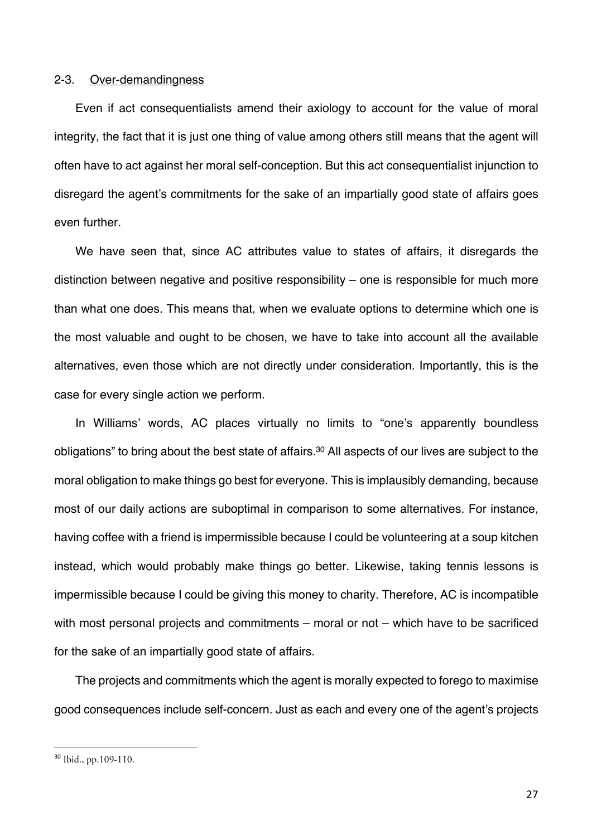#### 2-3. Over-demandingness

Even if act consequentialists amend their axiology to account for the value of moral integrity, the fact that it is just one thing of value among others still means that the agent will often have to act against her moral self-conception. But this act consequentialist injunction to disregard the agent's commitments for the sake of an impartially good state of affairs goes even further.

We have seen that, since AC attributes value to states of affairs, it disregards the distinction between negative and positive responsibility – one is responsible for much more than what one does. This means that, when we evaluate options to determine which one is the most valuable and ought to be chosen, we have to take into account all the available alternatives, even those which are not directly under consideration. Importantly, this is the case for every single action we perform.

In Williams' words, AC places virtually no limits to "one's apparently boundless obligations" to bring about the best state of affairs.30 All aspects of our lives are subject to the moral obligation to make things go best for everyone. This is implausibly demanding, because most of our daily actions are suboptimal in comparison to some alternatives. For instance, having coffee with a friend is impermissible because I could be volunteering at a soup kitchen instead, which would probably make things go better. Likewise, taking tennis lessons is impermissible because I could be giving this money to charity. Therefore, AC is incompatible with most personal projects and commitments – moral or not – which have to be sacrificed for the sake of an impartially good state of affairs.

The projects and commitments which the agent is morally expected to forego to maximise good consequences include self-concern. Just as each and every one of the agent's projects

<sup>30</sup> Ibid., pp.109-110.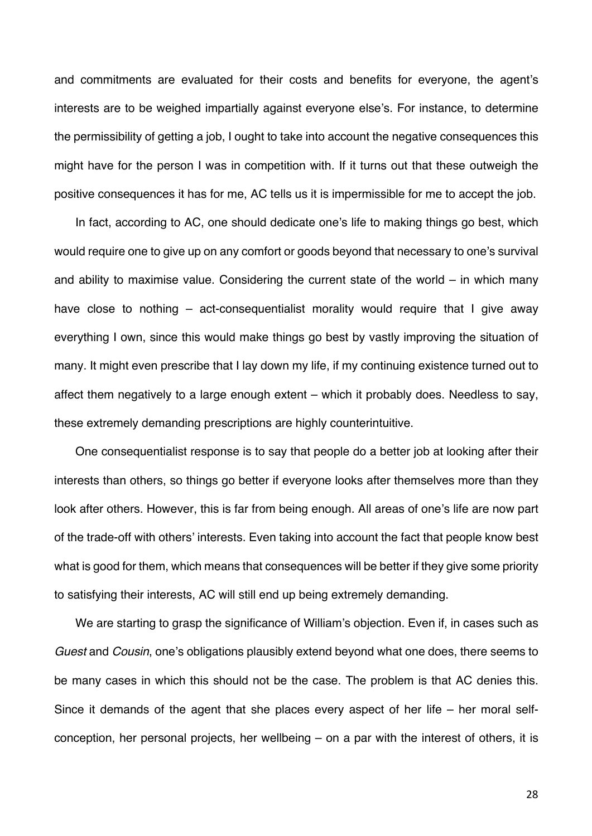and commitments are evaluated for their costs and benefits for everyone, the agent's interests are to be weighed impartially against everyone else's. For instance, to determine the permissibility of getting a job, I ought to take into account the negative consequences this might have for the person I was in competition with. If it turns out that these outweigh the positive consequences it has for me, AC tells us it is impermissible for me to accept the job.

In fact, according to AC, one should dedicate one's life to making things go best, which would require one to give up on any comfort or goods beyond that necessary to one's survival and ability to maximise value. Considering the current state of the world – in which many have close to nothing – act-consequentialist morality would require that I give away everything I own, since this would make things go best by vastly improving the situation of many. It might even prescribe that I lay down my life, if my continuing existence turned out to affect them negatively to a large enough extent – which it probably does. Needless to say, these extremely demanding prescriptions are highly counterintuitive.

One consequentialist response is to say that people do a better job at looking after their interests than others, so things go better if everyone looks after themselves more than they look after others. However, this is far from being enough. All areas of one's life are now part of the trade-off with others' interests. Even taking into account the fact that people know best what is good for them, which means that consequences will be better if they give some priority to satisfying their interests, AC will still end up being extremely demanding.

We are starting to grasp the significance of William's objection. Even if, in cases such as *Guest* and *Cousin*, one's obligations plausibly extend beyond what one does, there seems to be many cases in which this should not be the case. The problem is that AC denies this. Since it demands of the agent that she places every aspect of her life – her moral selfconception, her personal projects, her wellbeing – on a par with the interest of others, it is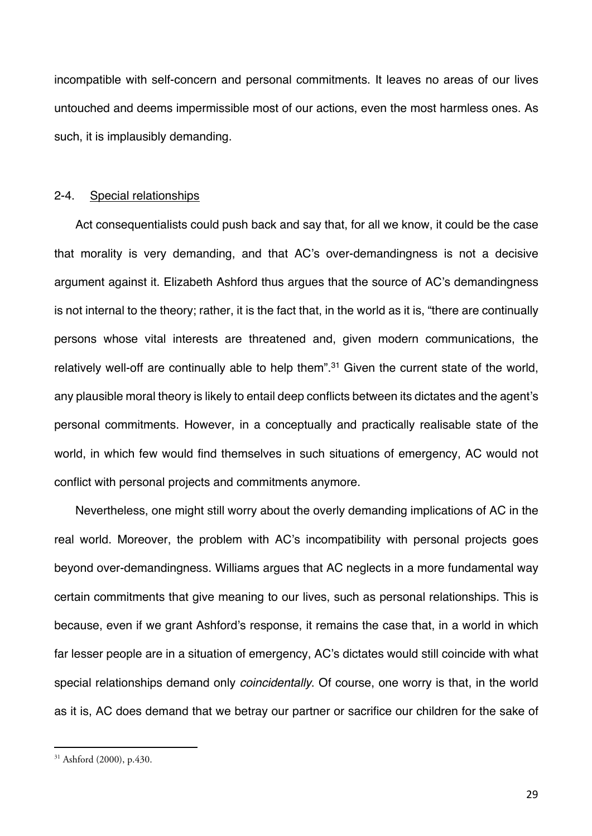incompatible with self-concern and personal commitments. It leaves no areas of our lives untouched and deems impermissible most of our actions, even the most harmless ones. As such, it is implausibly demanding.

#### 2-4. Special relationships

Act consequentialists could push back and say that, for all we know, it could be the case that morality is very demanding, and that AC's over-demandingness is not a decisive argument against it. Elizabeth Ashford thus argues that the source of AC's demandingness is not internal to the theory; rather, it is the fact that, in the world as it is, "there are continually persons whose vital interests are threatened and, given modern communications, the relatively well-off are continually able to help them".<sup>31</sup> Given the current state of the world, any plausible moral theory is likely to entail deep conflicts between its dictates and the agent's personal commitments. However, in a conceptually and practically realisable state of the world, in which few would find themselves in such situations of emergency, AC would not conflict with personal projects and commitments anymore.

Nevertheless, one might still worry about the overly demanding implications of AC in the real world. Moreover, the problem with AC's incompatibility with personal projects goes beyond over-demandingness. Williams argues that AC neglects in a more fundamental way certain commitments that give meaning to our lives, such as personal relationships. This is because, even if we grant Ashford's response, it remains the case that, in a world in which far lesser people are in a situation of emergency, AC's dictates would still coincide with what special relationships demand only *coincidentally*. Of course, one worry is that, in the world as it is, AC does demand that we betray our partner or sacrifice our children for the sake of

<sup>31</sup> Ashford (2000), p.430.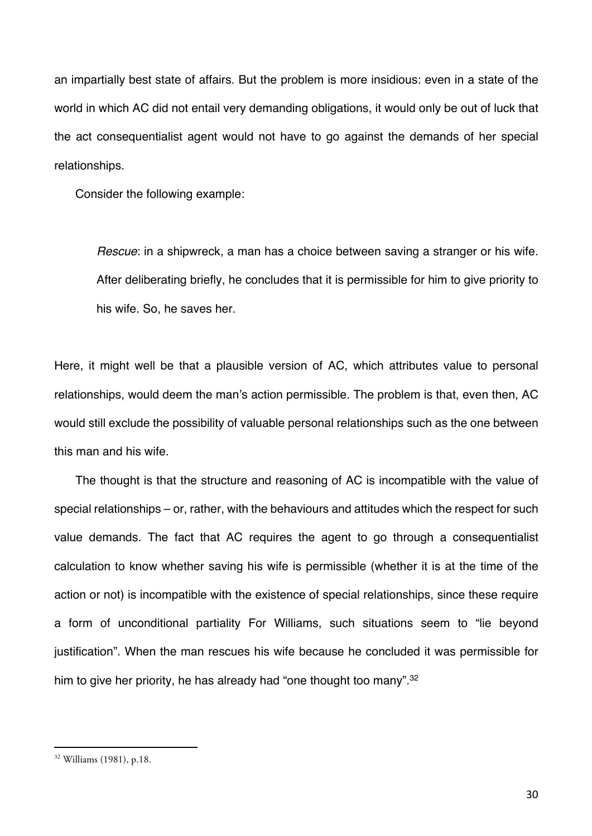an impartially best state of affairs. But the problem is more insidious: even in a state of the world in which AC did not entail very demanding obligations, it would only be out of luck that the act consequentialist agent would not have to go against the demands of her special relationships.

Consider the following example:

*Rescue*: in a shipwreck, a man has a choice between saving a stranger or his wife. After deliberating briefly, he concludes that it is permissible for him to give priority to his wife. So, he saves her.

Here, it might well be that a plausible version of AC, which attributes value to personal relationships, would deem the man's action permissible. The problem is that, even then, AC would still exclude the possibility of valuable personal relationships such as the one between this man and his wife.

The thought is that the structure and reasoning of AC is incompatible with the value of special relationships – or, rather, with the behaviours and attitudes which the respect for such value demands. The fact that AC requires the agent to go through a consequentialist calculation to know whether saving his wife is permissible (whether it is at the time of the action or not) is incompatible with the existence of special relationships, since these require a form of unconditional partiality For Williams, such situations seem to "lie beyond justification". When the man rescues his wife because he concluded it was permissible for him to give her priority, he has already had "one thought too many".<sup>32</sup>

<sup>32</sup> Williams (1981), p.18.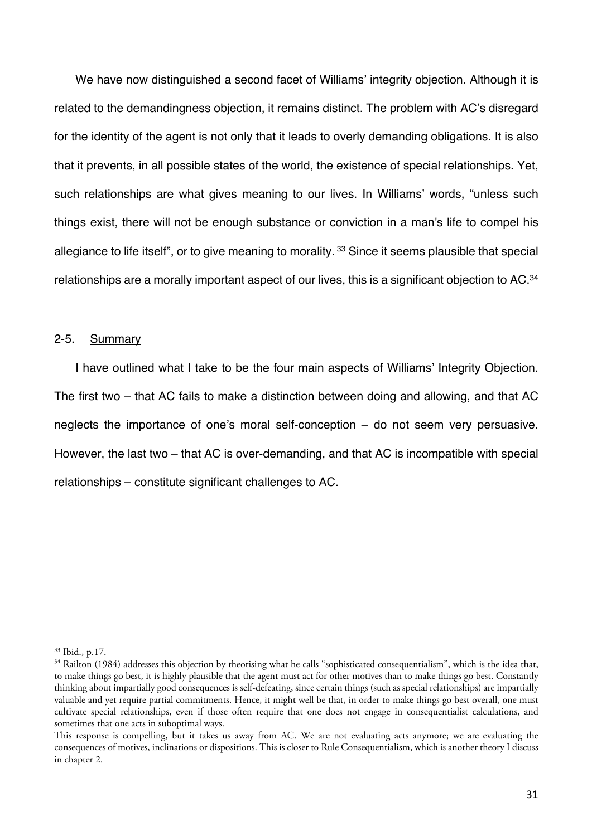We have now distinguished a second facet of Williams' integrity objection. Although it is related to the demandingness objection, it remains distinct. The problem with AC's disregard for the identity of the agent is not only that it leads to overly demanding obligations. It is also that it prevents, in all possible states of the world, the existence of special relationships. Yet, such relationships are what gives meaning to our lives. In Williams' words, "unless such things exist, there will not be enough substance or conviction in a man's life to compel his allegiance to life itself", or to give meaning to morality. <sup>33</sup> Since it seems plausible that special relationships are a morally important aspect of our lives, this is a significant objection to AC.<sup>34</sup>

#### 2-5. Summary

I have outlined what I take to be the four main aspects of Williams' Integrity Objection. The first two – that AC fails to make a distinction between doing and allowing, and that AC neglects the importance of one's moral self-conception – do not seem very persuasive. However, the last two – that AC is over-demanding, and that AC is incompatible with special relationships – constitute significant challenges to AC.

<sup>33</sup> Ibid., p.17.

 $34$  Railton (1984) addresses this objection by theorising what he calls "sophisticated consequentialism", which is the idea that, to make things go best, it is highly plausible that the agent must act for other motives than to make things go best. Constantly thinking about impartially good consequences is self-defeating, since certain things (such as special relationships) are impartially valuable and yet require partial commitments. Hence, it might well be that, in order to make things go best overall, one must cultivate special relationships, even if those often require that one does not engage in consequentialist calculations, and sometimes that one acts in suboptimal ways.

This response is compelling, but it takes us away from AC. We are not evaluating acts anymore; we are evaluating the consequences of motives, inclinations or dispositions. This is closer to Rule Consequentialism, which is another theory I discuss in chapter 2.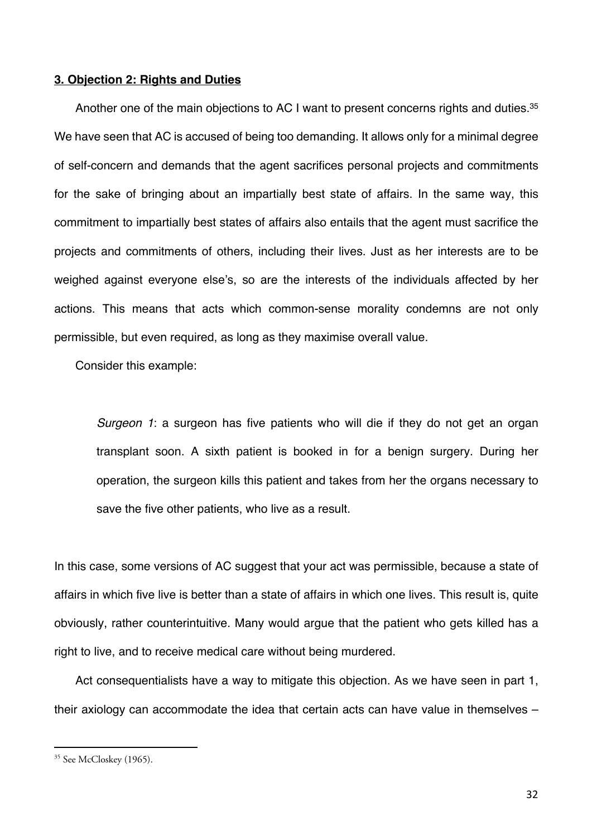#### **3. Objection 2: Rights and Duties**

Another one of the main objections to AC I want to present concerns rights and duties.<sup>35</sup> We have seen that AC is accused of being too demanding. It allows only for a minimal degree of self-concern and demands that the agent sacrifices personal projects and commitments for the sake of bringing about an impartially best state of affairs. In the same way, this commitment to impartially best states of affairs also entails that the agent must sacrifice the projects and commitments of others, including their lives. Just as her interests are to be weighed against everyone else's, so are the interests of the individuals affected by her actions. This means that acts which common-sense morality condemns are not only permissible, but even required, as long as they maximise overall value.

Consider this example:

*Surgeon 1*: a surgeon has five patients who will die if they do not get an organ transplant soon. A sixth patient is booked in for a benign surgery. During her operation, the surgeon kills this patient and takes from her the organs necessary to save the five other patients, who live as a result.

In this case, some versions of AC suggest that your act was permissible, because a state of affairs in which five live is better than a state of affairs in which one lives. This result is, quite obviously, rather counterintuitive. Many would argue that the patient who gets killed has a right to live, and to receive medical care without being murdered.

Act consequentialists have a way to mitigate this objection. As we have seen in part 1, their axiology can accommodate the idea that certain acts can have value in themselves –

<sup>&</sup>lt;sup>35</sup> See McCloskey (1965).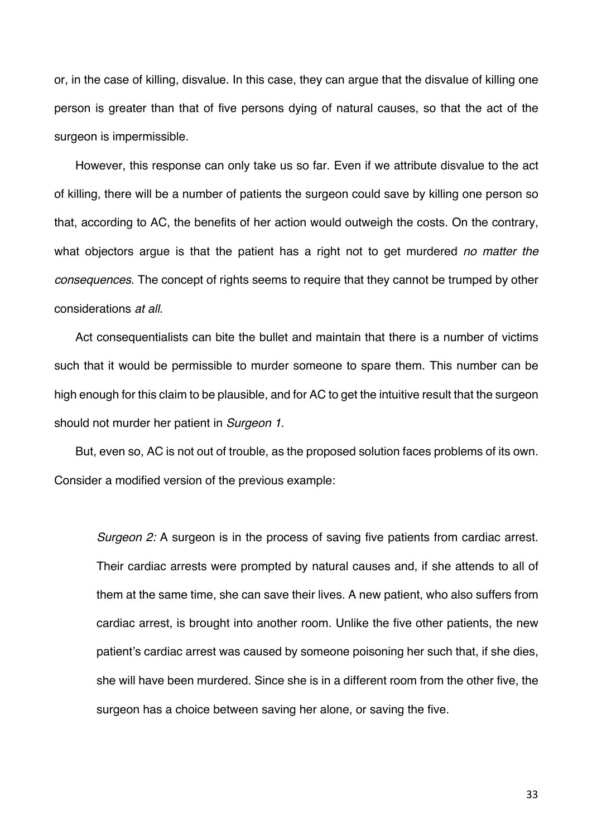or, in the case of killing, disvalue. In this case, they can argue that the disvalue of killing one person is greater than that of five persons dying of natural causes, so that the act of the surgeon is impermissible.

However, this response can only take us so far. Even if we attribute disvalue to the act of killing, there will be a number of patients the surgeon could save by killing one person so that, according to AC, the benefits of her action would outweigh the costs. On the contrary, what objectors argue is that the patient has a right not to get murdered *no matter the consequences*. The concept of rights seems to require that they cannot be trumped by other considerations *at all*.

Act consequentialists can bite the bullet and maintain that there is a number of victims such that it would be permissible to murder someone to spare them. This number can be high enough for this claim to be plausible, and for AC to get the intuitive result that the surgeon should not murder her patient in *Surgeon 1*.

But, even so, AC is not out of trouble, as the proposed solution faces problems of its own. Consider a modified version of the previous example:

*Surgeon 2:* A surgeon is in the process of saving five patients from cardiac arrest. Their cardiac arrests were prompted by natural causes and, if she attends to all of them at the same time, she can save their lives. A new patient, who also suffers from cardiac arrest, is brought into another room. Unlike the five other patients, the new patient's cardiac arrest was caused by someone poisoning her such that, if she dies, she will have been murdered. Since she is in a different room from the other five, the surgeon has a choice between saving her alone, or saving the five.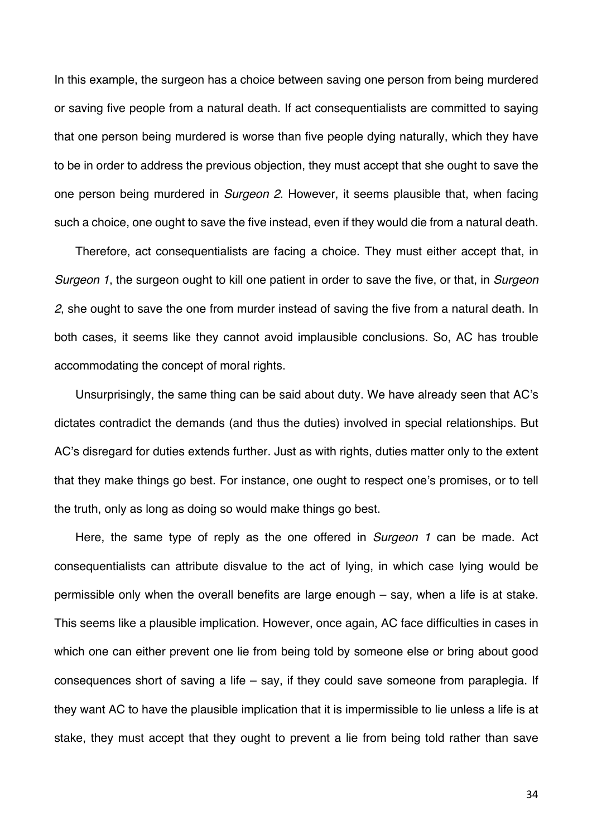In this example, the surgeon has a choice between saving one person from being murdered or saving five people from a natural death. If act consequentialists are committed to saying that one person being murdered is worse than five people dying naturally, which they have to be in order to address the previous objection, they must accept that she ought to save the one person being murdered in *Surgeon 2*. However, it seems plausible that, when facing such a choice, one ought to save the five instead, even if they would die from a natural death.

Therefore, act consequentialists are facing a choice. They must either accept that, in *Surgeon 1*, the surgeon ought to kill one patient in order to save the five, or that, in *Surgeon 2*, she ought to save the one from murder instead of saving the five from a natural death. In both cases, it seems like they cannot avoid implausible conclusions. So, AC has trouble accommodating the concept of moral rights.

Unsurprisingly, the same thing can be said about duty. We have already seen that AC's dictates contradict the demands (and thus the duties) involved in special relationships. But AC's disregard for duties extends further. Just as with rights, duties matter only to the extent that they make things go best. For instance, one ought to respect one's promises, or to tell the truth, only as long as doing so would make things go best.

Here, the same type of reply as the one offered in *Surgeon 1* can be made. Act consequentialists can attribute disvalue to the act of lying, in which case lying would be permissible only when the overall benefits are large enough – say, when a life is at stake. This seems like a plausible implication. However, once again, AC face difficulties in cases in which one can either prevent one lie from being told by someone else or bring about good consequences short of saving a life – say, if they could save someone from paraplegia. If they want AC to have the plausible implication that it is impermissible to lie unless a life is at stake, they must accept that they ought to prevent a lie from being told rather than save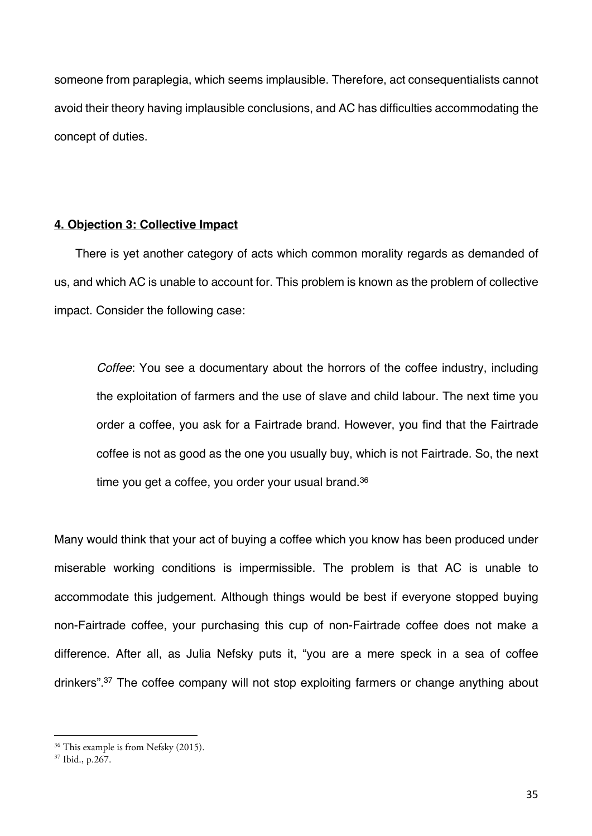someone from paraplegia, which seems implausible. Therefore, act consequentialists cannot avoid their theory having implausible conclusions, and AC has difficulties accommodating the concept of duties.

### **4. Objection 3: Collective Impact**

There is yet another category of acts which common morality regards as demanded of us, and which AC is unable to account for. This problem is known as the problem of collective impact. Consider the following case:

*Coffee*: You see a documentary about the horrors of the coffee industry, including the exploitation of farmers and the use of slave and child labour. The next time you order a coffee, you ask for a Fairtrade brand. However, you find that the Fairtrade coffee is not as good as the one you usually buy, which is not Fairtrade. So, the next time you get a coffee, you order your usual brand.36

Many would think that your act of buying a coffee which you know has been produced under miserable working conditions is impermissible. The problem is that AC is unable to accommodate this judgement. Although things would be best if everyone stopped buying non-Fairtrade coffee, your purchasing this cup of non-Fairtrade coffee does not make a difference. After all, as Julia Nefsky puts it, "you are a mere speck in a sea of coffee drinkers".37 The coffee company will not stop exploiting farmers or change anything about

<sup>&</sup>lt;sup>36</sup> This example is from Nefsky (2015).

 $37$  Ibid., p.  $267$ .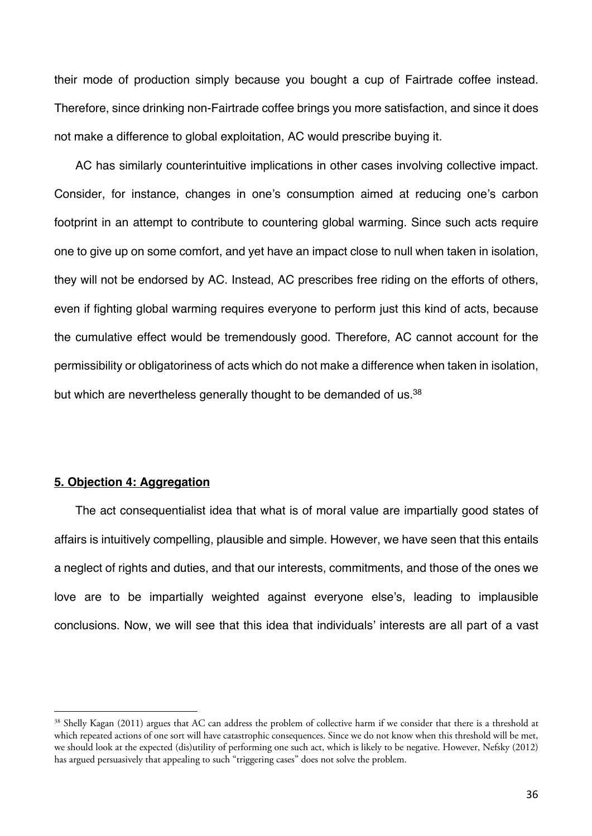their mode of production simply because you bought a cup of Fairtrade coffee instead. Therefore, since drinking non-Fairtrade coffee brings you more satisfaction, and since it does not make a difference to global exploitation, AC would prescribe buying it.

AC has similarly counterintuitive implications in other cases involving collective impact. Consider, for instance, changes in one's consumption aimed at reducing one's carbon footprint in an attempt to contribute to countering global warming. Since such acts require one to give up on some comfort, and yet have an impact close to null when taken in isolation, they will not be endorsed by AC. Instead, AC prescribes free riding on the efforts of others, even if fighting global warming requires everyone to perform just this kind of acts, because the cumulative effect would be tremendously good. Therefore, AC cannot account for the permissibility or obligatoriness of acts which do not make a difference when taken in isolation, but which are nevertheless generally thought to be demanded of us.<sup>38</sup>

#### **5. Objection 4: Aggregation**

The act consequentialist idea that what is of moral value are impartially good states of affairs is intuitively compelling, plausible and simple. However, we have seen that this entails a neglect of rights and duties, and that our interests, commitments, and those of the ones we love are to be impartially weighted against everyone else's, leading to implausible conclusions. Now, we will see that this idea that individuals' interests are all part of a vast

<sup>&</sup>lt;sup>38</sup> Shelly Kagan (2011) argues that AC can address the problem of collective harm if we consider that there is a threshold at which repeated actions of one sort will have catastrophic consequences. Since we do not know when this threshold will be met, we should look at the expected (dis)utility of performing one such act, which is likely to be negative. However, Nefsky (2012) has argued persuasively that appealing to such "triggering cases" does not solve the problem.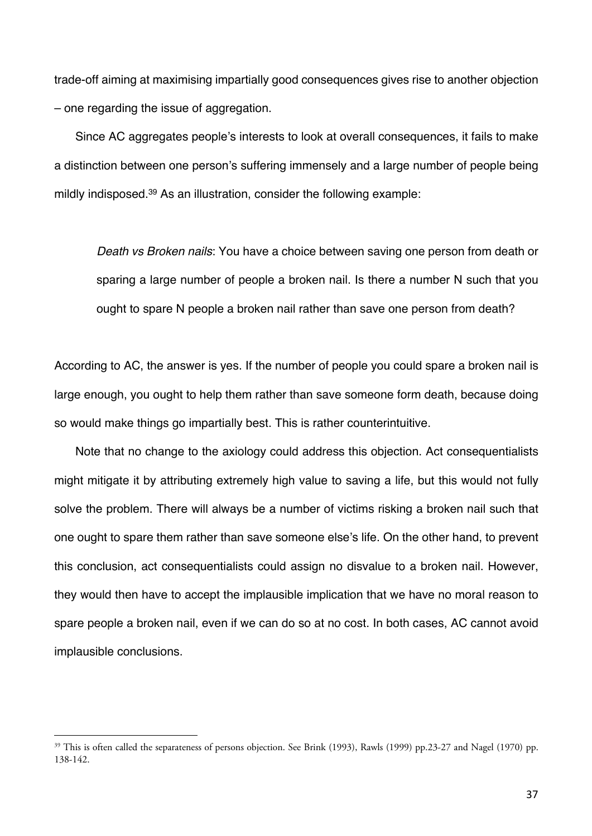trade-off aiming at maximising impartially good consequences gives rise to another objection – one regarding the issue of aggregation.

Since AC aggregates people's interests to look at overall consequences, it fails to make a distinction between one person's suffering immensely and a large number of people being mildly indisposed.39 As an illustration, consider the following example:

*Death vs Broken nails*: You have a choice between saving one person from death or sparing a large number of people a broken nail. Is there a number N such that you ought to spare N people a broken nail rather than save one person from death?

According to AC, the answer is yes. If the number of people you could spare a broken nail is large enough, you ought to help them rather than save someone form death, because doing so would make things go impartially best. This is rather counterintuitive.

Note that no change to the axiology could address this objection. Act consequentialists might mitigate it by attributing extremely high value to saving a life, but this would not fully solve the problem. There will always be a number of victims risking a broken nail such that one ought to spare them rather than save someone else's life. On the other hand, to prevent this conclusion, act consequentialists could assign no disvalue to a broken nail. However, they would then have to accept the implausible implication that we have no moral reason to spare people a broken nail, even if we can do so at no cost. In both cases, AC cannot avoid implausible conclusions.

<sup>&</sup>lt;sup>39</sup> This is often called the separateness of persons objection. See Brink (1993), Rawls (1999) pp.23-27 and Nagel (1970) pp. 138-142.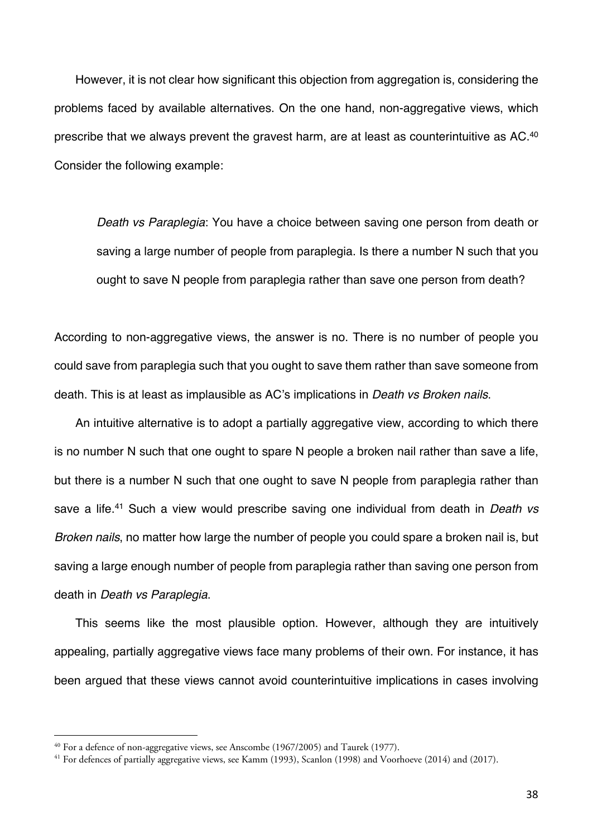However, it is not clear how significant this objection from aggregation is, considering the problems faced by available alternatives. On the one hand, non-aggregative views, which prescribe that we always prevent the gravest harm, are at least as counterintuitive as AC.40 Consider the following example:

*Death vs Paraplegia*: You have a choice between saving one person from death or saving a large number of people from paraplegia. Is there a number N such that you ought to save N people from paraplegia rather than save one person from death?

According to non-aggregative views, the answer is no. There is no number of people you could save from paraplegia such that you ought to save them rather than save someone from death. This is at least as implausible as AC's implications in *Death vs Broken nails*.

An intuitive alternative is to adopt a partially aggregative view, according to which there is no number N such that one ought to spare N people a broken nail rather than save a life, but there is a number N such that one ought to save N people from paraplegia rather than save a life.41 Such a view would prescribe saving one individual from death in *Death vs Broken nails*, no matter how large the number of people you could spare a broken nail is, but saving a large enough number of people from paraplegia rather than saving one person from death in *Death vs Paraplegia*.

This seems like the most plausible option. However, although they are intuitively appealing, partially aggregative views face many problems of their own. For instance, it has been argued that these views cannot avoid counterintuitive implications in cases involving

<sup>&</sup>lt;sup>40</sup> For a defence of non-aggregative views, see Anscombe (1967/2005) and Taurek (1977).

<sup>&</sup>lt;sup>41</sup> For defences of partially aggregative views, see Kamm (1993), Scanlon (1998) and Voorhoeve (2014) and (2017).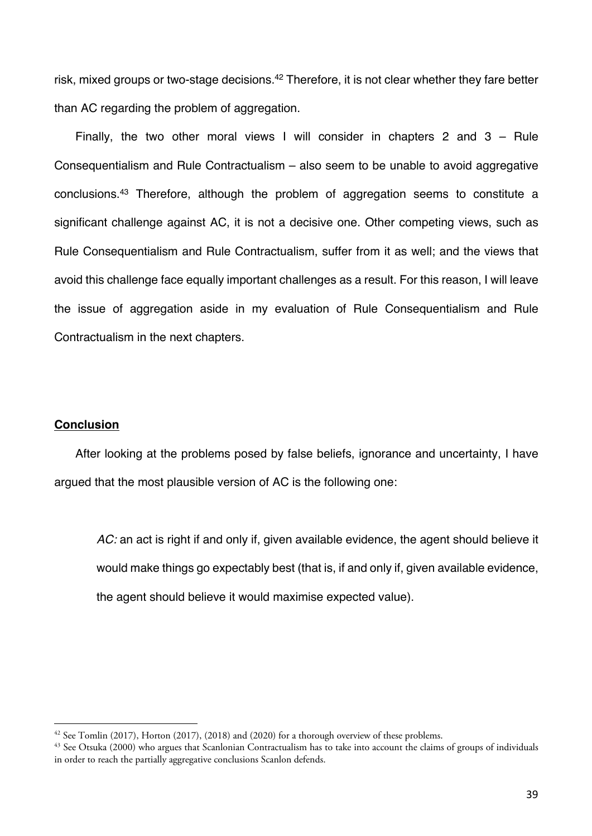risk, mixed groups or two-stage decisions.<sup>42</sup> Therefore, it is not clear whether they fare better than AC regarding the problem of aggregation.

Finally, the two other moral views I will consider in chapters 2 and 3 – Rule Consequentialism and Rule Contractualism – also seem to be unable to avoid aggregative conclusions.43 Therefore, although the problem of aggregation seems to constitute a significant challenge against AC, it is not a decisive one. Other competing views, such as Rule Consequentialism and Rule Contractualism, suffer from it as well; and the views that avoid this challenge face equally important challenges as a result. For this reason, I will leave the issue of aggregation aside in my evaluation of Rule Consequentialism and Rule Contractualism in the next chapters.

# **Conclusion**

After looking at the problems posed by false beliefs, ignorance and uncertainty, I have argued that the most plausible version of AC is the following one:

*AC:* an act is right if and only if, given available evidence, the agent should believe it would make things go expectably best (that is, if and only if, given available evidence, the agent should believe it would maximise expected value).

 $42$  See Tomlin (2017), Horton (2017), (2018) and (2020) for a thorough overview of these problems.

<sup>&</sup>lt;sup>43</sup> See Otsuka (2000) who argues that Scanlonian Contractualism has to take into account the claims of groups of individuals in order to reach the partially aggregative conclusions Scanlon defends.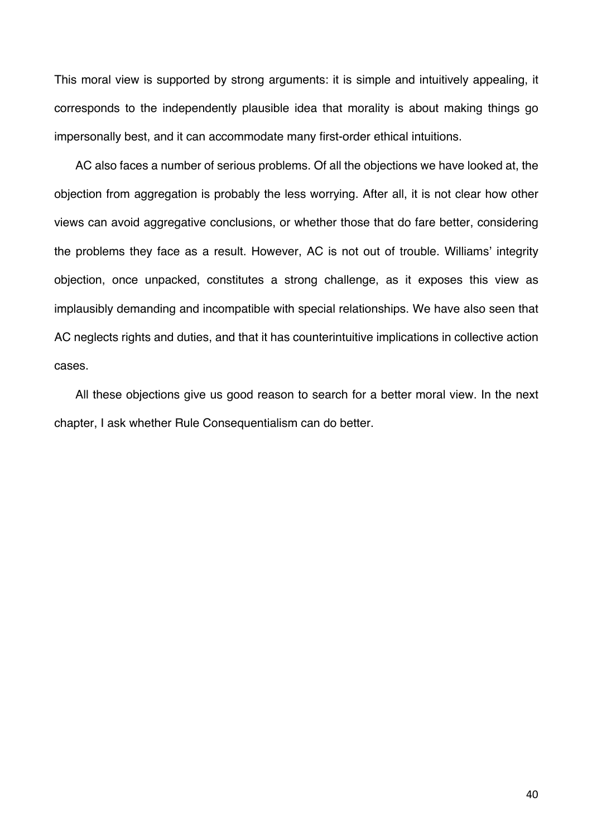This moral view is supported by strong arguments: it is simple and intuitively appealing, it corresponds to the independently plausible idea that morality is about making things go impersonally best, and it can accommodate many first-order ethical intuitions.

AC also faces a number of serious problems. Of all the objections we have looked at, the objection from aggregation is probably the less worrying. After all, it is not clear how other views can avoid aggregative conclusions, or whether those that do fare better, considering the problems they face as a result. However, AC is not out of trouble. Williams' integrity objection, once unpacked, constitutes a strong challenge, as it exposes this view as implausibly demanding and incompatible with special relationships. We have also seen that AC neglects rights and duties, and that it has counterintuitive implications in collective action cases.

All these objections give us good reason to search for a better moral view. In the next chapter, I ask whether Rule Consequentialism can do better.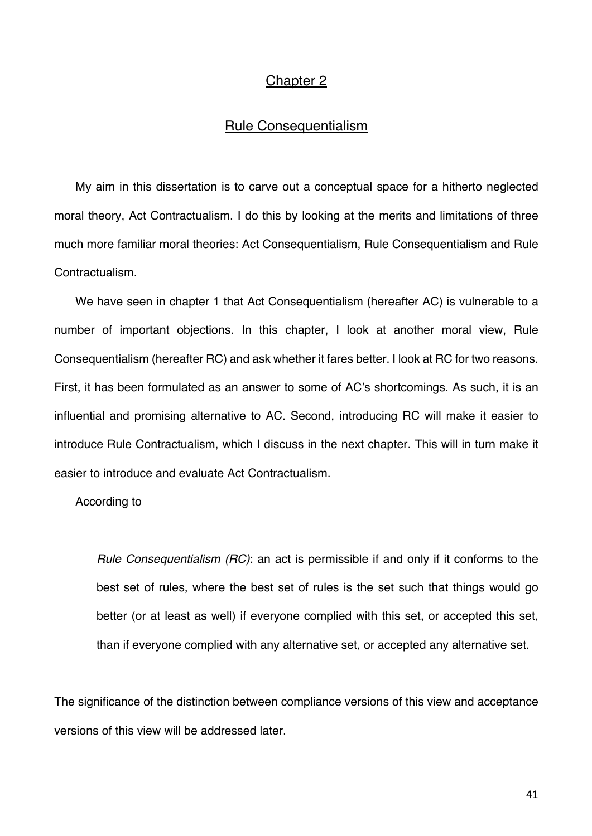# Chapter 2

# Rule Consequentialism

My aim in this dissertation is to carve out a conceptual space for a hitherto neglected moral theory, Act Contractualism. I do this by looking at the merits and limitations of three much more familiar moral theories: Act Consequentialism, Rule Consequentialism and Rule Contractualism.

We have seen in chapter 1 that Act Consequentialism (hereafter AC) is vulnerable to a number of important objections. In this chapter, I look at another moral view, Rule Consequentialism (hereafter RC) and ask whether it fares better. I look at RC for two reasons. First, it has been formulated as an answer to some of AC's shortcomings. As such, it is an influential and promising alternative to AC. Second, introducing RC will make it easier to introduce Rule Contractualism, which I discuss in the next chapter. This will in turn make it easier to introduce and evaluate Act Contractualism.

According to

*Rule Consequentialism (RC)*: an act is permissible if and only if it conforms to the best set of rules, where the best set of rules is the set such that things would go better (or at least as well) if everyone complied with this set, or accepted this set, than if everyone complied with any alternative set, or accepted any alternative set.

The significance of the distinction between compliance versions of this view and acceptance versions of this view will be addressed later.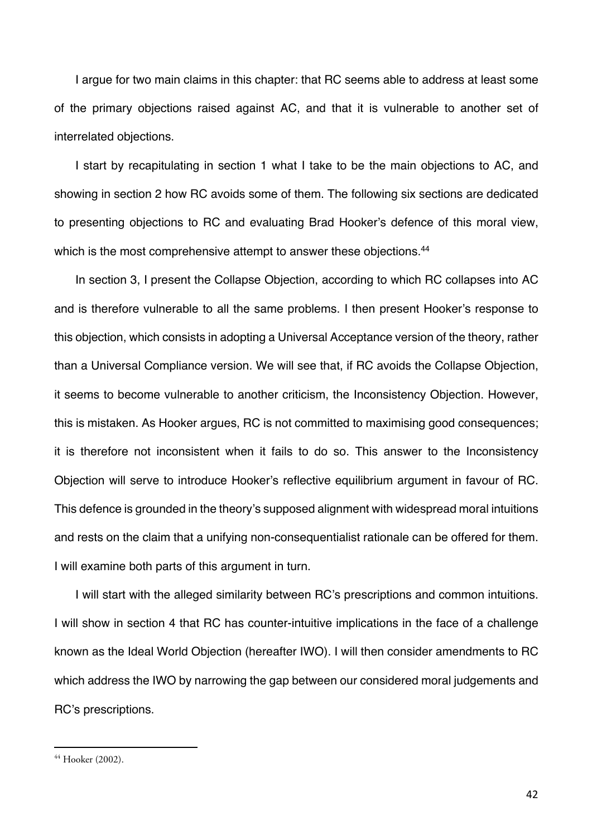I argue for two main claims in this chapter: that RC seems able to address at least some of the primary objections raised against AC, and that it is vulnerable to another set of interrelated objections.

I start by recapitulating in section 1 what I take to be the main objections to AC, and showing in section 2 how RC avoids some of them. The following six sections are dedicated to presenting objections to RC and evaluating Brad Hooker's defence of this moral view, which is the most comprehensive attempt to answer these objections.<sup>44</sup>

In section 3, I present the Collapse Objection, according to which RC collapses into AC and is therefore vulnerable to all the same problems. I then present Hooker's response to this objection, which consists in adopting a Universal Acceptance version of the theory, rather than a Universal Compliance version. We will see that, if RC avoids the Collapse Objection, it seems to become vulnerable to another criticism, the Inconsistency Objection. However, this is mistaken. As Hooker argues, RC is not committed to maximising good consequences; it is therefore not inconsistent when it fails to do so. This answer to the Inconsistency Objection will serve to introduce Hooker's reflective equilibrium argument in favour of RC. This defence is grounded in the theory's supposed alignment with widespread moral intuitions and rests on the claim that a unifying non-consequentialist rationale can be offered for them. I will examine both parts of this argument in turn.

I will start with the alleged similarity between RC's prescriptions and common intuitions. I will show in section 4 that RC has counter-intuitive implications in the face of a challenge known as the Ideal World Objection (hereafter IWO). I will then consider amendments to RC which address the IWO by narrowing the gap between our considered moral judgements and RC's prescriptions.

<sup>44</sup> Hooker (2002).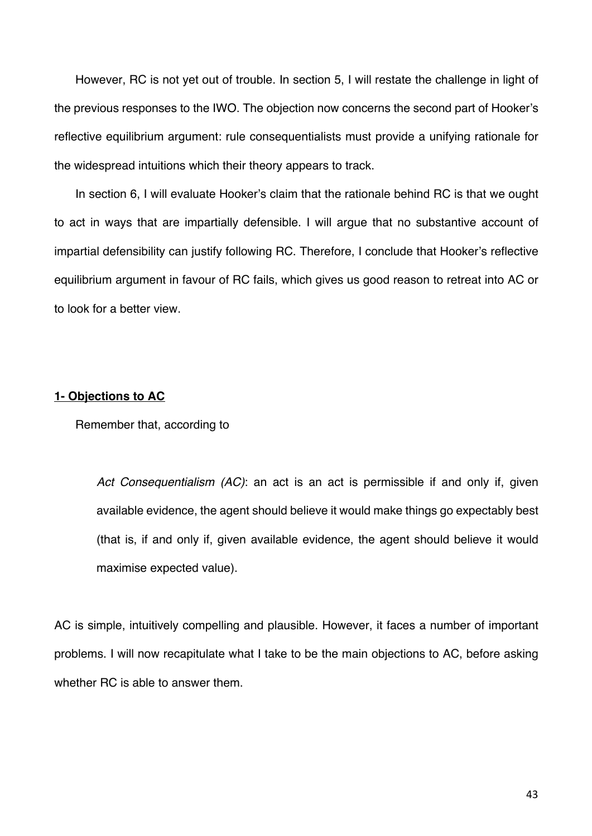However, RC is not yet out of trouble. In section 5, I will restate the challenge in light of the previous responses to the IWO. The objection now concerns the second part of Hooker's reflective equilibrium argument: rule consequentialists must provide a unifying rationale for the widespread intuitions which their theory appears to track.

In section 6, I will evaluate Hooker's claim that the rationale behind RC is that we ought to act in ways that are impartially defensible. I will argue that no substantive account of impartial defensibility can justify following RC. Therefore, I conclude that Hooker's reflective equilibrium argument in favour of RC fails, which gives us good reason to retreat into AC or to look for a better view.

## **1- Objections to AC**

Remember that, according to

*Act Consequentialism (AC)*: an act is an act is permissible if and only if, given available evidence, the agent should believe it would make things go expectably best (that is, if and only if, given available evidence, the agent should believe it would maximise expected value).

AC is simple, intuitively compelling and plausible. However, it faces a number of important problems. I will now recapitulate what I take to be the main objections to AC, before asking whether RC is able to answer them.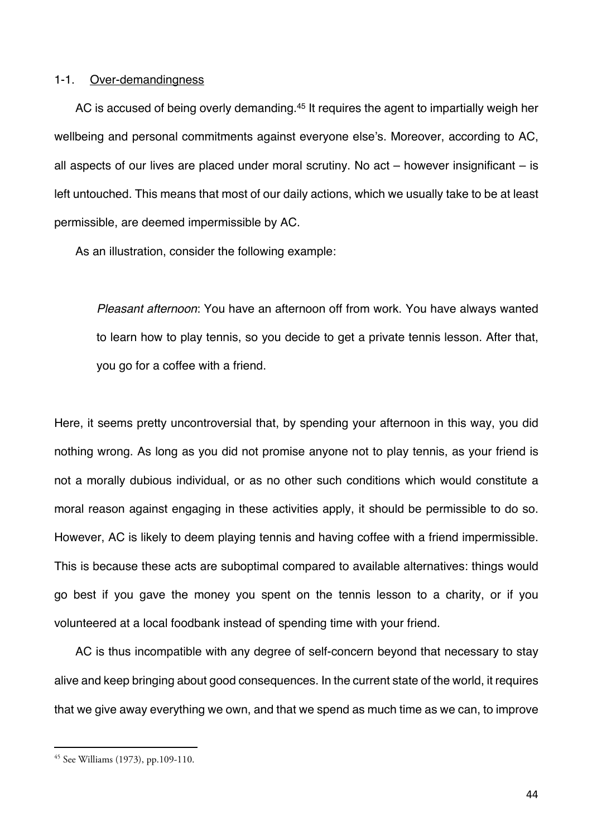#### 1-1. Over-demandingness

AC is accused of being overly demanding.<sup>45</sup> It requires the agent to impartially weigh her wellbeing and personal commitments against everyone else's. Moreover, according to AC, all aspects of our lives are placed under moral scrutiny. No act – however insignificant – is left untouched. This means that most of our daily actions, which we usually take to be at least permissible, are deemed impermissible by AC.

As an illustration, consider the following example:

*Pleasant afternoon*: You have an afternoon off from work. You have always wanted to learn how to play tennis, so you decide to get a private tennis lesson. After that, you go for a coffee with a friend.

Here, it seems pretty uncontroversial that, by spending your afternoon in this way, you did nothing wrong. As long as you did not promise anyone not to play tennis, as your friend is not a morally dubious individual, or as no other such conditions which would constitute a moral reason against engaging in these activities apply, it should be permissible to do so. However, AC is likely to deem playing tennis and having coffee with a friend impermissible. This is because these acts are suboptimal compared to available alternatives: things would go best if you gave the money you spent on the tennis lesson to a charity, or if you volunteered at a local foodbank instead of spending time with your friend.

AC is thus incompatible with any degree of self-concern beyond that necessary to stay alive and keep bringing about good consequences. In the current state of the world, it requires that we give away everything we own, and that we spend as much time as we can, to improve

<sup>45</sup> See Williams (1973), pp.109-110.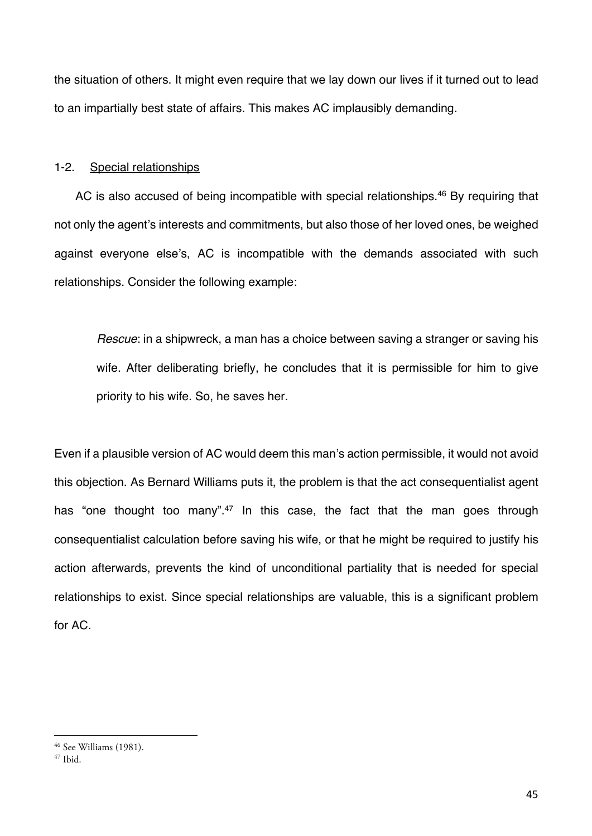the situation of others. It might even require that we lay down our lives if it turned out to lead to an impartially best state of affairs. This makes AC implausibly demanding.

### 1-2. Special relationships

AC is also accused of being incompatible with special relationships.<sup>46</sup> By requiring that not only the agent's interests and commitments, but also those of her loved ones, be weighed against everyone else's, AC is incompatible with the demands associated with such relationships. Consider the following example:

*Rescue*: in a shipwreck, a man has a choice between saving a stranger or saving his wife. After deliberating briefly, he concludes that it is permissible for him to give priority to his wife. So, he saves her.

Even if a plausible version of AC would deem this man's action permissible, it would not avoid this objection. As Bernard Williams puts it, the problem is that the act consequentialist agent has "one thought too many".<sup>47</sup> In this case, the fact that the man goes through consequentialist calculation before saving his wife, or that he might be required to justify his action afterwards, prevents the kind of unconditional partiality that is needed for special relationships to exist. Since special relationships are valuable, this is a significant problem for AC.

<sup>46</sup> See Williams (1981).

 $47$  Ibid.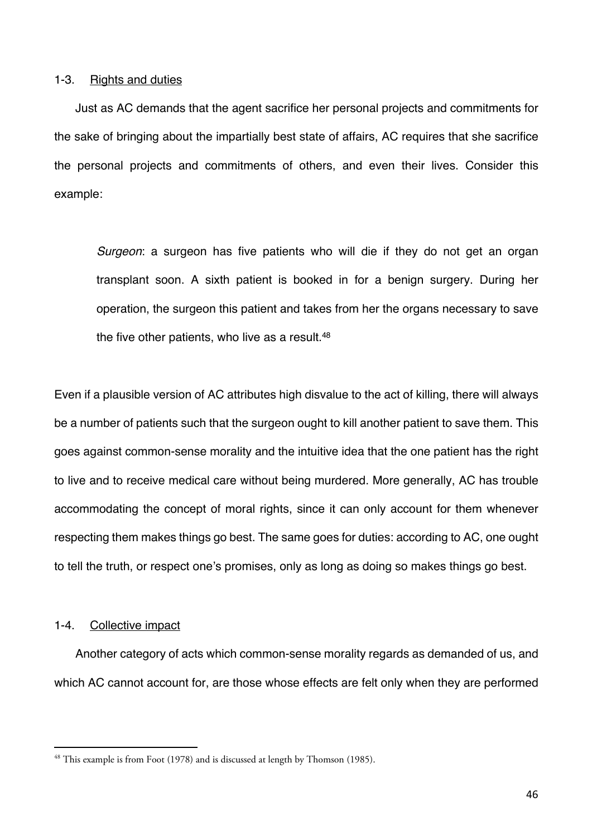### 1-3. Rights and duties

Just as AC demands that the agent sacrifice her personal projects and commitments for the sake of bringing about the impartially best state of affairs, AC requires that she sacrifice the personal projects and commitments of others, and even their lives. Consider this example:

*Surgeon*: a surgeon has five patients who will die if they do not get an organ transplant soon. A sixth patient is booked in for a benign surgery. During her operation, the surgeon this patient and takes from her the organs necessary to save the five other patients, who live as a result.<sup>48</sup>

Even if a plausible version of AC attributes high disvalue to the act of killing, there will always be a number of patients such that the surgeon ought to kill another patient to save them. This goes against common-sense morality and the intuitive idea that the one patient has the right to live and to receive medical care without being murdered. More generally, AC has trouble accommodating the concept of moral rights, since it can only account for them whenever respecting them makes things go best. The same goes for duties: according to AC, one ought to tell the truth, or respect one's promises, only as long as doing so makes things go best.

# 1-4. Collective impact

Another category of acts which common-sense morality regards as demanded of us, and which AC cannot account for, are those whose effects are felt only when they are performed

<sup>&</sup>lt;sup>48</sup> This example is from Foot (1978) and is discussed at length by Thomson (1985).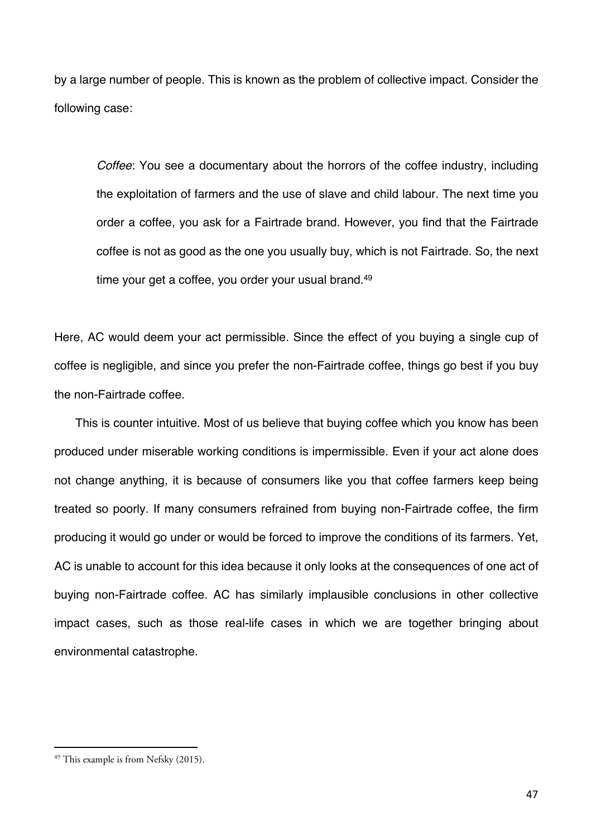by a large number of people. This is known as the problem of collective impact. Consider the following case:

*Coffee*: You see a documentary about the horrors of the coffee industry, including the exploitation of farmers and the use of slave and child labour. The next time you order a coffee, you ask for a Fairtrade brand. However, you find that the Fairtrade coffee is not as good as the one you usually buy, which is not Fairtrade. So, the next time your get a coffee, you order your usual brand.<sup>49</sup>

Here, AC would deem your act permissible. Since the effect of you buying a single cup of coffee is negligible, and since you prefer the non-Fairtrade coffee, things go best if you buy the non-Fairtrade coffee.

This is counter intuitive. Most of us believe that buying coffee which you know has been produced under miserable working conditions is impermissible. Even if your act alone does not change anything, it is because of consumers like you that coffee farmers keep being treated so poorly. If many consumers refrained from buying non-Fairtrade coffee, the firm producing it would go under or would be forced to improve the conditions of its farmers. Yet, AC is unable to account for this idea because it only looks at the consequences of one act of buying non-Fairtrade coffee. AC has similarly implausible conclusions in other collective impact cases, such as those real-life cases in which we are together bringing about environmental catastrophe.

 $49$  This example is from Nefsky (2015).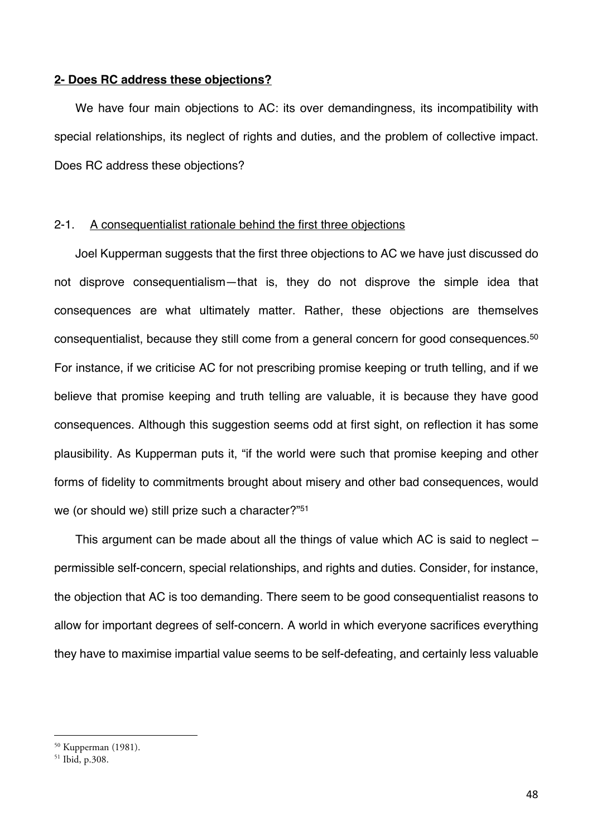## **2- Does RC address these objections?**

We have four main objections to AC: its over demandingness, its incompatibility with special relationships, its neglect of rights and duties, and the problem of collective impact. Does RC address these objections?

## 2-1. A consequentialist rationale behind the first three objections

Joel Kupperman suggests that the first three objections to AC we have just discussed do not disprove consequentialism—that is, they do not disprove the simple idea that consequences are what ultimately matter. Rather, these objections are themselves consequentialist, because they still come from a general concern for good consequences.<sup>50</sup> For instance, if we criticise AC for not prescribing promise keeping or truth telling, and if we believe that promise keeping and truth telling are valuable, it is because they have good consequences. Although this suggestion seems odd at first sight, on reflection it has some plausibility. As Kupperman puts it, "if the world were such that promise keeping and other forms of fidelity to commitments brought about misery and other bad consequences, would we (or should we) still prize such a character?"51

This argument can be made about all the things of value which AC is said to neglect – permissible self-concern, special relationships, and rights and duties. Consider, for instance, the objection that AC is too demanding. There seem to be good consequentialist reasons to allow for important degrees of self-concern. A world in which everyone sacrifices everything they have to maximise impartial value seems to be self-defeating, and certainly less valuable

<sup>&</sup>lt;sup>50</sup> Kupperman (1981).<br><sup>51</sup> Ibid, p.308.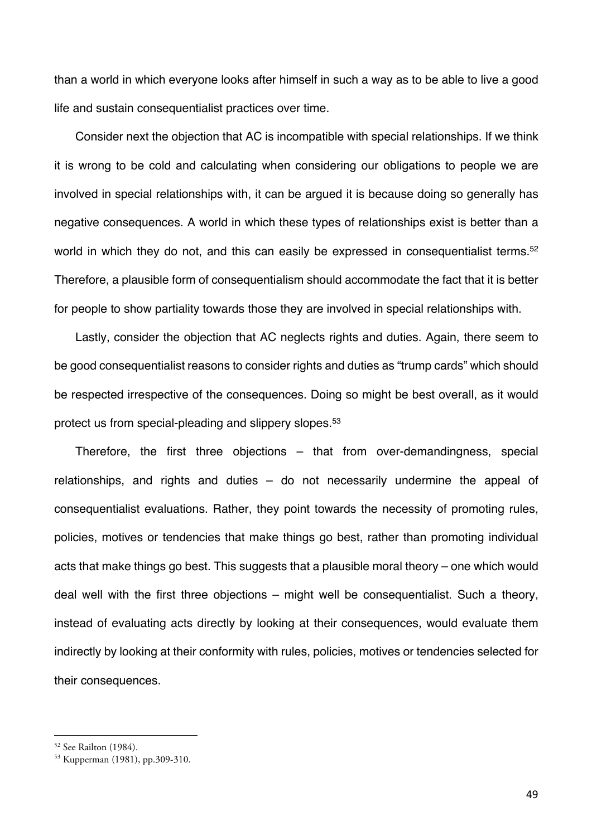than a world in which everyone looks after himself in such a way as to be able to live a good life and sustain consequentialist practices over time.

Consider next the objection that AC is incompatible with special relationships. If we think it is wrong to be cold and calculating when considering our obligations to people we are involved in special relationships with, it can be argued it is because doing so generally has negative consequences. A world in which these types of relationships exist is better than a world in which they do not, and this can easily be expressed in consequentialist terms.<sup>52</sup> Therefore, a plausible form of consequentialism should accommodate the fact that it is better for people to show partiality towards those they are involved in special relationships with.

Lastly, consider the objection that AC neglects rights and duties. Again, there seem to be good consequentialist reasons to consider rights and duties as "trump cards" which should be respected irrespective of the consequences. Doing so might be best overall, as it would protect us from special-pleading and slippery slopes.53

Therefore, the first three objections – that from over-demandingness, special relationships, and rights and duties – do not necessarily undermine the appeal of consequentialist evaluations. Rather, they point towards the necessity of promoting rules, policies, motives or tendencies that make things go best, rather than promoting individual acts that make things go best. This suggests that a plausible moral theory – one which would deal well with the first three objections – might well be consequentialist. Such a theory, instead of evaluating acts directly by looking at their consequences, would evaluate them indirectly by looking at their conformity with rules, policies, motives or tendencies selected for their consequences.

 $52$  See Railton (1984).<br> $53$  Kupperman (1981), pp.309-310.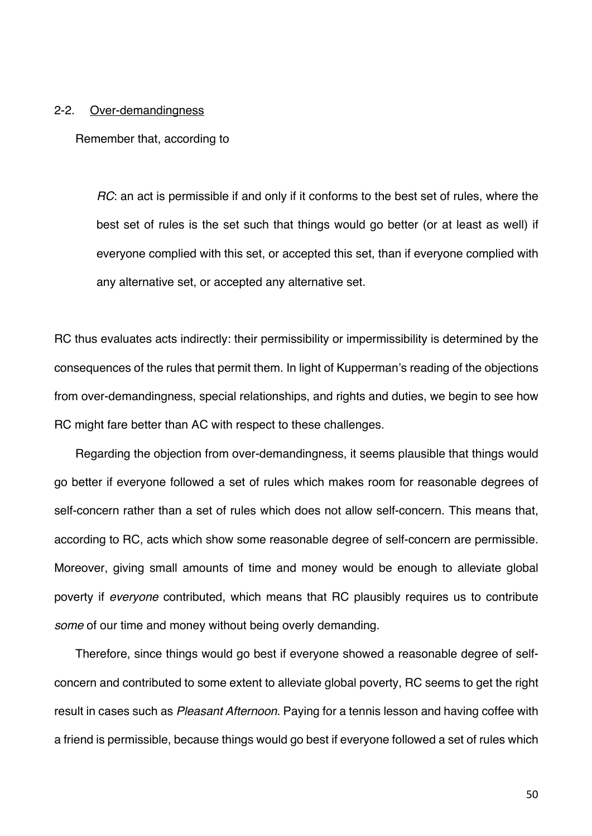#### 2-2. Over-demandingness

Remember that, according to

*RC*: an act is permissible if and only if it conforms to the best set of rules, where the best set of rules is the set such that things would go better (or at least as well) if everyone complied with this set, or accepted this set, than if everyone complied with any alternative set, or accepted any alternative set.

RC thus evaluates acts indirectly: their permissibility or impermissibility is determined by the consequences of the rules that permit them. In light of Kupperman's reading of the objections from over-demandingness, special relationships, and rights and duties, we begin to see how RC might fare better than AC with respect to these challenges.

Regarding the objection from over-demandingness, it seems plausible that things would go better if everyone followed a set of rules which makes room for reasonable degrees of self-concern rather than a set of rules which does not allow self-concern. This means that, according to RC, acts which show some reasonable degree of self-concern are permissible. Moreover, giving small amounts of time and money would be enough to alleviate global poverty if *everyone* contributed, which means that RC plausibly requires us to contribute *some* of our time and money without being overly demanding.

Therefore, since things would go best if everyone showed a reasonable degree of selfconcern and contributed to some extent to alleviate global poverty, RC seems to get the right result in cases such as *Pleasant Afternoon*. Paying for a tennis lesson and having coffee with a friend is permissible, because things would go best if everyone followed a set of rules which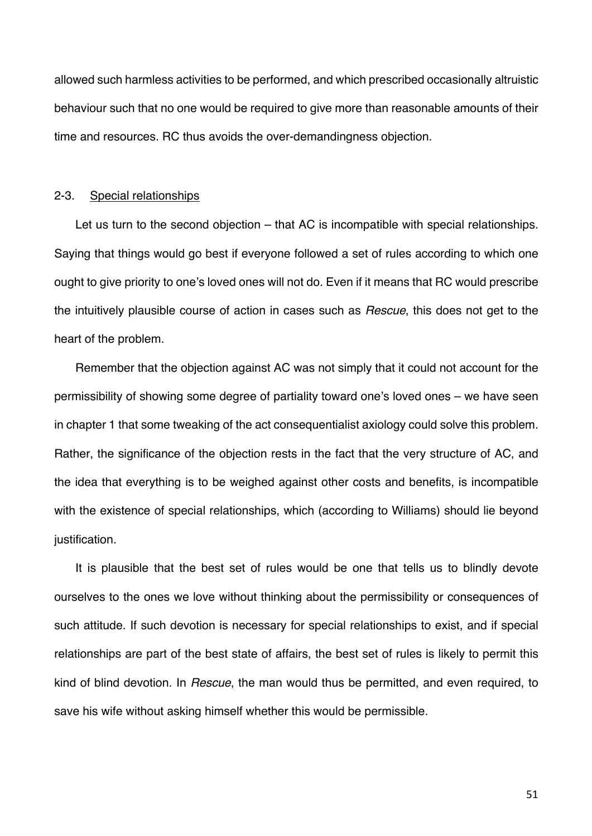allowed such harmless activities to be performed, and which prescribed occasionally altruistic behaviour such that no one would be required to give more than reasonable amounts of their time and resources. RC thus avoids the over-demandingness objection.

### 2-3. Special relationships

Let us turn to the second objection – that AC is incompatible with special relationships. Saying that things would go best if everyone followed a set of rules according to which one ought to give priority to one's loved ones will not do. Even if it means that RC would prescribe the intuitively plausible course of action in cases such as *Rescue*, this does not get to the heart of the problem.

Remember that the objection against AC was not simply that it could not account for the permissibility of showing some degree of partiality toward one's loved ones – we have seen in chapter 1 that some tweaking of the act consequentialist axiology could solve this problem. Rather, the significance of the objection rests in the fact that the very structure of AC, and the idea that everything is to be weighed against other costs and benefits, is incompatible with the existence of special relationships, which (according to Williams) should lie beyond justification.

It is plausible that the best set of rules would be one that tells us to blindly devote ourselves to the ones we love without thinking about the permissibility or consequences of such attitude. If such devotion is necessary for special relationships to exist, and if special relationships are part of the best state of affairs, the best set of rules is likely to permit this kind of blind devotion. In *Rescue*, the man would thus be permitted, and even required, to save his wife without asking himself whether this would be permissible.

51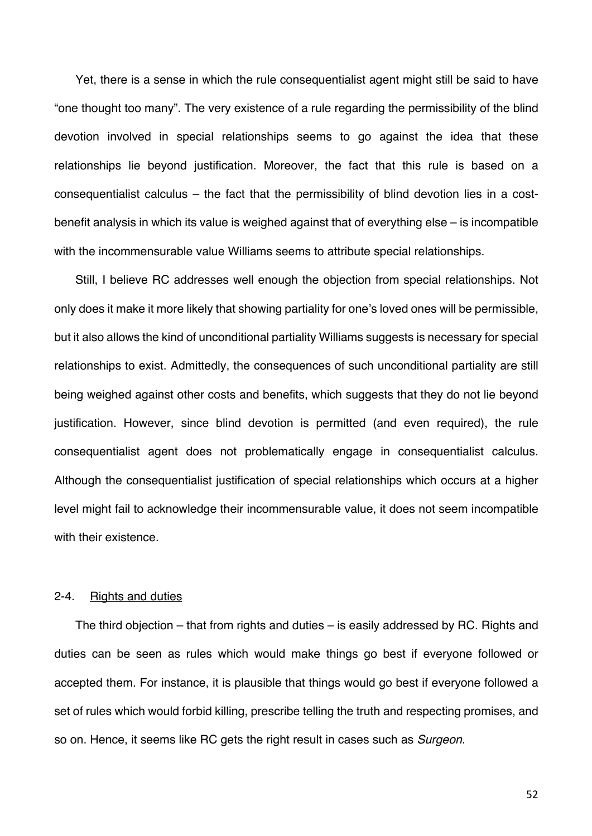Yet, there is a sense in which the rule consequentialist agent might still be said to have "one thought too many". The very existence of a rule regarding the permissibility of the blind devotion involved in special relationships seems to go against the idea that these relationships lie beyond justification. Moreover, the fact that this rule is based on a consequentialist calculus – the fact that the permissibility of blind devotion lies in a costbenefit analysis in which its value is weighed against that of everything else – is incompatible with the incommensurable value Williams seems to attribute special relationships.

Still, I believe RC addresses well enough the objection from special relationships. Not only does it make it more likely that showing partiality for one's loved ones will be permissible, but it also allows the kind of unconditional partiality Williams suggests is necessary for special relationships to exist. Admittedly, the consequences of such unconditional partiality are still being weighed against other costs and benefits, which suggests that they do not lie beyond justification. However, since blind devotion is permitted (and even required), the rule consequentialist agent does not problematically engage in consequentialist calculus. Although the consequentialist justification of special relationships which occurs at a higher level might fail to acknowledge their incommensurable value, it does not seem incompatible with their existence.

### 2-4. Rights and duties

The third objection – that from rights and duties – is easily addressed by RC. Rights and duties can be seen as rules which would make things go best if everyone followed or accepted them. For instance, it is plausible that things would go best if everyone followed a set of rules which would forbid killing, prescribe telling the truth and respecting promises, and so on. Hence, it seems like RC gets the right result in cases such as *Surgeon*.

52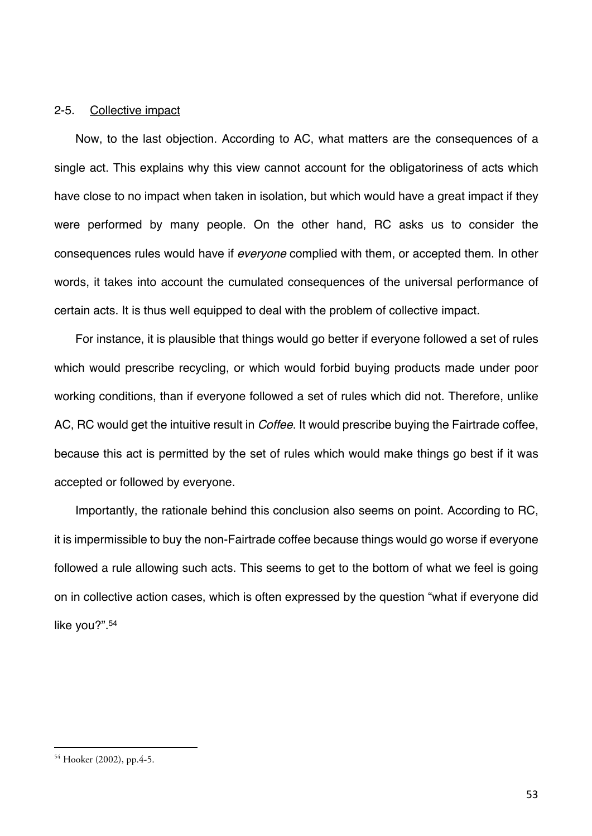## 2-5. Collective impact

Now, to the last objection. According to AC, what matters are the consequences of a single act. This explains why this view cannot account for the obligatoriness of acts which have close to no impact when taken in isolation, but which would have a great impact if they were performed by many people. On the other hand, RC asks us to consider the consequences rules would have if *everyone* complied with them, or accepted them. In other words, it takes into account the cumulated consequences of the universal performance of certain acts. It is thus well equipped to deal with the problem of collective impact.

For instance, it is plausible that things would go better if everyone followed a set of rules which would prescribe recycling, or which would forbid buying products made under poor working conditions, than if everyone followed a set of rules which did not. Therefore, unlike AC, RC would get the intuitive result in *Coffee*. It would prescribe buying the Fairtrade coffee, because this act is permitted by the set of rules which would make things go best if it was accepted or followed by everyone.

Importantly, the rationale behind this conclusion also seems on point. According to RC, it is impermissible to buy the non-Fairtrade coffee because things would go worse if everyone followed a rule allowing such acts. This seems to get to the bottom of what we feel is going on in collective action cases, which is often expressed by the question "what if everyone did like you?".54

<sup>54</sup> Hooker (2002), pp.4-5.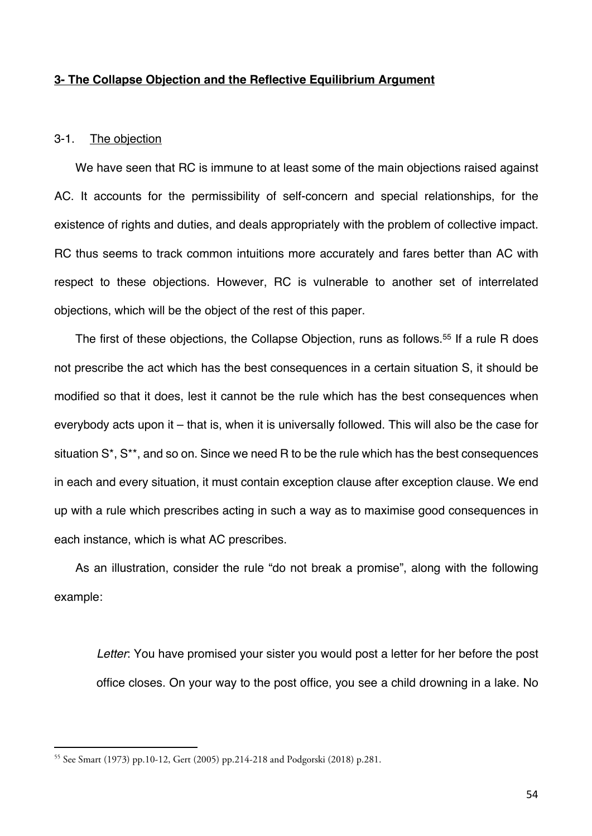## **3- The Collapse Objection and the Reflective Equilibrium Argument**

## 3-1. The objection

We have seen that RC is immune to at least some of the main objections raised against AC. It accounts for the permissibility of self-concern and special relationships, for the existence of rights and duties, and deals appropriately with the problem of collective impact. RC thus seems to track common intuitions more accurately and fares better than AC with respect to these objections. However, RC is vulnerable to another set of interrelated objections, which will be the object of the rest of this paper.

The first of these objections, the Collapse Objection, runs as follows.<sup>55</sup> If a rule R does not prescribe the act which has the best consequences in a certain situation S, it should be modified so that it does, lest it cannot be the rule which has the best consequences when everybody acts upon it – that is, when it is universally followed. This will also be the case for situation S\*, S\*\*, and so on. Since we need R to be the rule which has the best consequences in each and every situation, it must contain exception clause after exception clause. We end up with a rule which prescribes acting in such a way as to maximise good consequences in each instance, which is what AC prescribes.

As an illustration, consider the rule "do not break a promise", along with the following example:

*Letter*: You have promised your sister you would post a letter for her before the post office closes. On your way to the post office, you see a child drowning in a lake. No

<sup>55</sup> See Smart (1973) pp.10-12, Gert (2005) pp.214-218 and Podgorski (2018) p.281.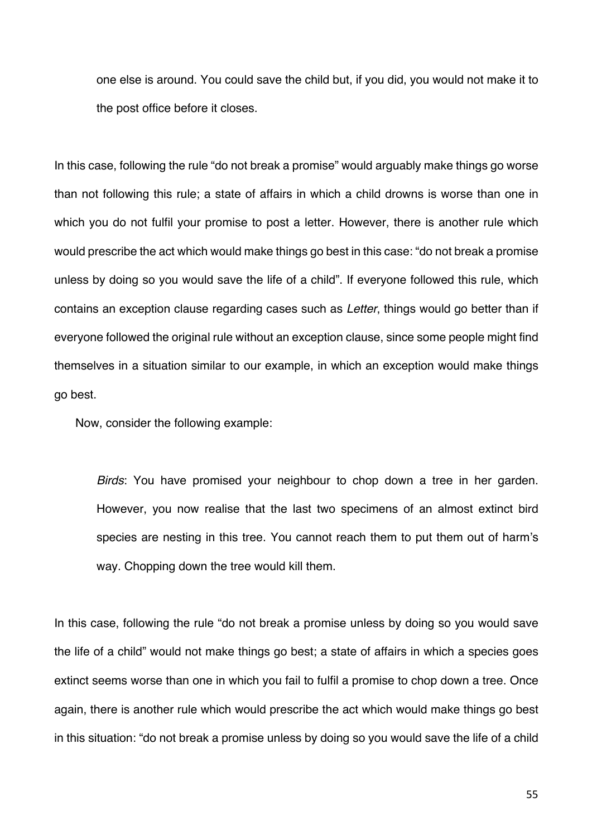one else is around. You could save the child but, if you did, you would not make it to the post office before it closes.

In this case, following the rule "do not break a promise" would arguably make things go worse than not following this rule; a state of affairs in which a child drowns is worse than one in which you do not fulfil your promise to post a letter. However, there is another rule which would prescribe the act which would make things go best in this case: "do not break a promise unless by doing so you would save the life of a child". If everyone followed this rule, which contains an exception clause regarding cases such as *Letter*, things would go better than if everyone followed the original rule without an exception clause, since some people might find themselves in a situation similar to our example, in which an exception would make things go best.

Now, consider the following example:

*Birds*: You have promised your neighbour to chop down a tree in her garden. However, you now realise that the last two specimens of an almost extinct bird species are nesting in this tree. You cannot reach them to put them out of harm's way. Chopping down the tree would kill them.

In this case, following the rule "do not break a promise unless by doing so you would save the life of a child" would not make things go best; a state of affairs in which a species goes extinct seems worse than one in which you fail to fulfil a promise to chop down a tree. Once again, there is another rule which would prescribe the act which would make things go best in this situation: "do not break a promise unless by doing so you would save the life of a child

55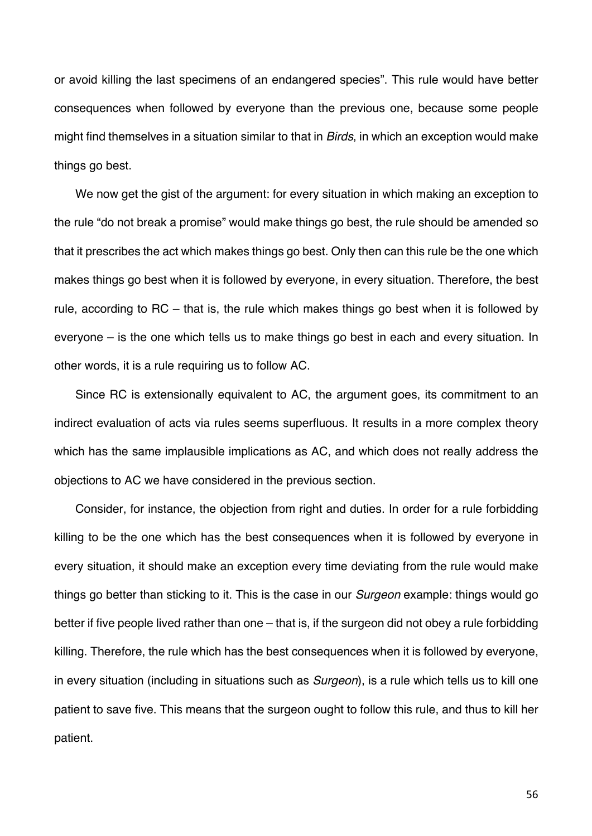or avoid killing the last specimens of an endangered species". This rule would have better consequences when followed by everyone than the previous one, because some people might find themselves in a situation similar to that in *Birds*, in which an exception would make things go best.

We now get the gist of the argument: for every situation in which making an exception to the rule "do not break a promise" would make things go best, the rule should be amended so that it prescribes the act which makes things go best. Only then can this rule be the one which makes things go best when it is followed by everyone, in every situation. Therefore, the best rule, according to RC – that is, the rule which makes things go best when it is followed by everyone – is the one which tells us to make things go best in each and every situation. In other words, it is a rule requiring us to follow AC.

Since RC is extensionally equivalent to AC, the argument goes, its commitment to an indirect evaluation of acts via rules seems superfluous. It results in a more complex theory which has the same implausible implications as AC, and which does not really address the objections to AC we have considered in the previous section.

Consider, for instance, the objection from right and duties. In order for a rule forbidding killing to be the one which has the best consequences when it is followed by everyone in every situation, it should make an exception every time deviating from the rule would make things go better than sticking to it. This is the case in our *Surgeon* example: things would go better if five people lived rather than one – that is, if the surgeon did not obey a rule forbidding killing. Therefore, the rule which has the best consequences when it is followed by everyone, in every situation (including in situations such as *Surgeon*), is a rule which tells us to kill one patient to save five. This means that the surgeon ought to follow this rule, and thus to kill her patient.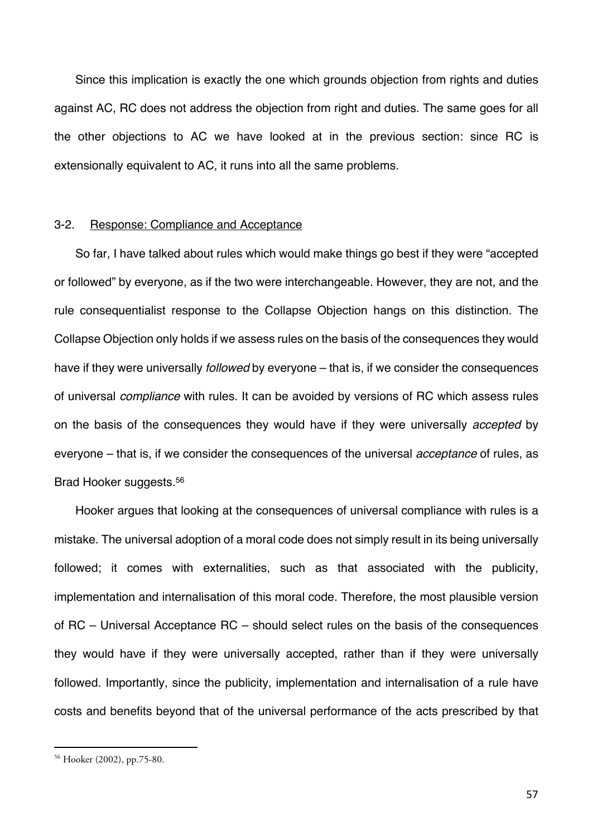Since this implication is exactly the one which grounds objection from rights and duties against AC, RC does not address the objection from right and duties. The same goes for all the other objections to AC we have looked at in the previous section: since RC is extensionally equivalent to AC, it runs into all the same problems.

## 3-2. Response: Compliance and Acceptance

So far, I have talked about rules which would make things go best if they were "accepted or followed" by everyone, as if the two were interchangeable. However, they are not, and the rule consequentialist response to the Collapse Objection hangs on this distinction. The Collapse Objection only holds if we assess rules on the basis of the consequences they would have if they were universally *followed* by everyone – that is, if we consider the consequences of universal *compliance* with rules. It can be avoided by versions of RC which assess rules on the basis of the consequences they would have if they were universally *accepted* by everyone – that is, if we consider the consequences of the universal *acceptance* of rules, as Brad Hooker suggests.56

Hooker argues that looking at the consequences of universal compliance with rules is a mistake. The universal adoption of a moral code does not simply result in its being universally followed; it comes with externalities, such as that associated with the publicity, implementation and internalisation of this moral code. Therefore, the most plausible version of RC – Universal Acceptance RC – should select rules on the basis of the consequences they would have if they were universally accepted, rather than if they were universally followed. Importantly, since the publicity, implementation and internalisation of a rule have costs and benefits beyond that of the universal performance of the acts prescribed by that

<sup>56</sup> Hooker (2002), pp.75-80.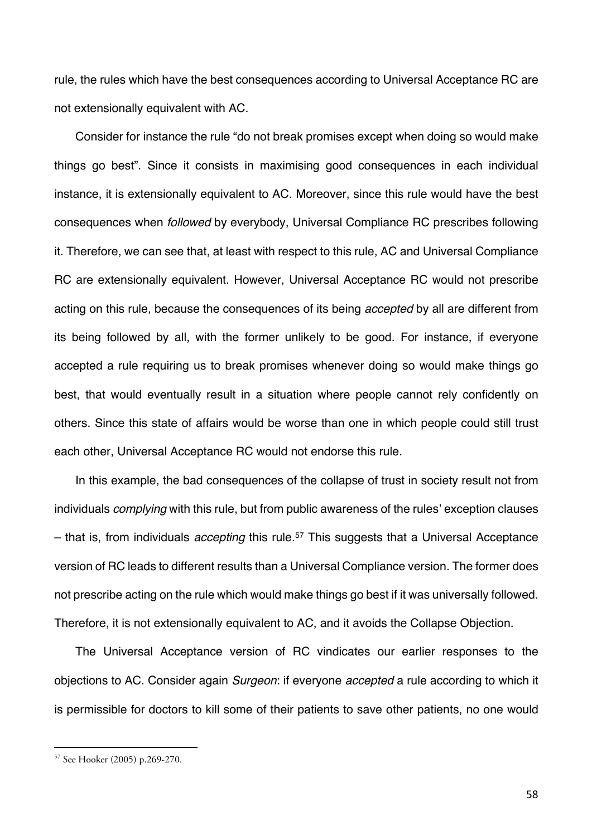rule, the rules which have the best consequences according to Universal Acceptance RC are not extensionally equivalent with AC.

Consider for instance the rule "do not break promises except when doing so would make things go best". Since it consists in maximising good consequences in each individual instance, it is extensionally equivalent to AC. Moreover, since this rule would have the best consequences when *followed* by everybody, Universal Compliance RC prescribes following it. Therefore, we can see that, at least with respect to this rule, AC and Universal Compliance RC are extensionally equivalent. However, Universal Acceptance RC would not prescribe acting on this rule, because the consequences of its being *accepted* by all are different from its being followed by all, with the former unlikely to be good. For instance, if everyone accepted a rule requiring us to break promises whenever doing so would make things go best, that would eventually result in a situation where people cannot rely confidently on others. Since this state of affairs would be worse than one in which people could still trust each other, Universal Acceptance RC would not endorse this rule.

In this example, the bad consequences of the collapse of trust in society result not from individuals *complying* with this rule, but from public awareness of the rules' exception clauses – that is, from individuals *accepting* this rule.57 This suggests that a Universal Acceptance version of RC leads to different results than a Universal Compliance version. The former does not prescribe acting on the rule which would make things go best if it was universally followed. Therefore, it is not extensionally equivalent to AC, and it avoids the Collapse Objection.

The Universal Acceptance version of RC vindicates our earlier responses to the objections to AC. Consider again *Surgeon*: if everyone *accepted* a rule according to which it is permissible for doctors to kill some of their patients to save other patients, no one would

<sup>57</sup> See Hooker (2005) p.269-270.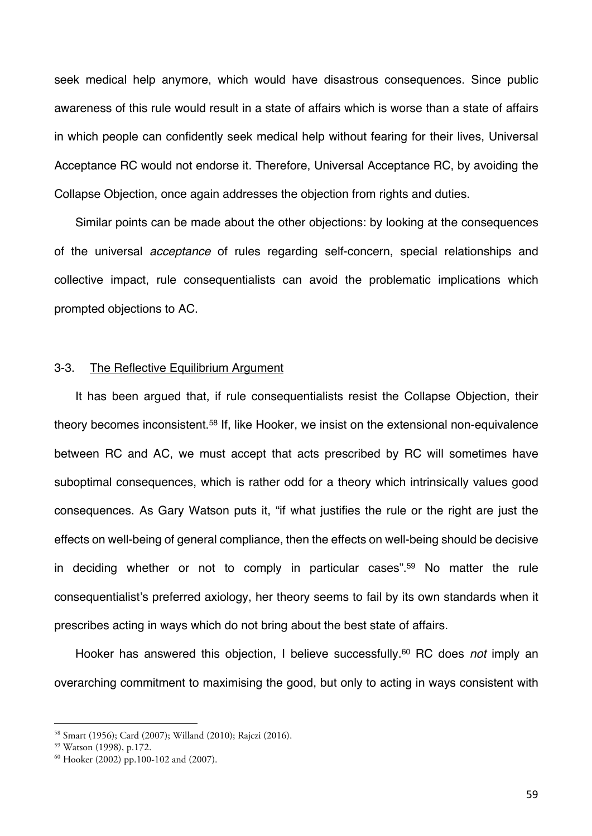seek medical help anymore, which would have disastrous consequences. Since public awareness of this rule would result in a state of affairs which is worse than a state of affairs in which people can confidently seek medical help without fearing for their lives, Universal Acceptance RC would not endorse it. Therefore, Universal Acceptance RC, by avoiding the Collapse Objection, once again addresses the objection from rights and duties.

Similar points can be made about the other objections: by looking at the consequences of the universal *acceptance* of rules regarding self-concern, special relationships and collective impact, rule consequentialists can avoid the problematic implications which prompted objections to AC.

## 3-3. The Reflective Equilibrium Argument

It has been argued that, if rule consequentialists resist the Collapse Objection, their theory becomes inconsistent.<sup>58</sup> If, like Hooker, we insist on the extensional non-equivalence between RC and AC, we must accept that acts prescribed by RC will sometimes have suboptimal consequences, which is rather odd for a theory which intrinsically values good consequences. As Gary Watson puts it, "if what justifies the rule or the right are just the effects on well-being of general compliance, then the effects on well-being should be decisive in deciding whether or not to comply in particular cases".<sup>59</sup> No matter the rule consequentialist's preferred axiology, her theory seems to fail by its own standards when it prescribes acting in ways which do not bring about the best state of affairs.

Hooker has answered this objection, I believe successfully.<sup>60</sup> RC does *not* imply an overarching commitment to maximising the good, but only to acting in ways consistent with

<sup>58</sup> Smart (1956); Card (2007); Willand (2010); Rajczi (2016). 59 Watson (1998), p.172.

<sup>60</sup> Hooker (2002) pp.100-102 and (2007).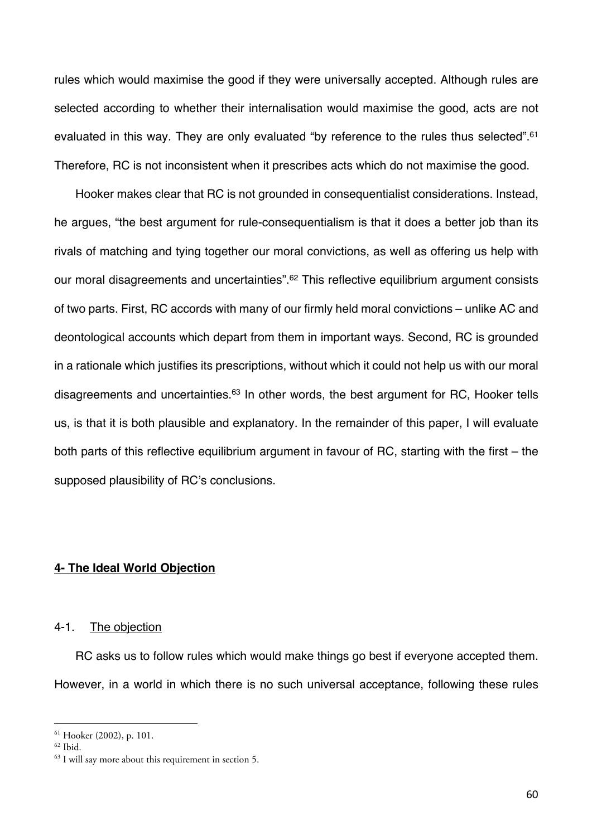rules which would maximise the good if they were universally accepted. Although rules are selected according to whether their internalisation would maximise the good, acts are not evaluated in this way. They are only evaluated "by reference to the rules thus selected".<sup>61</sup> Therefore, RC is not inconsistent when it prescribes acts which do not maximise the good.

Hooker makes clear that RC is not grounded in consequentialist considerations. Instead, he argues, "the best argument for rule-consequentialism is that it does a better job than its rivals of matching and tying together our moral convictions, as well as offering us help with our moral disagreements and uncertainties".62 This reflective equilibrium argument consists of two parts. First, RC accords with many of our firmly held moral convictions – unlike AC and deontological accounts which depart from them in important ways. Second, RC is grounded in a rationale which justifies its prescriptions, without which it could not help us with our moral disagreements and uncertainties.<sup>63</sup> In other words, the best argument for RC, Hooker tells us, is that it is both plausible and explanatory. In the remainder of this paper, I will evaluate both parts of this reflective equilibrium argument in favour of RC, starting with the first – the supposed plausibility of RC's conclusions.

## **4- The Ideal World Objection**

### 4-1. The objection

RC asks us to follow rules which would make things go best if everyone accepted them. However, in a world in which there is no such universal acceptance, following these rules

<sup>61</sup> Hooker (2002), p. 101.

 $62$  Ibid.

<sup>&</sup>lt;sup>63</sup> I will say more about this requirement in section 5.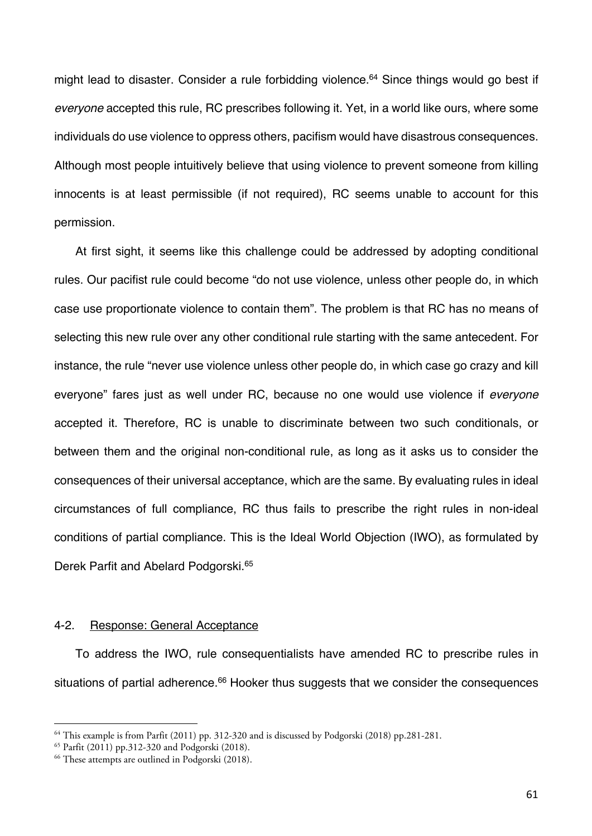might lead to disaster. Consider a rule forbidding violence.<sup>64</sup> Since things would go best if *everyone* accepted this rule, RC prescribes following it. Yet, in a world like ours, where some individuals do use violence to oppress others, pacifism would have disastrous consequences. Although most people intuitively believe that using violence to prevent someone from killing innocents is at least permissible (if not required), RC seems unable to account for this permission.

At first sight, it seems like this challenge could be addressed by adopting conditional rules. Our pacifist rule could become "do not use violence, unless other people do, in which case use proportionate violence to contain them". The problem is that RC has no means of selecting this new rule over any other conditional rule starting with the same antecedent. For instance, the rule "never use violence unless other people do, in which case go crazy and kill everyone" fares just as well under RC, because no one would use violence if *everyone*  accepted it. Therefore, RC is unable to discriminate between two such conditionals, or between them and the original non-conditional rule, as long as it asks us to consider the consequences of their universal acceptance, which are the same. By evaluating rules in ideal circumstances of full compliance, RC thus fails to prescribe the right rules in non-ideal conditions of partial compliance. This is the Ideal World Objection (IWO), as formulated by Derek Parfit and Abelard Podgorski.<sup>65</sup>

# 4-2. Response: General Acceptance

To address the IWO, rule consequentialists have amended RC to prescribe rules in situations of partial adherence.<sup>66</sup> Hooker thus suggests that we consider the consequences

<sup>64</sup> This example is from Parfit (2011) pp. 312-320 and is discussed by Podgorski (2018) pp.281-281.

<sup>65</sup> Parfit (2011) pp.312-320 and Podgorski (2018).

<sup>66</sup> These attempts are outlined in Podgorski (2018).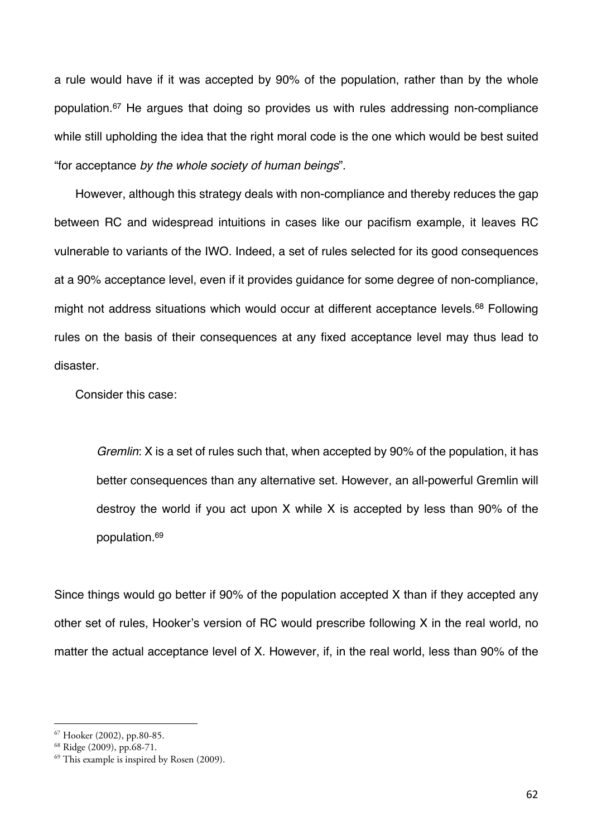a rule would have if it was accepted by 90% of the population, rather than by the whole population.67 He argues that doing so provides us with rules addressing non-compliance while still upholding the idea that the right moral code is the one which would be best suited "for acceptance *by the whole society of human beings*".

However, although this strategy deals with non-compliance and thereby reduces the gap between RC and widespread intuitions in cases like our pacifism example, it leaves RC vulnerable to variants of the IWO. Indeed, a set of rules selected for its good consequences at a 90% acceptance level, even if it provides guidance for some degree of non-compliance, might not address situations which would occur at different acceptance levels.<sup>68</sup> Following rules on the basis of their consequences at any fixed acceptance level may thus lead to disaster.

Consider this case:

*Gremlin*: X is a set of rules such that, when accepted by 90% of the population, it has better consequences than any alternative set. However, an all-powerful Gremlin will destroy the world if you act upon X while X is accepted by less than 90% of the population.69

Since things would go better if 90% of the population accepted X than if they accepted any other set of rules, Hooker's version of RC would prescribe following X in the real world, no matter the actual acceptance level of X. However, if, in the real world, less than 90% of the

<sup>67</sup> Hooker (2002), pp.80-85.

<sup>68</sup> Ridge (2009), pp.68-71.

 $69$  This example is inspired by Rosen (2009).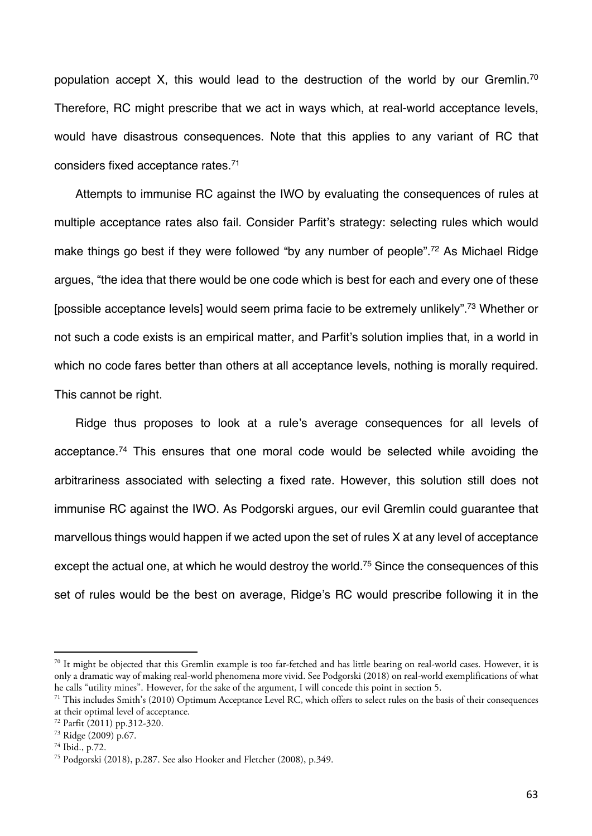population accept X, this would lead to the destruction of the world by our Gremlin.<sup>70</sup> Therefore, RC might prescribe that we act in ways which, at real-world acceptance levels, would have disastrous consequences. Note that this applies to any variant of RC that considers fixed acceptance rates.71

Attempts to immunise RC against the IWO by evaluating the consequences of rules at multiple acceptance rates also fail. Consider Parfit's strategy: selecting rules which would make things go best if they were followed "by any number of people".<sup>72</sup> As Michael Ridge argues, "the idea that there would be one code which is best for each and every one of these [possible acceptance levels] would seem prima facie to be extremely unlikely".73 Whether or not such a code exists is an empirical matter, and Parfit's solution implies that, in a world in which no code fares better than others at all acceptance levels, nothing is morally required. This cannot be right.

Ridge thus proposes to look at a rule's average consequences for all levels of acceptance.74 This ensures that one moral code would be selected while avoiding the arbitrariness associated with selecting a fixed rate. However, this solution still does not immunise RC against the IWO. As Podgorski argues, our evil Gremlin could guarantee that marvellous things would happen if we acted upon the set of rules X at any level of acceptance except the actual one, at which he would destroy the world.<sup>75</sup> Since the consequences of this set of rules would be the best on average, Ridge's RC would prescribe following it in the

 $70$  It might be objected that this Gremlin example is too far-fetched and has little bearing on real-world cases. However, it is only a dramatic way of making real-world phenomena more vivid. See Podgorski (2018) on real-world exemplifications of what he calls "utility mines". However, for the sake of the argument, I will concede this point in section 5.<br><sup>71</sup> This includes Smith's (2010) Optimum Acceptance Level RC, which offers to select rules on the basis of their con

at their optimal level of acceptance.

<sup>72</sup> Parfit (2011) pp.312-320.

<sup>73</sup> Ridge (2009) p.67.

<sup>74</sup> Ibid., p.72.

<sup>75</sup> Podgorski (2018), p.287. See also Hooker and Fletcher (2008), p.349.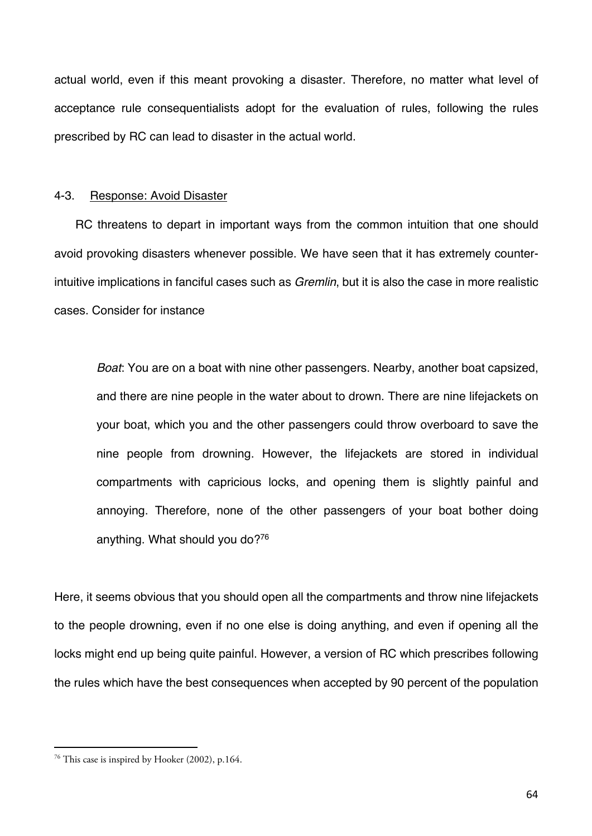actual world, even if this meant provoking a disaster. Therefore, no matter what level of acceptance rule consequentialists adopt for the evaluation of rules, following the rules prescribed by RC can lead to disaster in the actual world.

## 4-3. Response: Avoid Disaster

RC threatens to depart in important ways from the common intuition that one should avoid provoking disasters whenever possible. We have seen that it has extremely counterintuitive implications in fanciful cases such as *Gremlin*, but it is also the case in more realistic cases. Consider for instance

*Boat*: You are on a boat with nine other passengers. Nearby, another boat capsized, and there are nine people in the water about to drown. There are nine lifejackets on your boat, which you and the other passengers could throw overboard to save the nine people from drowning. However, the lifejackets are stored in individual compartments with capricious locks, and opening them is slightly painful and annoying. Therefore, none of the other passengers of your boat bother doing anything. What should you do?76

Here, it seems obvious that you should open all the compartments and throw nine lifejackets to the people drowning, even if no one else is doing anything, and even if opening all the locks might end up being quite painful. However, a version of RC which prescribes following the rules which have the best consequences when accepted by 90 percent of the population

<sup>76</sup> This case is inspired by Hooker (2002), p.164.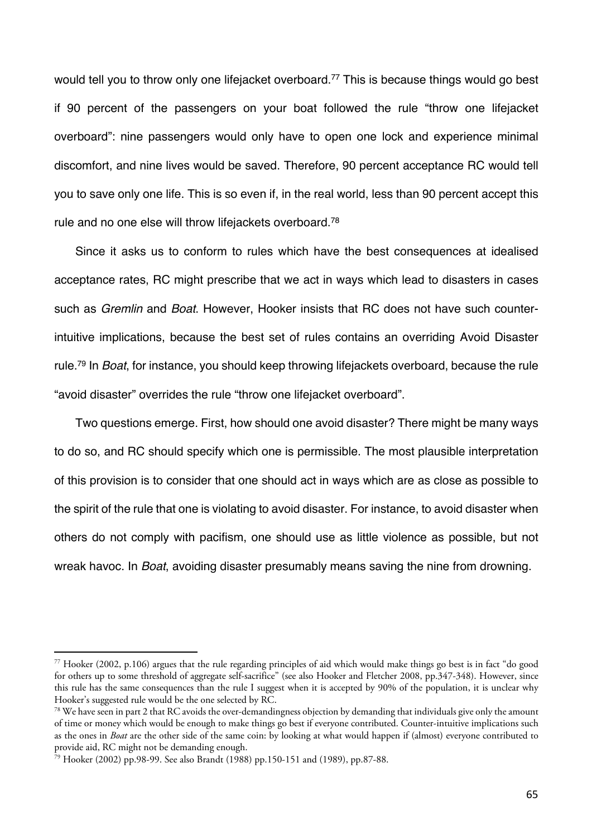would tell you to throw only one lifejacket overboard.<sup>77</sup> This is because things would go best if 90 percent of the passengers on your boat followed the rule "throw one lifejacket overboard": nine passengers would only have to open one lock and experience minimal discomfort, and nine lives would be saved. Therefore, 90 percent acceptance RC would tell you to save only one life. This is so even if, in the real world, less than 90 percent accept this rule and no one else will throw lifejackets overboard.78

Since it asks us to conform to rules which have the best consequences at idealised acceptance rates, RC might prescribe that we act in ways which lead to disasters in cases such as *Gremlin* and *Boat*. However, Hooker insists that RC does not have such counterintuitive implications, because the best set of rules contains an overriding Avoid Disaster rule.79 In *Boat*, for instance, you should keep throwing lifejackets overboard, because the rule "avoid disaster" overrides the rule "throw one lifejacket overboard".

Two questions emerge. First, how should one avoid disaster? There might be many ways to do so, and RC should specify which one is permissible. The most plausible interpretation of this provision is to consider that one should act in ways which are as close as possible to the spirit of the rule that one is violating to avoid disaster. For instance, to avoid disaster when others do not comply with pacifism, one should use as little violence as possible, but not wreak havoc. In *Boat*, avoiding disaster presumably means saving the nine from drowning.

<sup>77</sup> Hooker (2002, p.106) argues that the rule regarding principles of aid which would make things go best is in fact "do good for others up to some threshold of aggregate self-sacrifice" (see also Hooker and Fletcher 2008, pp.347-348). However, since this rule has the same consequences than the rule I suggest when it is accepted by 90% of the population, it is unclear why Hooker's suggested rule would be the one selected by RC.

<sup>&</sup>lt;sup>78</sup> We have seen in part 2 that RC avoids the over-demandingness objection by demanding that individuals give only the amount of time or money which would be enough to make things go best if everyone contributed. Counter-intuitive implications such as the ones in *Boat* are the other side of the same coin: by looking at what would happen if (almost) everyone contributed to provide aid, RC might not be demanding enough.

<sup>&</sup>lt;sup>79</sup> Hooker (2002) pp.98-99. See also Brandt (1988) pp.150-151 and (1989), pp.87-88.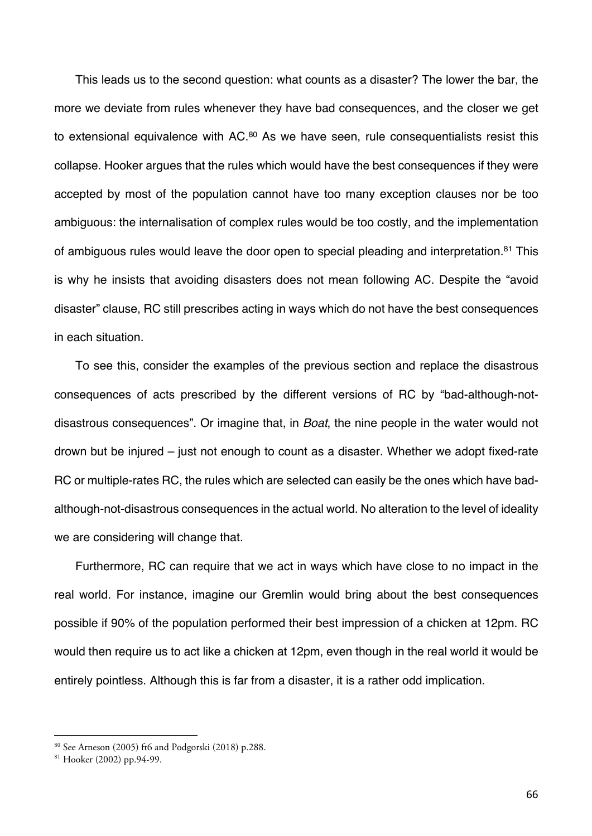This leads us to the second question: what counts as a disaster? The lower the bar, the more we deviate from rules whenever they have bad consequences, and the closer we get to extensional equivalence with AC.<sup>80</sup> As we have seen, rule consequentialists resist this collapse. Hooker argues that the rules which would have the best consequences if they were accepted by most of the population cannot have too many exception clauses nor be too ambiguous: the internalisation of complex rules would be too costly, and the implementation of ambiguous rules would leave the door open to special pleading and interpretation.<sup>81</sup> This is why he insists that avoiding disasters does not mean following AC. Despite the "avoid disaster" clause, RC still prescribes acting in ways which do not have the best consequences in each situation.

To see this, consider the examples of the previous section and replace the disastrous consequences of acts prescribed by the different versions of RC by "bad-although-notdisastrous consequences". Or imagine that, in *Boat*, the nine people in the water would not drown but be injured – just not enough to count as a disaster. Whether we adopt fixed-rate RC or multiple-rates RC, the rules which are selected can easily be the ones which have badalthough-not-disastrous consequences in the actual world. No alteration to the level of ideality we are considering will change that.

Furthermore, RC can require that we act in ways which have close to no impact in the real world. For instance, imagine our Gremlin would bring about the best consequences possible if 90% of the population performed their best impression of a chicken at 12pm. RC would then require us to act like a chicken at 12pm, even though in the real world it would be entirely pointless. Although this is far from a disaster, it is a rather odd implication.

<sup>80</sup> See Arneson (2005) ft6 and Podgorski (2018) p.288.

<sup>81</sup> Hooker (2002) pp.94-99.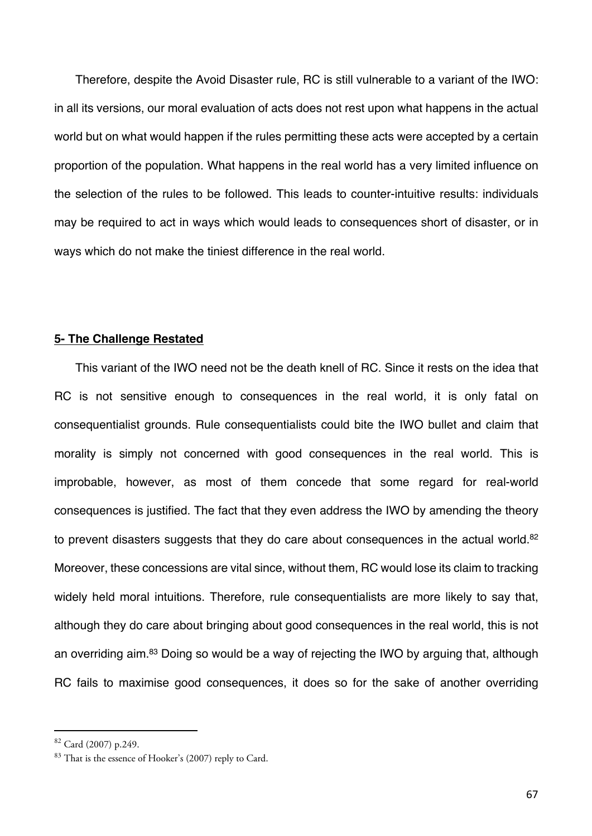Therefore, despite the Avoid Disaster rule, RC is still vulnerable to a variant of the IWO: in all its versions, our moral evaluation of acts does not rest upon what happens in the actual world but on what would happen if the rules permitting these acts were accepted by a certain proportion of the population. What happens in the real world has a very limited influence on the selection of the rules to be followed. This leads to counter-intuitive results: individuals may be required to act in ways which would leads to consequences short of disaster, or in ways which do not make the tiniest difference in the real world.

### **5- The Challenge Restated**

This variant of the IWO need not be the death knell of RC. Since it rests on the idea that RC is not sensitive enough to consequences in the real world, it is only fatal on consequentialist grounds. Rule consequentialists could bite the IWO bullet and claim that morality is simply not concerned with good consequences in the real world. This is improbable, however, as most of them concede that some regard for real-world consequences is justified. The fact that they even address the IWO by amending the theory to prevent disasters suggests that they do care about consequences in the actual world.<sup>82</sup> Moreover, these concessions are vital since, without them, RC would lose its claim to tracking widely held moral intuitions. Therefore, rule consequentialists are more likely to say that, although they do care about bringing about good consequences in the real world, this is not an overriding aim.<sup>83</sup> Doing so would be a way of rejecting the IWO by arguing that, although RC fails to maximise good consequences, it does so for the sake of another overriding

<sup>82</sup> Card (2007) p.249.

 $83$  That is the essence of Hooker's (2007) reply to Card.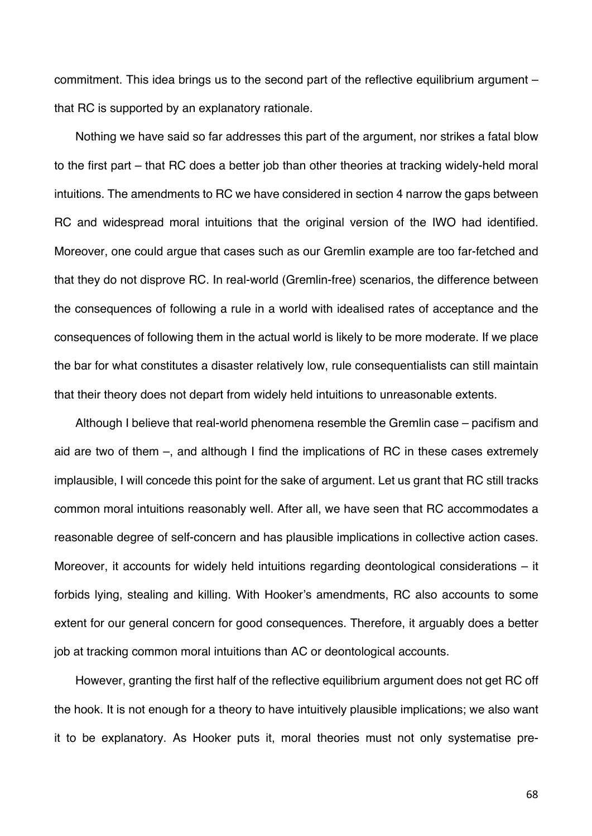commitment. This idea brings us to the second part of the reflective equilibrium argument – that RC is supported by an explanatory rationale.

Nothing we have said so far addresses this part of the argument, nor strikes a fatal blow to the first part – that RC does a better job than other theories at tracking widely-held moral intuitions. The amendments to RC we have considered in section 4 narrow the gaps between RC and widespread moral intuitions that the original version of the IWO had identified. Moreover, one could argue that cases such as our Gremlin example are too far-fetched and that they do not disprove RC. In real-world (Gremlin-free) scenarios, the difference between the consequences of following a rule in a world with idealised rates of acceptance and the consequences of following them in the actual world is likely to be more moderate. If we place the bar for what constitutes a disaster relatively low, rule consequentialists can still maintain that their theory does not depart from widely held intuitions to unreasonable extents.

Although I believe that real-world phenomena resemble the Gremlin case – pacifism and aid are two of them –, and although I find the implications of RC in these cases extremely implausible, I will concede this point for the sake of argument. Let us grant that RC still tracks common moral intuitions reasonably well. After all, we have seen that RC accommodates a reasonable degree of self-concern and has plausible implications in collective action cases. Moreover, it accounts for widely held intuitions regarding deontological considerations – it forbids lying, stealing and killing. With Hooker's amendments, RC also accounts to some extent for our general concern for good consequences. Therefore, it arguably does a better job at tracking common moral intuitions than AC or deontological accounts.

However, granting the first half of the reflective equilibrium argument does not get RC off the hook. It is not enough for a theory to have intuitively plausible implications; we also want it to be explanatory. As Hooker puts it, moral theories must not only systematise pre-

68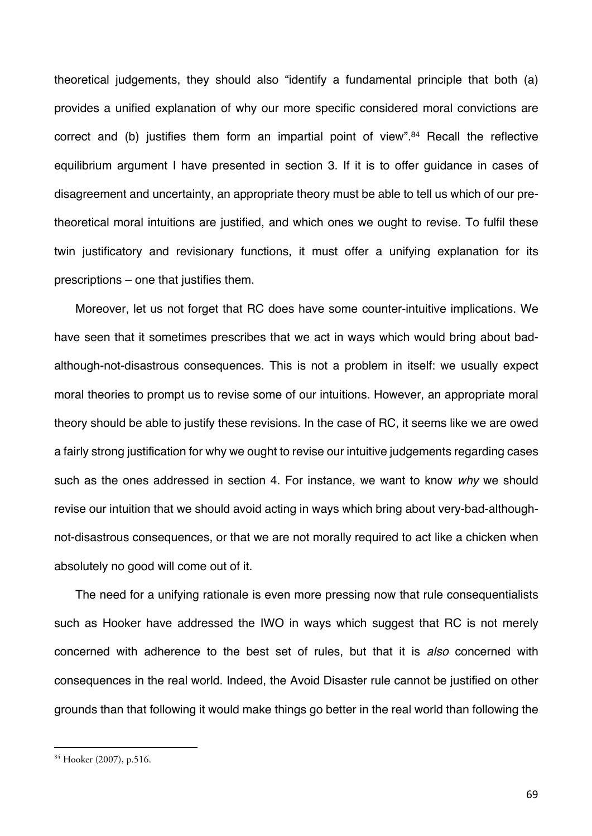theoretical judgements, they should also "identify a fundamental principle that both (a) provides a unified explanation of why our more specific considered moral convictions are correct and (b) justifies them form an impartial point of view".<sup>84</sup> Recall the reflective equilibrium argument I have presented in section 3. If it is to offer guidance in cases of disagreement and uncertainty, an appropriate theory must be able to tell us which of our pretheoretical moral intuitions are justified, and which ones we ought to revise. To fulfil these twin justificatory and revisionary functions, it must offer a unifying explanation for its prescriptions – one that justifies them.

Moreover, let us not forget that RC does have some counter-intuitive implications. We have seen that it sometimes prescribes that we act in ways which would bring about badalthough-not-disastrous consequences. This is not a problem in itself: we usually expect moral theories to prompt us to revise some of our intuitions. However, an appropriate moral theory should be able to justify these revisions. In the case of RC, it seems like we are owed a fairly strong justification for why we ought to revise our intuitive judgements regarding cases such as the ones addressed in section 4. For instance, we want to know *why* we should revise our intuition that we should avoid acting in ways which bring about very-bad-althoughnot-disastrous consequences, or that we are not morally required to act like a chicken when absolutely no good will come out of it.

The need for a unifying rationale is even more pressing now that rule consequentialists such as Hooker have addressed the IWO in ways which suggest that RC is not merely concerned with adherence to the best set of rules, but that it is *also* concerned with consequences in the real world. Indeed, the Avoid Disaster rule cannot be justified on other grounds than that following it would make things go better in the real world than following the

<sup>84</sup> Hooker (2007), p.516.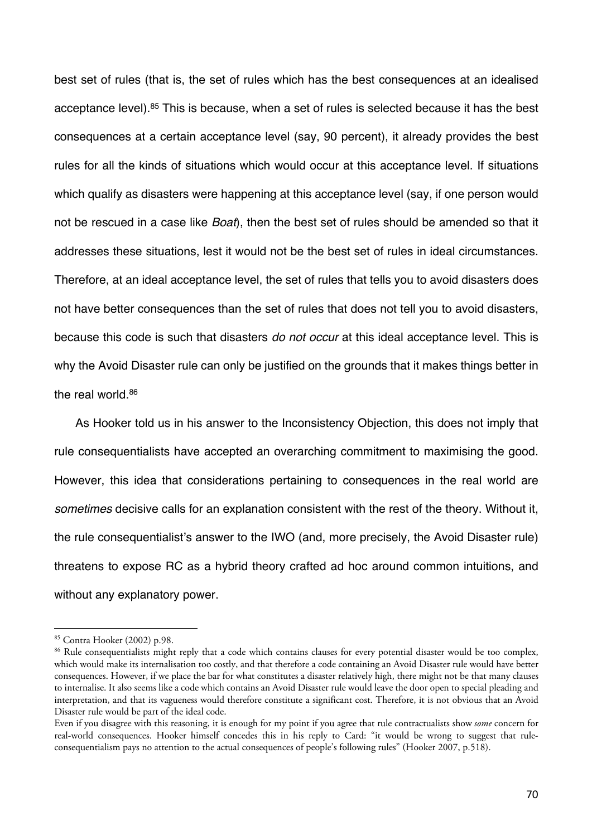best set of rules (that is, the set of rules which has the best consequences at an idealised acceptance level).<sup>85</sup> This is because, when a set of rules is selected because it has the best consequences at a certain acceptance level (say, 90 percent), it already provides the best rules for all the kinds of situations which would occur at this acceptance level. If situations which qualify as disasters were happening at this acceptance level (say, if one person would not be rescued in a case like *Boat*), then the best set of rules should be amended so that it addresses these situations, lest it would not be the best set of rules in ideal circumstances. Therefore, at an ideal acceptance level, the set of rules that tells you to avoid disasters does not have better consequences than the set of rules that does not tell you to avoid disasters, because this code is such that disasters *do not occur* at this ideal acceptance level. This is why the Avoid Disaster rule can only be justified on the grounds that it makes things better in the real world.<sup>86</sup>

As Hooker told us in his answer to the Inconsistency Objection, this does not imply that rule consequentialists have accepted an overarching commitment to maximising the good. However, this idea that considerations pertaining to consequences in the real world are *sometimes* decisive calls for an explanation consistent with the rest of the theory. Without it, the rule consequentialist's answer to the IWO (and, more precisely, the Avoid Disaster rule) threatens to expose RC as a hybrid theory crafted ad hoc around common intuitions, and without any explanatory power.

<sup>85</sup> Contra Hooker (2002) p.98.

<sup>&</sup>lt;sup>86</sup> Rule consequentialists might reply that a code which contains clauses for every potential disaster would be too complex, which would make its internalisation too costly, and that therefore a code containing an Avoid Disaster rule would have better consequences. However, if we place the bar for what constitutes a disaster relatively high, there might not be that many clauses to internalise. It also seems like a code which contains an Avoid Disaster rule would leave the door open to special pleading and interpretation, and that its vagueness would therefore constitute a significant cost. Therefore, it is not obvious that an Avoid Disaster rule would be part of the ideal code.

Even if you disagree with this reasoning, it is enough for my point if you agree that rule contractualists show *some* concern for real-world consequences. Hooker himself concedes this in his reply to Card: "it would be wrong to suggest that ruleconsequentialism pays no attention to the actual consequences of people's following rules" (Hooker 2007, p.518).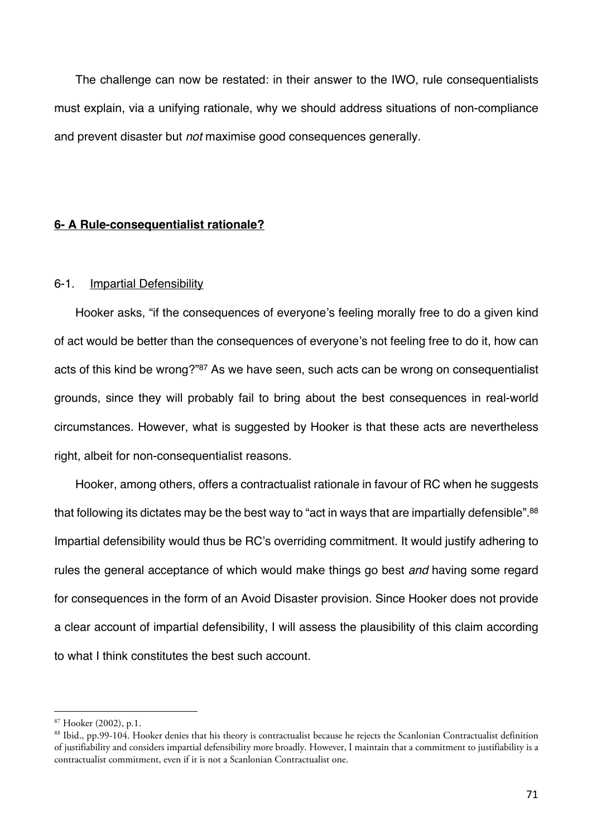The challenge can now be restated: in their answer to the IWO, rule consequentialists must explain, via a unifying rationale, why we should address situations of non-compliance and prevent disaster but *not* maximise good consequences generally.

# **6- A Rule-consequentialist rationale?**

### 6-1. Impartial Defensibility

Hooker asks, "if the consequences of everyone's feeling morally free to do a given kind of act would be better than the consequences of everyone's not feeling free to do it, how can acts of this kind be wrong?"87 As we have seen, such acts can be wrong on consequentialist grounds, since they will probably fail to bring about the best consequences in real-world circumstances. However, what is suggested by Hooker is that these acts are nevertheless right, albeit for non-consequentialist reasons.

Hooker, among others, offers a contractualist rationale in favour of RC when he suggests that following its dictates may be the best way to "act in ways that are impartially defensible".<sup>88</sup> Impartial defensibility would thus be RC's overriding commitment. It would justify adhering to rules the general acceptance of which would make things go best *and* having some regard for consequences in the form of an Avoid Disaster provision. Since Hooker does not provide a clear account of impartial defensibility, I will assess the plausibility of this claim according to what I think constitutes the best such account.

<sup>87</sup> Hooker (2002), p.1.

<sup>88</sup> Ibid., pp.99-104. Hooker denies that his theory is contractualist because he rejects the Scanlonian Contractualist definition of justifiability and considers impartial defensibility more broadly. However, I maintain that a commitment to justifiability is a contractualist commitment, even if it is not a Scanlonian Contractualist one.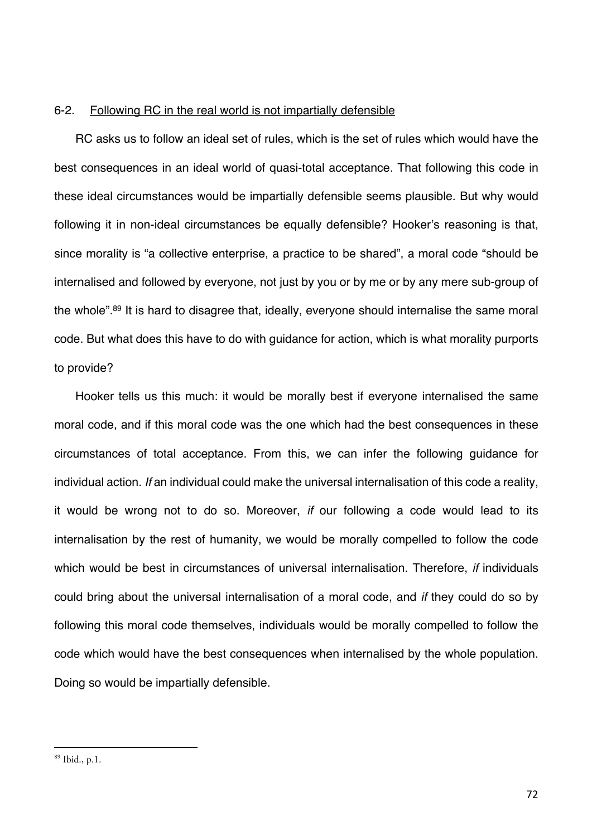### 6-2. Following RC in the real world is not impartially defensible

RC asks us to follow an ideal set of rules, which is the set of rules which would have the best consequences in an ideal world of quasi-total acceptance. That following this code in these ideal circumstances would be impartially defensible seems plausible. But why would following it in non-ideal circumstances be equally defensible? Hooker's reasoning is that, since morality is "a collective enterprise, a practice to be shared", a moral code "should be internalised and followed by everyone, not just by you or by me or by any mere sub-group of the whole".89 It is hard to disagree that, ideally, everyone should internalise the same moral code. But what does this have to do with guidance for action, which is what morality purports to provide?

Hooker tells us this much: it would be morally best if everyone internalised the same moral code, and if this moral code was the one which had the best consequences in these circumstances of total acceptance. From this, we can infer the following guidance for individual action. *If* an individual could make the universal internalisation of this code a reality, it would be wrong not to do so. Moreover, *if* our following a code would lead to its internalisation by the rest of humanity, we would be morally compelled to follow the code which would be best in circumstances of universal internalisation. Therefore, *if* individuals could bring about the universal internalisation of a moral code, and *if* they could do so by following this moral code themselves, individuals would be morally compelled to follow the code which would have the best consequences when internalised by the whole population. Doing so would be impartially defensible.

<sup>89</sup> Ibid., p.1.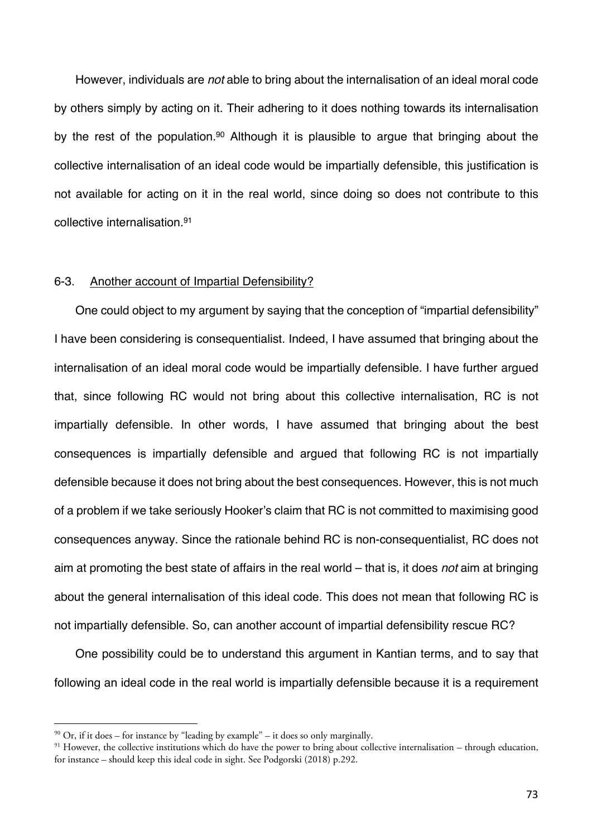However, individuals are *not* able to bring about the internalisation of an ideal moral code by others simply by acting on it. Their adhering to it does nothing towards its internalisation by the rest of the population.<sup>90</sup> Although it is plausible to argue that bringing about the collective internalisation of an ideal code would be impartially defensible, this justification is not available for acting on it in the real world, since doing so does not contribute to this collective internalisation.91

### 6-3. Another account of Impartial Defensibility?

One could object to my argument by saying that the conception of "impartial defensibility" I have been considering is consequentialist. Indeed, I have assumed that bringing about the internalisation of an ideal moral code would be impartially defensible. I have further argued that, since following RC would not bring about this collective internalisation, RC is not impartially defensible. In other words, I have assumed that bringing about the best consequences is impartially defensible and argued that following RC is not impartially defensible because it does not bring about the best consequences. However, this is not much of a problem if we take seriously Hooker's claim that RC is not committed to maximising good consequences anyway. Since the rationale behind RC is non-consequentialist, RC does not aim at promoting the best state of affairs in the real world – that is, it does *not* aim at bringing about the general internalisation of this ideal code. This does not mean that following RC is not impartially defensible. So, can another account of impartial defensibility rescue RC?

One possibility could be to understand this argument in Kantian terms, and to say that following an ideal code in the real world is impartially defensible because it is a requirement

 $90$  Or, if it does – for instance by "leading by example" – it does so only marginally.

<sup>&</sup>lt;sup>91</sup> However, the collective institutions which do have the power to bring about collective internalisation – through education, for instance – should keep this ideal code in sight. See Podgorski (2018) p.292.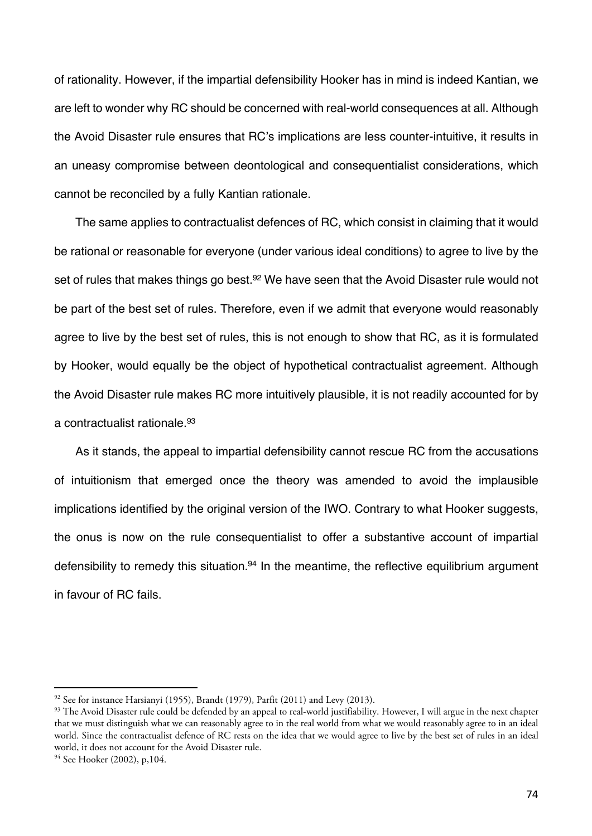of rationality. However, if the impartial defensibility Hooker has in mind is indeed Kantian, we are left to wonder why RC should be concerned with real-world consequences at all. Although the Avoid Disaster rule ensures that RC's implications are less counter-intuitive, it results in an uneasy compromise between deontological and consequentialist considerations, which cannot be reconciled by a fully Kantian rationale.

The same applies to contractualist defences of RC, which consist in claiming that it would be rational or reasonable for everyone (under various ideal conditions) to agree to live by the set of rules that makes things go best.<sup>92</sup> We have seen that the Avoid Disaster rule would not be part of the best set of rules. Therefore, even if we admit that everyone would reasonably agree to live by the best set of rules, this is not enough to show that RC, as it is formulated by Hooker, would equally be the object of hypothetical contractualist agreement. Although the Avoid Disaster rule makes RC more intuitively plausible, it is not readily accounted for by a contractualist rationale.93

As it stands, the appeal to impartial defensibility cannot rescue RC from the accusations of intuitionism that emerged once the theory was amended to avoid the implausible implications identified by the original version of the IWO. Contrary to what Hooker suggests, the onus is now on the rule consequentialist to offer a substantive account of impartial defensibility to remedy this situation.<sup>94</sup> In the meantime, the reflective equilibrium argument in favour of RC fails.

<sup>&</sup>lt;sup>92</sup> See for instance Harsianyi (1955), Brandt (1979), Parfit (2011) and Levy (2013).<br><sup>93</sup> The Avoid Disaster rule could be defended by an appeal to real-world justifiability. However, I will argue in the next chapter that we must distinguish what we can reasonably agree to in the real world from what we would reasonably agree to in an ideal world. Since the contractualist defence of RC rests on the idea that we would agree to live by the best set of rules in an ideal world, it does not account for the Avoid Disaster rule.

<sup>&</sup>lt;sup>94</sup> See Hooker (2002), p,104.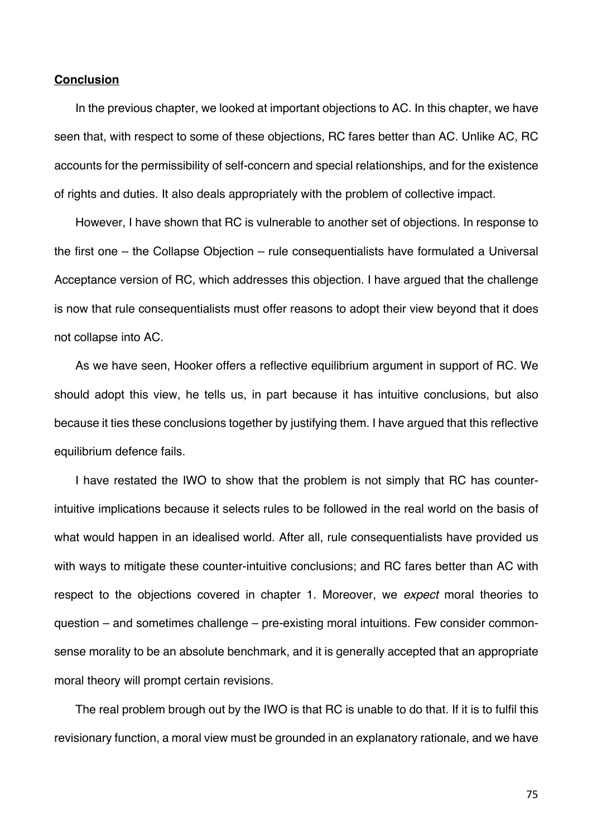### **Conclusion**

In the previous chapter, we looked at important objections to AC. In this chapter, we have seen that, with respect to some of these objections, RC fares better than AC. Unlike AC, RC accounts for the permissibility of self-concern and special relationships, and for the existence of rights and duties. It also deals appropriately with the problem of collective impact.

However, I have shown that RC is vulnerable to another set of objections. In response to the first one – the Collapse Objection – rule consequentialists have formulated a Universal Acceptance version of RC, which addresses this objection. I have argued that the challenge is now that rule consequentialists must offer reasons to adopt their view beyond that it does not collapse into AC.

As we have seen, Hooker offers a reflective equilibrium argument in support of RC. We should adopt this view, he tells us, in part because it has intuitive conclusions, but also because it ties these conclusions together by justifying them. I have argued that this reflective equilibrium defence fails.

I have restated the IWO to show that the problem is not simply that RC has counterintuitive implications because it selects rules to be followed in the real world on the basis of what would happen in an idealised world. After all, rule consequentialists have provided us with ways to mitigate these counter-intuitive conclusions; and RC fares better than AC with respect to the objections covered in chapter 1. Moreover, we *expect* moral theories to question – and sometimes challenge – pre-existing moral intuitions. Few consider commonsense morality to be an absolute benchmark, and it is generally accepted that an appropriate moral theory will prompt certain revisions.

The real problem brough out by the IWO is that RC is unable to do that. If it is to fulfil this revisionary function, a moral view must be grounded in an explanatory rationale, and we have

75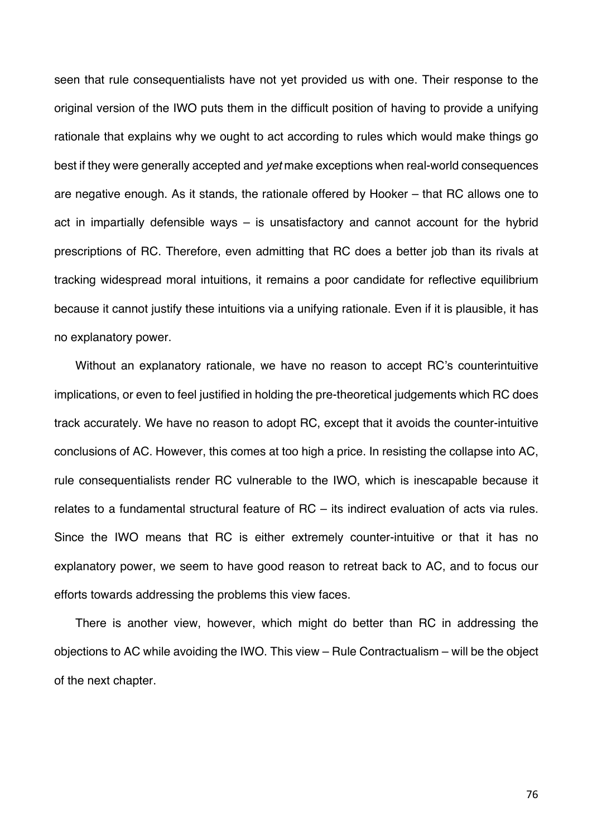seen that rule consequentialists have not yet provided us with one. Their response to the original version of the IWO puts them in the difficult position of having to provide a unifying rationale that explains why we ought to act according to rules which would make things go best if they were generally accepted and *yet* make exceptions when real-world consequences are negative enough. As it stands, the rationale offered by Hooker – that RC allows one to act in impartially defensible ways – is unsatisfactory and cannot account for the hybrid prescriptions of RC. Therefore, even admitting that RC does a better job than its rivals at tracking widespread moral intuitions, it remains a poor candidate for reflective equilibrium because it cannot justify these intuitions via a unifying rationale. Even if it is plausible, it has no explanatory power.

Without an explanatory rationale, we have no reason to accept RC's counterintuitive implications, or even to feel justified in holding the pre-theoretical judgements which RC does track accurately. We have no reason to adopt RC, except that it avoids the counter-intuitive conclusions of AC. However, this comes at too high a price. In resisting the collapse into AC, rule consequentialists render RC vulnerable to the IWO, which is inescapable because it relates to a fundamental structural feature of RC – its indirect evaluation of acts via rules. Since the IWO means that RC is either extremely counter-intuitive or that it has no explanatory power, we seem to have good reason to retreat back to AC, and to focus our efforts towards addressing the problems this view faces.

There is another view, however, which might do better than RC in addressing the objections to AC while avoiding the IWO. This view – Rule Contractualism – will be the object of the next chapter.

76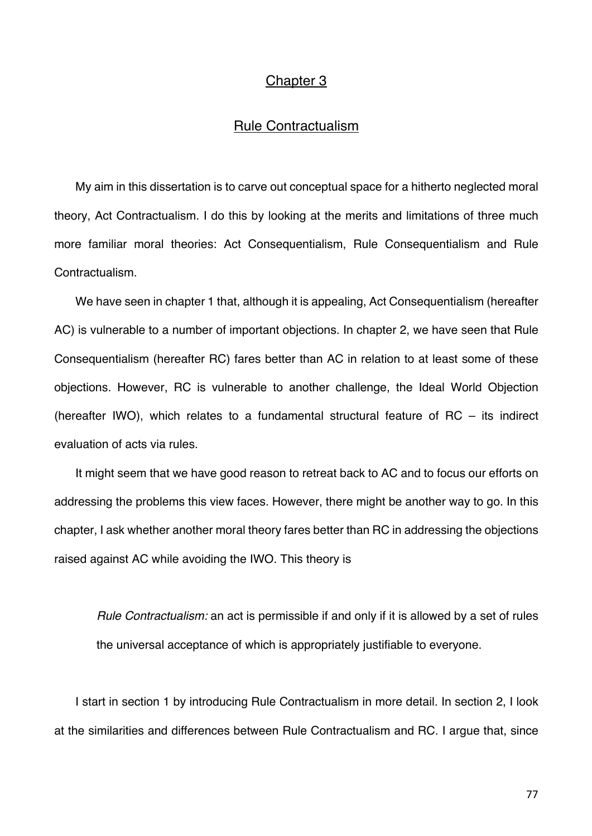# Chapter 3

# Rule Contractualism

My aim in this dissertation is to carve out conceptual space for a hitherto neglected moral theory, Act Contractualism. I do this by looking at the merits and limitations of three much more familiar moral theories: Act Consequentialism, Rule Consequentialism and Rule Contractualism.

We have seen in chapter 1 that, although it is appealing, Act Consequentialism (hereafter AC) is vulnerable to a number of important objections. In chapter 2, we have seen that Rule Consequentialism (hereafter RC) fares better than AC in relation to at least some of these objections. However, RC is vulnerable to another challenge, the Ideal World Objection (hereafter IWO), which relates to a fundamental structural feature of RC – its indirect evaluation of acts via rules.

It might seem that we have good reason to retreat back to AC and to focus our efforts on addressing the problems this view faces. However, there might be another way to go. In this chapter, I ask whether another moral theory fares better than RC in addressing the objections raised against AC while avoiding the IWO. This theory is

*Rule Contractualism:* an act is permissible if and only if it is allowed by a set of rules the universal acceptance of which is appropriately justifiable to everyone.

I start in section 1 by introducing Rule Contractualism in more detail. In section 2, I look at the similarities and differences between Rule Contractualism and RC. I argue that, since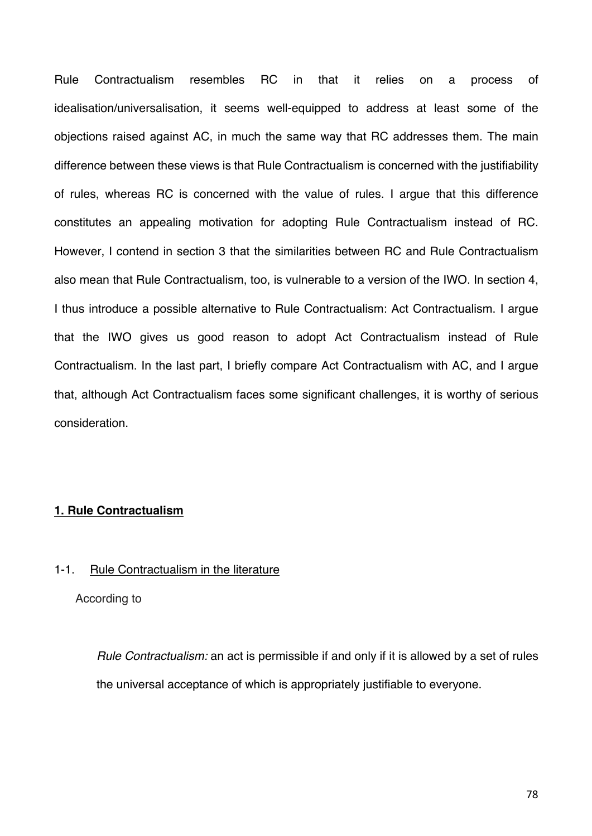Rule Contractualism resembles RC in that it relies on a process of idealisation/universalisation, it seems well-equipped to address at least some of the objections raised against AC, in much the same way that RC addresses them. The main difference between these views is that Rule Contractualism is concerned with the justifiability of rules, whereas RC is concerned with the value of rules. I argue that this difference constitutes an appealing motivation for adopting Rule Contractualism instead of RC. However, I contend in section 3 that the similarities between RC and Rule Contractualism also mean that Rule Contractualism, too, is vulnerable to a version of the IWO. In section 4, I thus introduce a possible alternative to Rule Contractualism: Act Contractualism. I argue that the IWO gives us good reason to adopt Act Contractualism instead of Rule Contractualism. In the last part, I briefly compare Act Contractualism with AC, and I argue that, although Act Contractualism faces some significant challenges, it is worthy of serious consideration.

## **1. Rule Contractualism**

## 1-1. Rule Contractualism in the literature

According to

*Rule Contractualism:* an act is permissible if and only if it is allowed by a set of rules the universal acceptance of which is appropriately justifiable to everyone.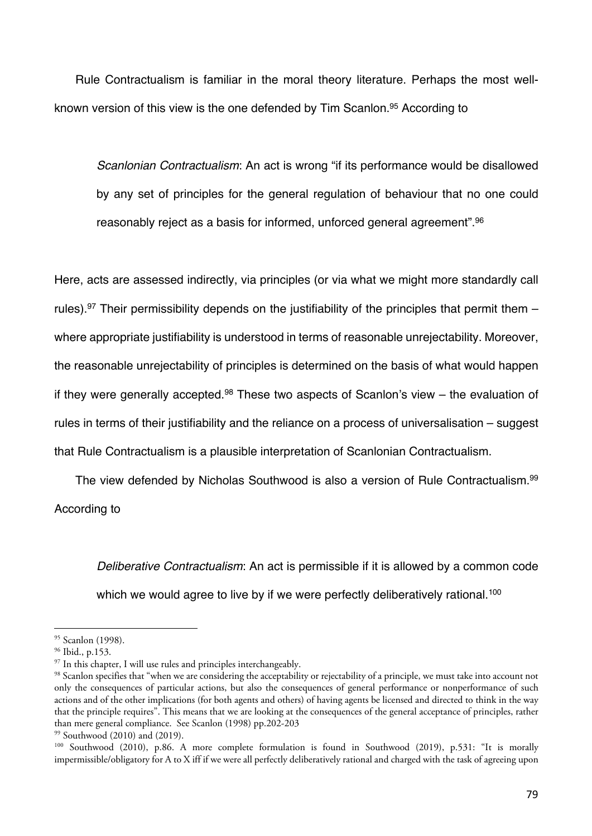Rule Contractualism is familiar in the moral theory literature. Perhaps the most wellknown version of this view is the one defended by Tim Scanlon. <sup>95</sup> According to

*Scanlonian Contractualism*: An act is wrong "if its performance would be disallowed by any set of principles for the general regulation of behaviour that no one could reasonably reject as a basis for informed, unforced general agreement".96

Here, acts are assessed indirectly, via principles (or via what we might more standardly call rules).<sup>97</sup> Their permissibility depends on the justifiability of the principles that permit them  $$ where appropriate justifiability is understood in terms of reasonable unrejectability. Moreover, the reasonable unrejectability of principles is determined on the basis of what would happen if they were generally accepted.<sup>98</sup> These two aspects of Scanlon's view  $-$  the evaluation of rules in terms of their justifiability and the reliance on a process of universalisation – suggest that Rule Contractualism is a plausible interpretation of Scanlonian Contractualism.

The view defended by Nicholas Southwood is also a version of Rule Contractualism.99 According to

*Deliberative Contractualism*: An act is permissible if it is allowed by a common code which we would agree to live by if we were perfectly deliberatively rational.<sup>100</sup>

<sup>95</sup> Scanlon (1998).

<sup>96</sup> Ibid., p.153.

 $97$  In this chapter, I will use rules and principles interchangeably.

<sup>&</sup>lt;sup>98</sup> Scanlon specifies that "when we are considering the acceptability or rejectability of a principle, we must take into account not only the consequences of particular actions, but also the consequences of general performance or nonperformance of such actions and of the other implications (for both agents and others) of having agents be licensed and directed to think in the way that the principle requires". This means that we are looking at the consequences of the general acceptance of principles, rather than mere general compliance. See Scanlon (1998) pp.202-203

<sup>99</sup> Southwood (2010) and (2019).

<sup>100</sup> Southwood (2010), p.86. A more complete formulation is found in Southwood (2019), p.531: "It is morally impermissible/obligatory for A to X iff if we were all perfectly deliberatively rational and charged with the task of agreeing upon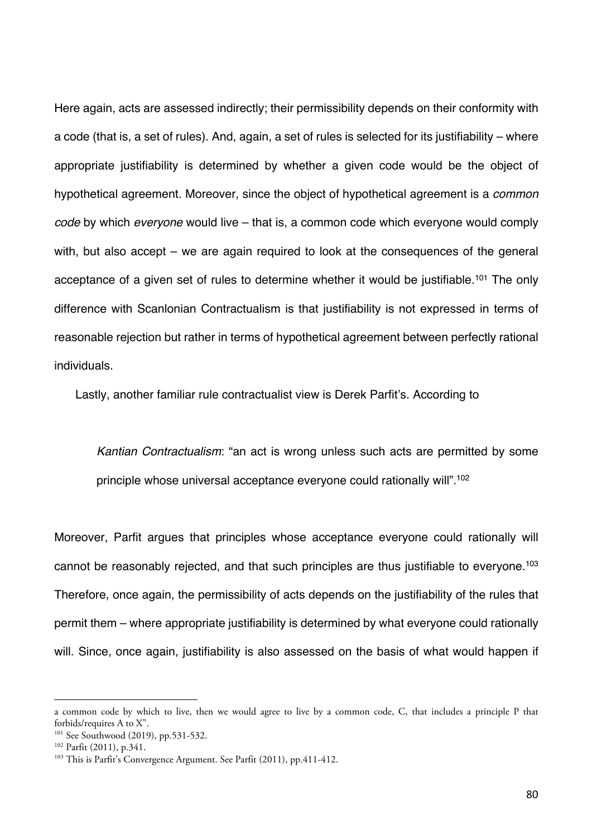Here again, acts are assessed indirectly; their permissibility depends on their conformity with a code (that is, a set of rules). And, again, a set of rules is selected for its justifiability – where appropriate justifiability is determined by whether a given code would be the object of hypothetical agreement. Moreover, since the object of hypothetical agreement is a *common code* by which *everyone* would live – that is, a common code which everyone would comply with, but also accept – we are again required to look at the consequences of the general acceptance of a given set of rules to determine whether it would be justifiable.<sup>101</sup> The only difference with Scanlonian Contractualism is that justifiability is not expressed in terms of reasonable rejection but rather in terms of hypothetical agreement between perfectly rational individuals.

Lastly, another familiar rule contractualist view is Derek Parfit's. According to

*Kantian Contractualism*: "an act is wrong unless such acts are permitted by some principle whose universal acceptance everyone could rationally will".<sup>102</sup>

Moreover, Parfit argues that principles whose acceptance everyone could rationally will cannot be reasonably rejected, and that such principles are thus justifiable to everyone.<sup>103</sup> Therefore, once again, the permissibility of acts depends on the justifiability of the rules that permit them – where appropriate justifiability is determined by what everyone could rationally will. Since, once again, justifiability is also assessed on the basis of what would happen if

a common code by which to live, then we would agree to live by a common code, C, that includes a principle P that forbids/requires A to X".

<sup>&</sup>lt;sup>101</sup> See Southwood (2019), pp.531-532.

<sup>102</sup> Parfit (2011), p.341.

<sup>103</sup> This is Parfit's Convergence Argument. See Parfit (2011), pp.411-412.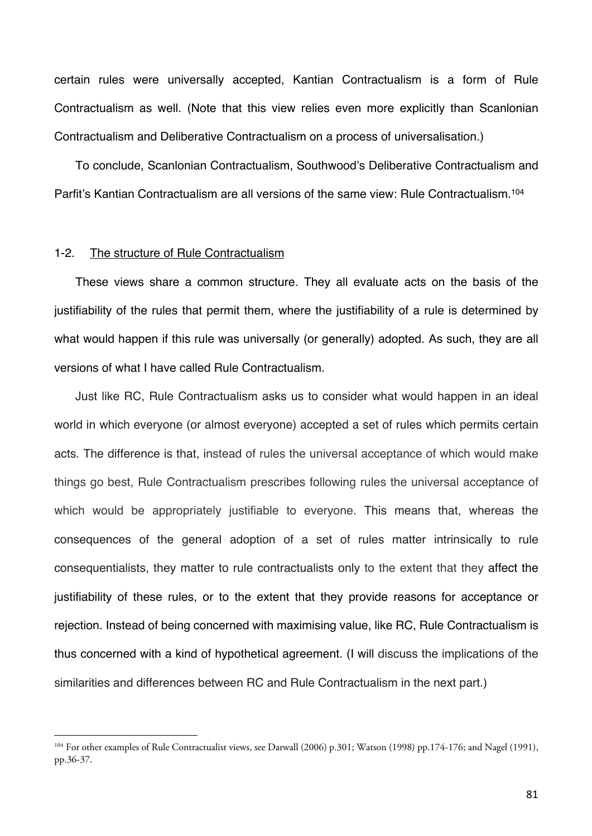certain rules were universally accepted, Kantian Contractualism is a form of Rule Contractualism as well. (Note that this view relies even more explicitly than Scanlonian Contractualism and Deliberative Contractualism on a process of universalisation.)

To conclude, Scanlonian Contractualism, Southwood's Deliberative Contractualism and Parfit's Kantian Contractualism are all versions of the same view: Rule Contractualism.104

### 1-2. The structure of Rule Contractualism

These views share a common structure. They all evaluate acts on the basis of the justifiability of the rules that permit them, where the justifiability of a rule is determined by what would happen if this rule was universally (or generally) adopted. As such, they are all versions of what I have called Rule Contractualism.

Just like RC, Rule Contractualism asks us to consider what would happen in an ideal world in which everyone (or almost everyone) accepted a set of rules which permits certain acts. The difference is that, instead of rules the universal acceptance of which would make things go best, Rule Contractualism prescribes following rules the universal acceptance of which would be appropriately justifiable to everyone. This means that, whereas the consequences of the general adoption of a set of rules matter intrinsically to rule consequentialists, they matter to rule contractualists only to the extent that they affect the justifiability of these rules, or to the extent that they provide reasons for acceptance or rejection. Instead of being concerned with maximising value, like RC, Rule Contractualism is thus concerned with a kind of hypothetical agreement. (I will discuss the implications of the similarities and differences between RC and Rule Contractualism in the next part.)

<sup>&</sup>lt;sup>104</sup> For other examples of Rule Contractualist views, see Darwall (2006) p.301; Watson (1998) pp.174-176; and Nagel (1991), pp.36-37.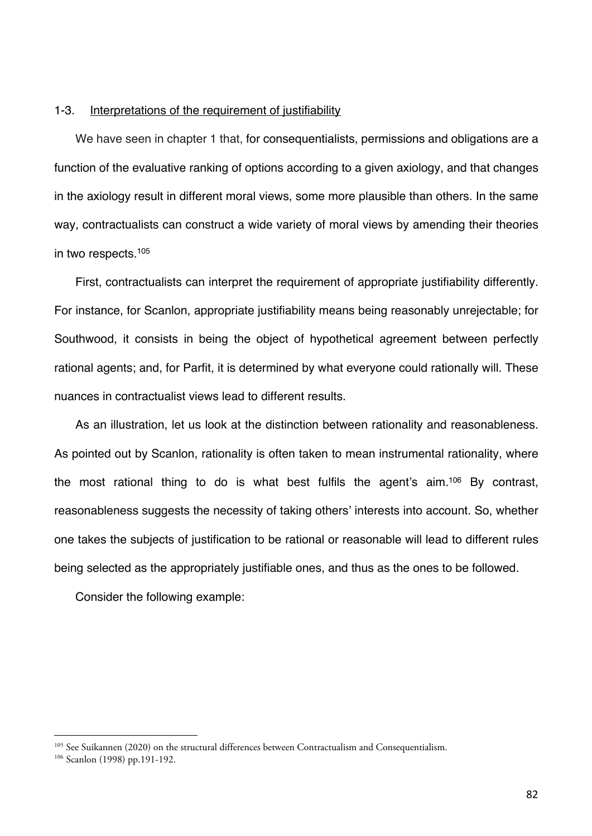### 1-3. Interpretations of the requirement of justifiability

We have seen in chapter 1 that, for consequentialists, permissions and obligations are a function of the evaluative ranking of options according to a given axiology, and that changes in the axiology result in different moral views, some more plausible than others. In the same way, contractualists can construct a wide variety of moral views by amending their theories in two respects.105

First, contractualists can interpret the requirement of appropriate justifiability differently. For instance, for Scanlon, appropriate justifiability means being reasonably unrejectable; for Southwood, it consists in being the object of hypothetical agreement between perfectly rational agents; and, for Parfit, it is determined by what everyone could rationally will. These nuances in contractualist views lead to different results.

As an illustration, let us look at the distinction between rationality and reasonableness. As pointed out by Scanlon, rationality is often taken to mean instrumental rationality, where the most rational thing to do is what best fulfils the agent's aim.106 By contrast, reasonableness suggests the necessity of taking others' interests into account. So, whether one takes the subjects of justification to be rational or reasonable will lead to different rules being selected as the appropriately justifiable ones, and thus as the ones to be followed.

Consider the following example:

<sup>105</sup> See Suikannen (2020) on the structural differences between Contractualism and Consequentialism.

<sup>106</sup> Scanlon (1998) pp.191-192.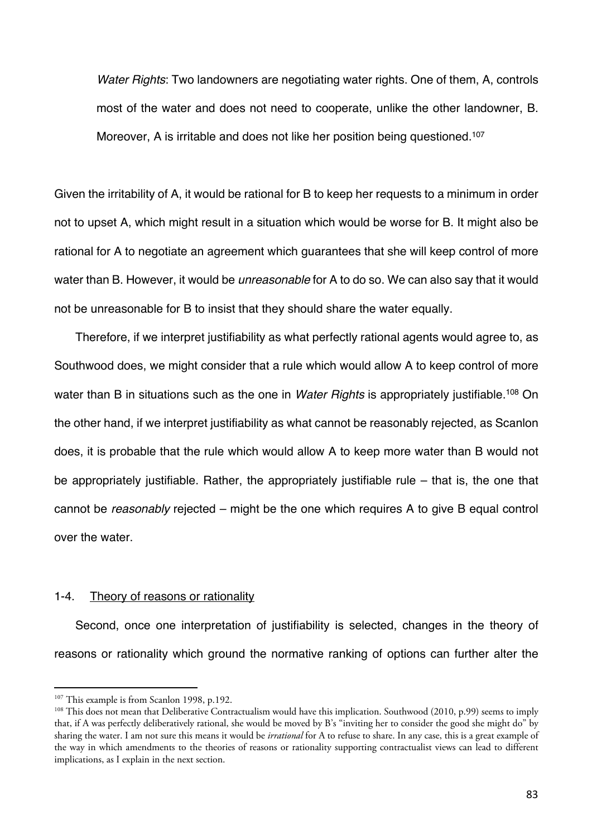*Water Rights*: Two landowners are negotiating water rights. One of them, A, controls most of the water and does not need to cooperate, unlike the other landowner, B. Moreover. A is irritable and does not like her position being questioned.<sup>107</sup>

Given the irritability of A, it would be rational for B to keep her requests to a minimum in order not to upset A, which might result in a situation which would be worse for B. It might also be rational for A to negotiate an agreement which guarantees that she will keep control of more water than B. However, it would be *unreasonable* for A to do so. We can also say that it would not be unreasonable for B to insist that they should share the water equally.

Therefore, if we interpret justifiability as what perfectly rational agents would agree to, as Southwood does, we might consider that a rule which would allow A to keep control of more water than B in situations such as the one in *Water Rights* is appropriately justifiable.<sup>108</sup> On the other hand, if we interpret justifiability as what cannot be reasonably rejected, as Scanlon does, it is probable that the rule which would allow A to keep more water than B would not be appropriately justifiable. Rather, the appropriately justifiable rule – that is, the one that cannot be *reasonably* rejected – might be the one which requires A to give B equal control over the water.

### 1-4. Theory of reasons or rationality

Second, once one interpretation of justifiability is selected, changes in the theory of reasons or rationality which ground the normative ranking of options can further alter the

<sup>&</sup>lt;sup>107</sup> This example is from Scanlon 1998, p.192.<br><sup>108</sup> This does not mean that Deliberative Contractualism would have this implication. Southwood (2010, p.99) seems to imply that, if A was perfectly deliberatively rational, she would be moved by B's "inviting her to consider the good she might do" by sharing the water. I am not sure this means it would be *irrational* for A to refuse to share. In any case, this is a great example of the way in which amendments to the theories of reasons or rationality supporting contractualist views can lead to different implications, as I explain in the next section.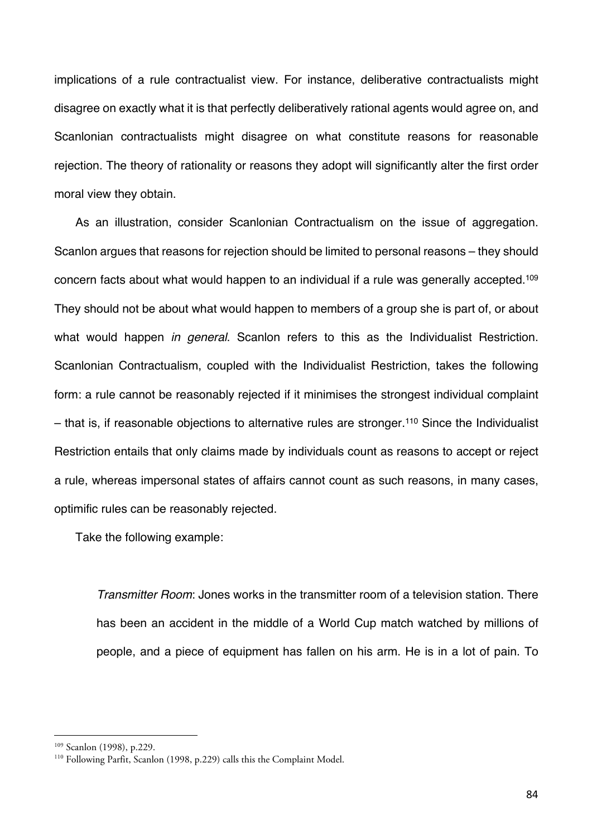implications of a rule contractualist view. For instance, deliberative contractualists might disagree on exactly what it is that perfectly deliberatively rational agents would agree on, and Scanlonian contractualists might disagree on what constitute reasons for reasonable rejection. The theory of rationality or reasons they adopt will significantly alter the first order moral view they obtain.

As an illustration, consider Scanlonian Contractualism on the issue of aggregation. Scanlon argues that reasons for rejection should be limited to personal reasons – they should concern facts about what would happen to an individual if a rule was generally accepted.109 They should not be about what would happen to members of a group she is part of, or about what would happen *in general*. Scanlon refers to this as the Individualist Restriction. Scanlonian Contractualism, coupled with the Individualist Restriction, takes the following form: a rule cannot be reasonably rejected if it minimises the strongest individual complaint  $-$  that is, if reasonable objections to alternative rules are stronger.<sup>110</sup> Since the Individualist Restriction entails that only claims made by individuals count as reasons to accept or reject a rule, whereas impersonal states of affairs cannot count as such reasons, in many cases, optimific rules can be reasonably rejected.

Take the following example:

*Transmitter Room*: Jones works in the transmitter room of a television station. There has been an accident in the middle of a World Cup match watched by millions of people, and a piece of equipment has fallen on his arm. He is in a lot of pain. To

<sup>&</sup>lt;sup>109</sup> Scanlon (1998), p.229.<br><sup>110</sup> Following Parfit, Scanlon (1998, p.229) calls this the Complaint Model.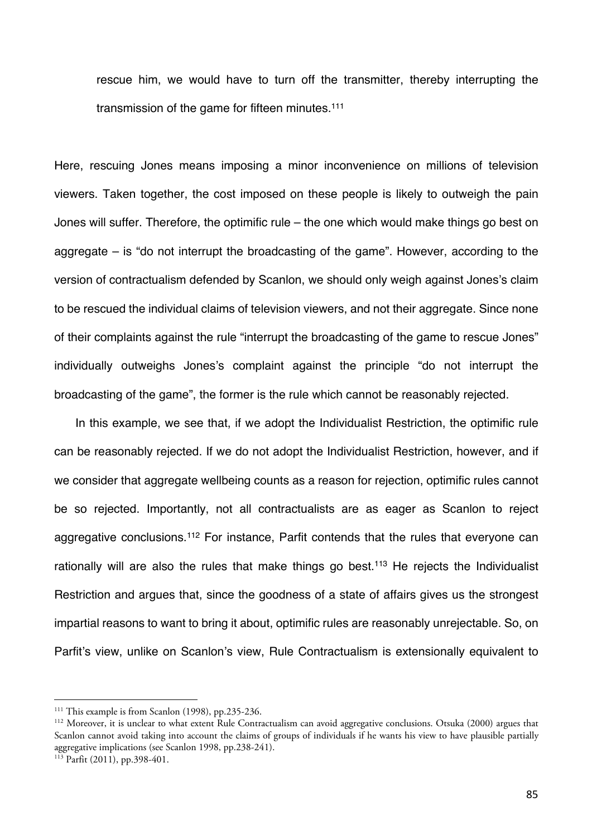rescue him, we would have to turn off the transmitter, thereby interrupting the transmission of the game for fifteen minutes.111

Here, rescuing Jones means imposing a minor inconvenience on millions of television viewers. Taken together, the cost imposed on these people is likely to outweigh the pain Jones will suffer. Therefore, the optimific rule – the one which would make things go best on aggregate – is "do not interrupt the broadcasting of the game". However, according to the version of contractualism defended by Scanlon, we should only weigh against Jones's claim to be rescued the individual claims of television viewers, and not their aggregate. Since none of their complaints against the rule "interrupt the broadcasting of the game to rescue Jones" individually outweighs Jones's complaint against the principle "do not interrupt the broadcasting of the game", the former is the rule which cannot be reasonably rejected.

In this example, we see that, if we adopt the Individualist Restriction, the optimific rule can be reasonably rejected. If we do not adopt the Individualist Restriction, however, and if we consider that aggregate wellbeing counts as a reason for rejection, optimific rules cannot be so rejected. Importantly, not all contractualists are as eager as Scanlon to reject aggregative conclusions.<sup>112</sup> For instance, Parfit contends that the rules that everyone can rationally will are also the rules that make things go best.<sup>113</sup> He rejects the Individualist Restriction and argues that, since the goodness of a state of affairs gives us the strongest impartial reasons to want to bring it about, optimific rules are reasonably unrejectable. So, on Parfit's view, unlike on Scanlon's view, Rule Contractualism is extensionally equivalent to

<sup>&</sup>lt;sup>111</sup> This example is from Scanlon (1998), pp.235-236.<br><sup>112</sup> Moreover, it is unclear to what extent Rule Contractualism can avoid aggregative conclusions. Otsuka (2000) argues that Scanlon cannot avoid taking into account the claims of groups of individuals if he wants his view to have plausible partially aggregative implications (see Scanlon 1998, pp.238-241).

 $113$  Parfit (2011), pp.398-401.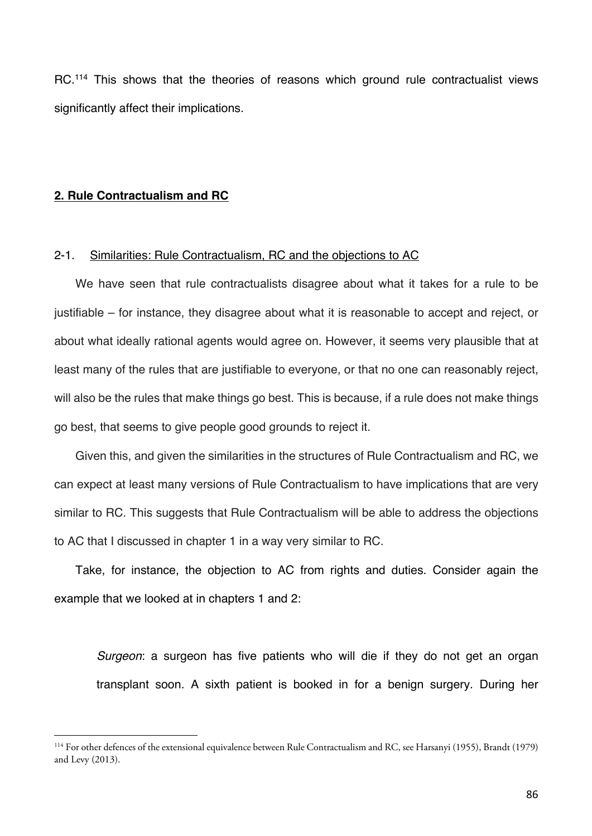RC.<sup>114</sup> This shows that the theories of reasons which ground rule contractualist views significantly affect their implications.

## **2. Rule Contractualism and RC**

### 2-1. Similarities: Rule Contractualism, RC and the objections to AC

We have seen that rule contractualists disagree about what it takes for a rule to be justifiable – for instance, they disagree about what it is reasonable to accept and reject, or about what ideally rational agents would agree on. However, it seems very plausible that at least many of the rules that are justifiable to everyone, or that no one can reasonably reject, will also be the rules that make things go best. This is because, if a rule does not make things go best, that seems to give people good grounds to reject it.

Given this, and given the similarities in the structures of Rule Contractualism and RC, we can expect at least many versions of Rule Contractualism to have implications that are very similar to RC. This suggests that Rule Contractualism will be able to address the objections to AC that I discussed in chapter 1 in a way very similar to RC.

Take, for instance, the objection to AC from rights and duties. Consider again the example that we looked at in chapters 1 and 2:

*Surgeon*: a surgeon has five patients who will die if they do not get an organ transplant soon. A sixth patient is booked in for a benign surgery. During her

<sup>114</sup> For other defences of the extensional equivalence between Rule Contractualism and RC, see Harsanyi (1955), Brandt (1979) and Levy (2013).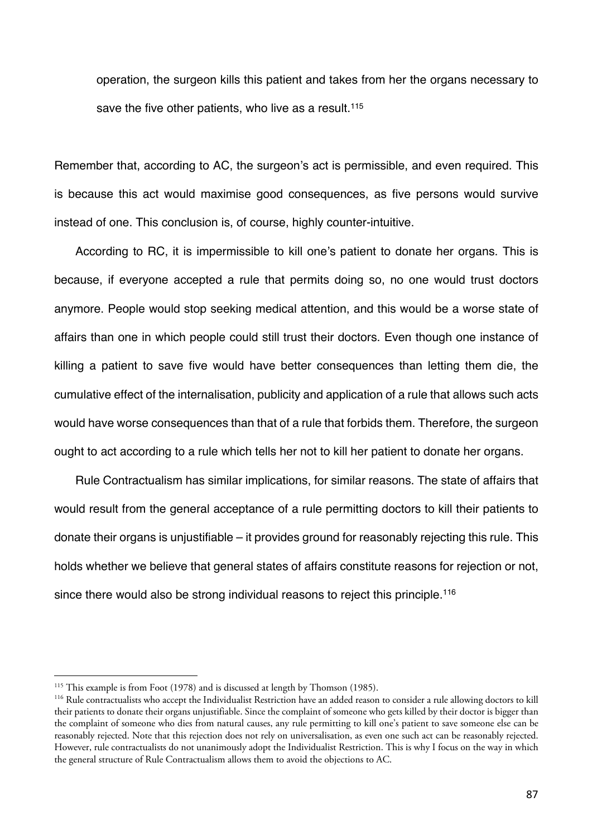operation, the surgeon kills this patient and takes from her the organs necessary to save the five other patients, who live as a result.<sup>115</sup>

Remember that, according to AC, the surgeon's act is permissible, and even required. This is because this act would maximise good consequences, as five persons would survive instead of one. This conclusion is, of course, highly counter-intuitive.

According to RC, it is impermissible to kill one's patient to donate her organs. This is because, if everyone accepted a rule that permits doing so, no one would trust doctors anymore. People would stop seeking medical attention, and this would be a worse state of affairs than one in which people could still trust their doctors. Even though one instance of killing a patient to save five would have better consequences than letting them die, the cumulative effect of the internalisation, publicity and application of a rule that allows such acts would have worse consequences than that of a rule that forbids them. Therefore, the surgeon ought to act according to a rule which tells her not to kill her patient to donate her organs.

Rule Contractualism has similar implications, for similar reasons. The state of affairs that would result from the general acceptance of a rule permitting doctors to kill their patients to donate their organs is unjustifiable – it provides ground for reasonably rejecting this rule. This holds whether we believe that general states of affairs constitute reasons for rejection or not, since there would also be strong individual reasons to reject this principle.<sup>116</sup>

<sup>&</sup>lt;sup>115</sup> This example is from Foot (1978) and is discussed at length by Thomson (1985).

<sup>&</sup>lt;sup>116</sup> Rule contractualists who accept the Individualist Restriction have an added reason to consider a rule allowing doctors to kill their patients to donate their organs unjustifiable. Since the complaint of someone who gets killed by their doctor is bigger than the complaint of someone who dies from natural causes, any rule permitting to kill one's patient to save someone else can be reasonably rejected. Note that this rejection does not rely on universalisation, as even one such act can be reasonably rejected. However, rule contractualists do not unanimously adopt the Individualist Restriction. This is why I focus on the way in which the general structure of Rule Contractualism allows them to avoid the objections to AC.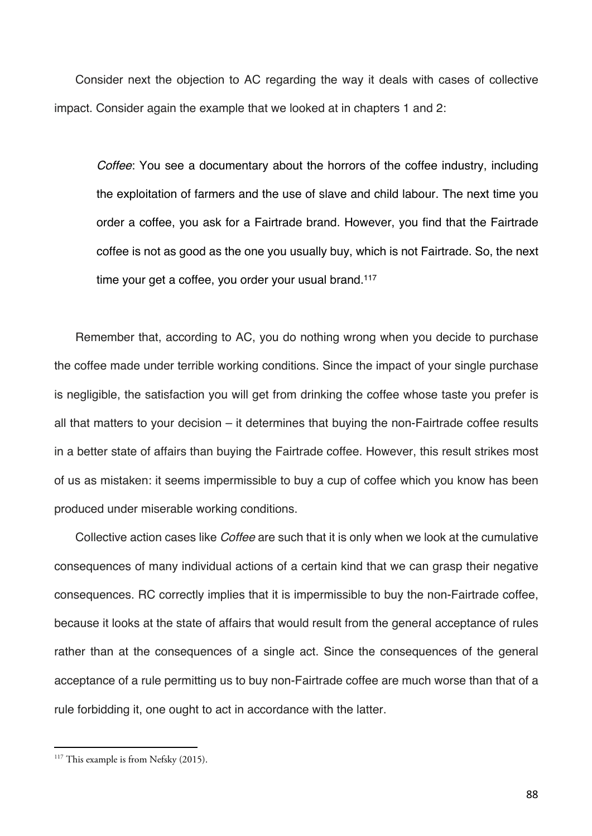Consider next the objection to AC regarding the way it deals with cases of collective impact. Consider again the example that we looked at in chapters 1 and 2:

*Coffee*: You see a documentary about the horrors of the coffee industry, including the exploitation of farmers and the use of slave and child labour. The next time you order a coffee, you ask for a Fairtrade brand. However, you find that the Fairtrade coffee is not as good as the one you usually buy, which is not Fairtrade. So, the next time your get a coffee, you order your usual brand.<sup>117</sup>

Remember that, according to AC, you do nothing wrong when you decide to purchase the coffee made under terrible working conditions. Since the impact of your single purchase is negligible, the satisfaction you will get from drinking the coffee whose taste you prefer is all that matters to your decision – it determines that buying the non-Fairtrade coffee results in a better state of affairs than buying the Fairtrade coffee. However, this result strikes most of us as mistaken: it seems impermissible to buy a cup of coffee which you know has been produced under miserable working conditions.

Collective action cases like *Coffee* are such that it is only when we look at the cumulative consequences of many individual actions of a certain kind that we can grasp their negative consequences. RC correctly implies that it is impermissible to buy the non-Fairtrade coffee, because it looks at the state of affairs that would result from the general acceptance of rules rather than at the consequences of a single act. Since the consequences of the general acceptance of a rule permitting us to buy non-Fairtrade coffee are much worse than that of a rule forbidding it, one ought to act in accordance with the latter.

 $117$  This example is from Nefsky (2015).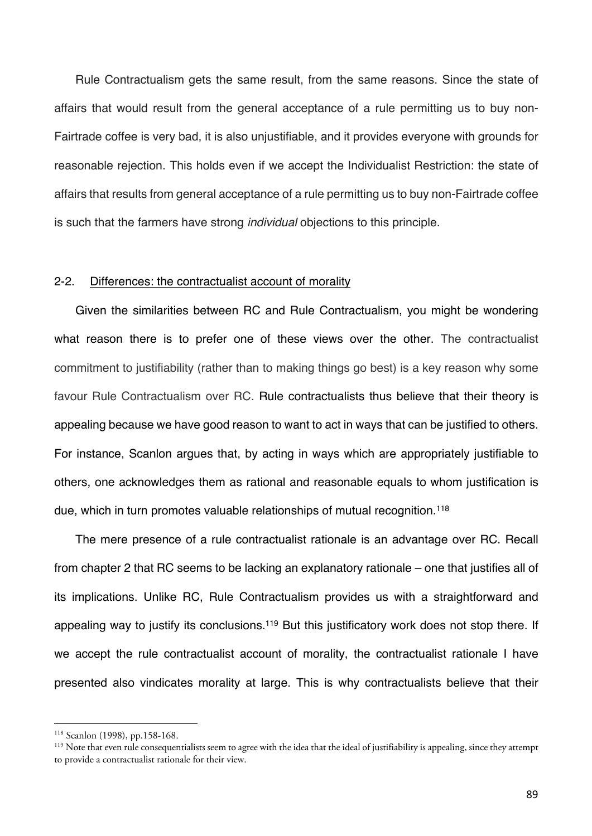Rule Contractualism gets the same result, from the same reasons. Since the state of affairs that would result from the general acceptance of a rule permitting us to buy non-Fairtrade coffee is very bad, it is also unjustifiable, and it provides everyone with grounds for reasonable rejection. This holds even if we accept the Individualist Restriction: the state of affairs that results from general acceptance of a rule permitting us to buy non-Fairtrade coffee is such that the farmers have strong *individual* objections to this principle.

### 2-2. Differences: the contractualist account of morality

Given the similarities between RC and Rule Contractualism, you might be wondering what reason there is to prefer one of these views over the other. The contractualist commitment to justifiability (rather than to making things go best) is a key reason why some favour Rule Contractualism over RC. Rule contractualists thus believe that their theory is appealing because we have good reason to want to act in ways that can be justified to others. For instance, Scanlon argues that, by acting in ways which are appropriately justifiable to others, one acknowledges them as rational and reasonable equals to whom justification is due, which in turn promotes valuable relationships of mutual recognition.118

The mere presence of a rule contractualist rationale is an advantage over RC. Recall from chapter 2 that RC seems to be lacking an explanatory rationale – one that justifies all of its implications. Unlike RC, Rule Contractualism provides us with a straightforward and appealing way to justify its conclusions.<sup>119</sup> But this justificatory work does not stop there. If we accept the rule contractualist account of morality, the contractualist rationale I have presented also vindicates morality at large. This is why contractualists believe that their

<sup>118</sup> Scanlon (1998), pp.158-168.

<sup>&</sup>lt;sup>119</sup> Note that even rule consequentialists seem to agree with the idea that the ideal of justifiability is appealing, since they attempt to provide a contractualist rationale for their view.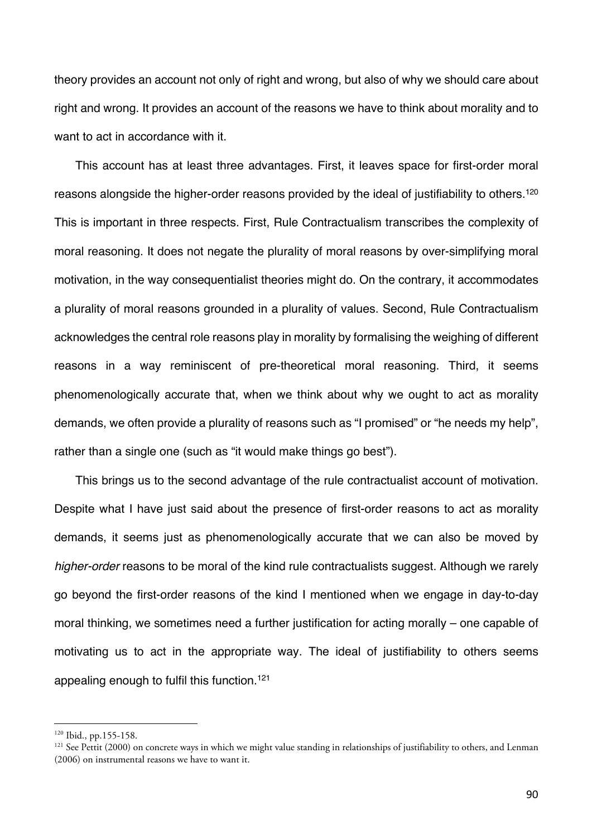theory provides an account not only of right and wrong, but also of why we should care about right and wrong. It provides an account of the reasons we have to think about morality and to want to act in accordance with it.

This account has at least three advantages. First, it leaves space for first-order moral reasons alongside the higher-order reasons provided by the ideal of justifiability to others.120 This is important in three respects. First, Rule Contractualism transcribes the complexity of moral reasoning. It does not negate the plurality of moral reasons by over-simplifying moral motivation, in the way consequentialist theories might do. On the contrary, it accommodates a plurality of moral reasons grounded in a plurality of values. Second, Rule Contractualism acknowledges the central role reasons play in morality by formalising the weighing of different reasons in a way reminiscent of pre-theoretical moral reasoning. Third, it seems phenomenologically accurate that, when we think about why we ought to act as morality demands, we often provide a plurality of reasons such as "I promised" or "he needs my help", rather than a single one (such as "it would make things go best").

This brings us to the second advantage of the rule contractualist account of motivation. Despite what I have just said about the presence of first-order reasons to act as morality demands, it seems just as phenomenologically accurate that we can also be moved by *higher-order* reasons to be moral of the kind rule contractualists suggest. Although we rarely go beyond the first-order reasons of the kind I mentioned when we engage in day-to-day moral thinking, we sometimes need a further justification for acting morally – one capable of motivating us to act in the appropriate way. The ideal of justifiability to others seems appealing enough to fulfil this function.121

<sup>120</sup> Ibid., pp.155-158.

 $121$  See Pettit (2000) on concrete ways in which we might value standing in relationships of justifiability to others, and Lenman (2006) on instrumental reasons we have to want it.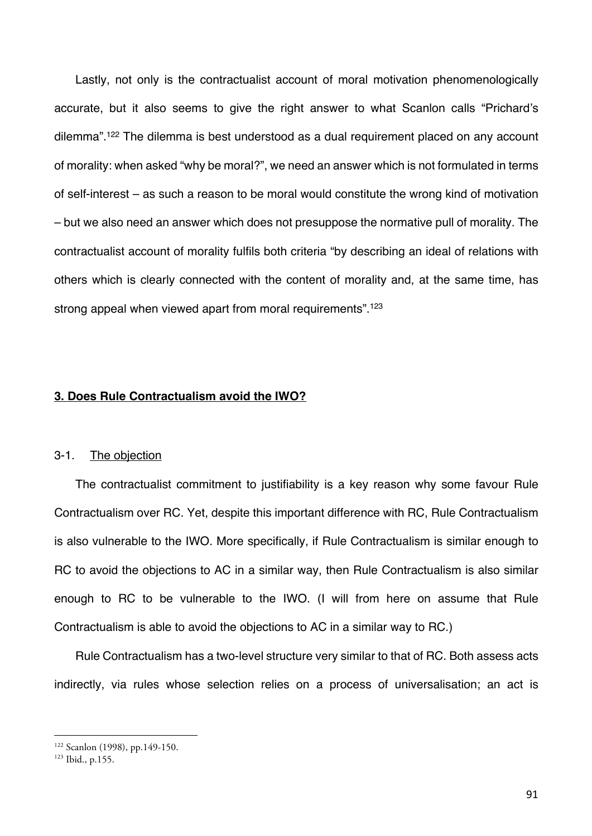Lastly, not only is the contractualist account of moral motivation phenomenologically accurate, but it also seems to give the right answer to what Scanlon calls "Prichard's dilemma".<sup>122</sup> The dilemma is best understood as a dual requirement placed on any account of morality: when asked "why be moral?", we need an answer which is not formulated in terms of self-interest – as such a reason to be moral would constitute the wrong kind of motivation – but we also need an answer which does not presuppose the normative pull of morality. The contractualist account of morality fulfils both criteria "by describing an ideal of relations with others which is clearly connected with the content of morality and, at the same time, has strong appeal when viewed apart from moral requirements".<sup>123</sup>

## **3. Does Rule Contractualism avoid the IWO?**

## 3-1. The objection

The contractualist commitment to justifiability is a key reason why some favour Rule Contractualism over RC. Yet, despite this important difference with RC, Rule Contractualism is also vulnerable to the IWO. More specifically, if Rule Contractualism is similar enough to RC to avoid the objections to AC in a similar way, then Rule Contractualism is also similar enough to RC to be vulnerable to the IWO. (I will from here on assume that Rule Contractualism is able to avoid the objections to AC in a similar way to RC.)

Rule Contractualism has a two-level structure very similar to that of RC. Both assess acts indirectly, via rules whose selection relies on a process of universalisation; an act is

<sup>122</sup> Scanlon (1998), pp.149-150.

<sup>123</sup> Ibid., p.155.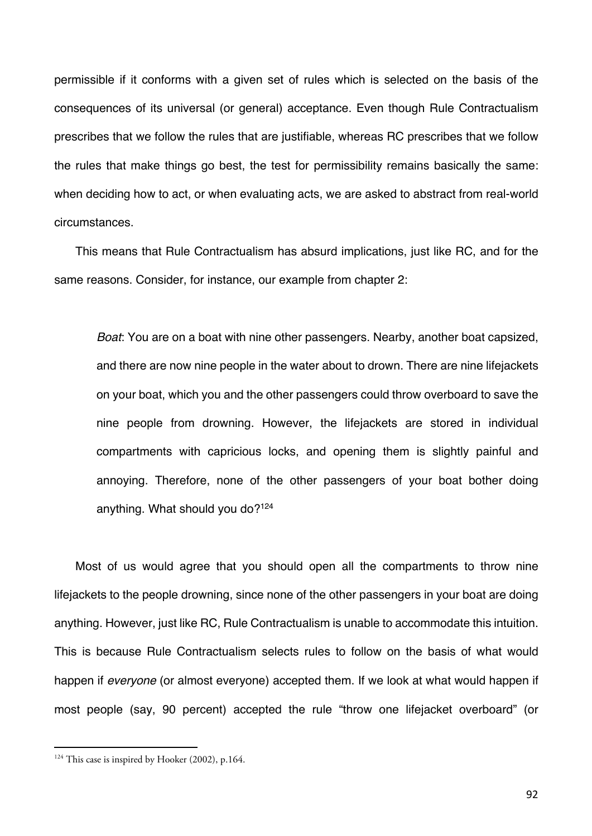permissible if it conforms with a given set of rules which is selected on the basis of the consequences of its universal (or general) acceptance. Even though Rule Contractualism prescribes that we follow the rules that are justifiable, whereas RC prescribes that we follow the rules that make things go best, the test for permissibility remains basically the same: when deciding how to act, or when evaluating acts, we are asked to abstract from real-world circumstances.

This means that Rule Contractualism has absurd implications, just like RC, and for the same reasons. Consider, for instance, our example from chapter 2:

*Boat*: You are on a boat with nine other passengers. Nearby, another boat capsized, and there are now nine people in the water about to drown. There are nine lifejackets on your boat, which you and the other passengers could throw overboard to save the nine people from drowning. However, the lifejackets are stored in individual compartments with capricious locks, and opening them is slightly painful and annoying. Therefore, none of the other passengers of your boat bother doing anything. What should you do?124

Most of us would agree that you should open all the compartments to throw nine lifejackets to the people drowning, since none of the other passengers in your boat are doing anything. However, just like RC, Rule Contractualism is unable to accommodate this intuition. This is because Rule Contractualism selects rules to follow on the basis of what would happen if *everyone* (or almost everyone) accepted them. If we look at what would happen if most people (say, 90 percent) accepted the rule "throw one lifejacket overboard" (or

 $124$  This case is inspired by Hooker (2002), p.164.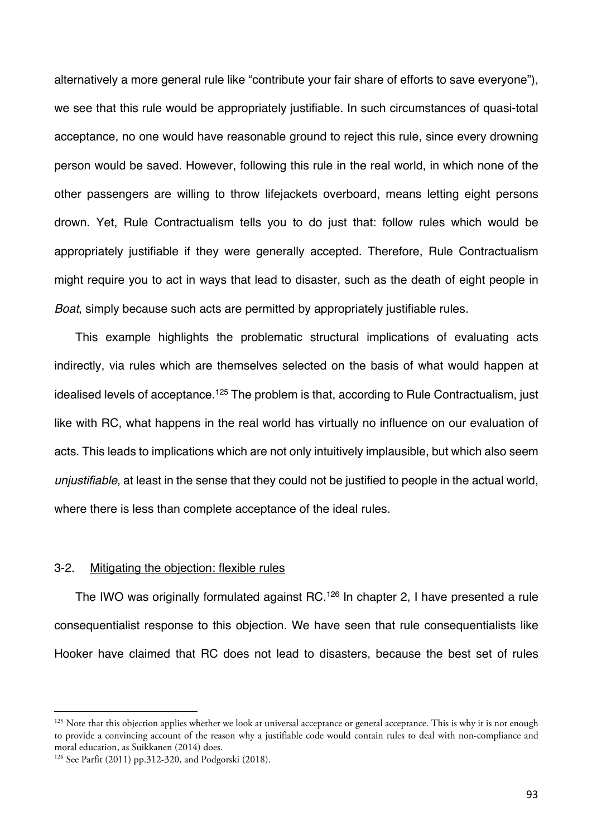alternatively a more general rule like "contribute your fair share of efforts to save everyone"), we see that this rule would be appropriately justifiable. In such circumstances of quasi-total acceptance, no one would have reasonable ground to reject this rule, since every drowning person would be saved. However, following this rule in the real world, in which none of the other passengers are willing to throw lifejackets overboard, means letting eight persons drown. Yet, Rule Contractualism tells you to do just that: follow rules which would be appropriately justifiable if they were generally accepted. Therefore, Rule Contractualism might require you to act in ways that lead to disaster, such as the death of eight people in *Boat*, simply because such acts are permitted by appropriately justifiable rules.

This example highlights the problematic structural implications of evaluating acts indirectly, via rules which are themselves selected on the basis of what would happen at idealised levels of acceptance.<sup>125</sup> The problem is that, according to Rule Contractualism, just like with RC, what happens in the real world has virtually no influence on our evaluation of acts. This leads to implications which are not only intuitively implausible, but which also seem *unjustifiable*, at least in the sense that they could not be justified to people in the actual world, where there is less than complete acceptance of the ideal rules.

#### 3-2. Mitigating the objection: flexible rules

The IWO was originally formulated against RC.126 In chapter 2, I have presented a rule consequentialist response to this objection. We have seen that rule consequentialists like Hooker have claimed that RC does not lead to disasters, because the best set of rules

<sup>&</sup>lt;sup>125</sup> Note that this objection applies whether we look at universal acceptance or general acceptance. This is why it is not enough to provide a convincing account of the reason why a justifiable code would contain rules to deal with non-compliance and moral education, as Suikkanen (2014) does.<br><sup>126</sup> See Parfit (2011) pp.312-320, and Podgorski (2018).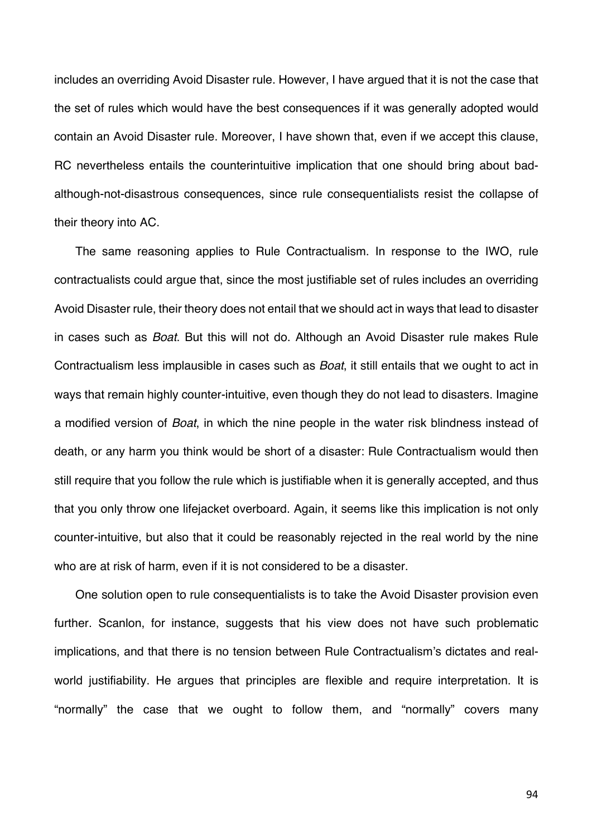includes an overriding Avoid Disaster rule. However, I have argued that it is not the case that the set of rules which would have the best consequences if it was generally adopted would contain an Avoid Disaster rule. Moreover, I have shown that, even if we accept this clause, RC nevertheless entails the counterintuitive implication that one should bring about badalthough-not-disastrous consequences, since rule consequentialists resist the collapse of their theory into AC.

The same reasoning applies to Rule Contractualism. In response to the IWO, rule contractualists could argue that, since the most justifiable set of rules includes an overriding Avoid Disaster rule, their theory does not entail that we should act in ways that lead to disaster in cases such as *Boat*. But this will not do. Although an Avoid Disaster rule makes Rule Contractualism less implausible in cases such as *Boat*, it still entails that we ought to act in ways that remain highly counter-intuitive, even though they do not lead to disasters. Imagine a modified version of *Boat*, in which the nine people in the water risk blindness instead of death, or any harm you think would be short of a disaster: Rule Contractualism would then still require that you follow the rule which is justifiable when it is generally accepted, and thus that you only throw one lifejacket overboard. Again, it seems like this implication is not only counter-intuitive, but also that it could be reasonably rejected in the real world by the nine who are at risk of harm, even if it is not considered to be a disaster.

One solution open to rule consequentialists is to take the Avoid Disaster provision even further. Scanlon, for instance, suggests that his view does not have such problematic implications, and that there is no tension between Rule Contractualism's dictates and realworld justifiability. He argues that principles are flexible and require interpretation. It is "normally" the case that we ought to follow them, and "normally" covers many

94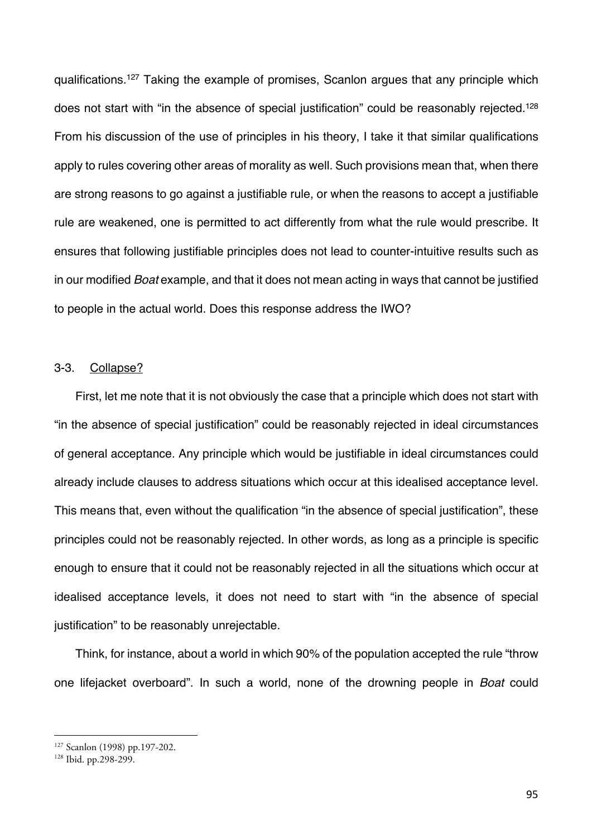qualifications.127 Taking the example of promises, Scanlon argues that any principle which does not start with "in the absence of special justification" could be reasonably rejected.<sup>128</sup> From his discussion of the use of principles in his theory, I take it that similar qualifications apply to rules covering other areas of morality as well. Such provisions mean that, when there are strong reasons to go against a justifiable rule, or when the reasons to accept a justifiable rule are weakened, one is permitted to act differently from what the rule would prescribe. It ensures that following justifiable principles does not lead to counter-intuitive results such as in our modified *Boat* example, and that it does not mean acting in ways that cannot be justified to people in the actual world. Does this response address the IWO?

## 3-3. Collapse?

First, let me note that it is not obviously the case that a principle which does not start with "in the absence of special justification" could be reasonably rejected in ideal circumstances of general acceptance. Any principle which would be justifiable in ideal circumstances could already include clauses to address situations which occur at this idealised acceptance level. This means that, even without the qualification "in the absence of special justification", these principles could not be reasonably rejected. In other words, as long as a principle is specific enough to ensure that it could not be reasonably rejected in all the situations which occur at idealised acceptance levels, it does not need to start with "in the absence of special justification" to be reasonably unrejectable.

Think, for instance, about a world in which 90% of the population accepted the rule "throw one lifejacket overboard". In such a world, none of the drowning people in *Boat* could

<sup>127</sup> Scanlon (1998) pp.197-202. 128 Ibid. pp.298-299.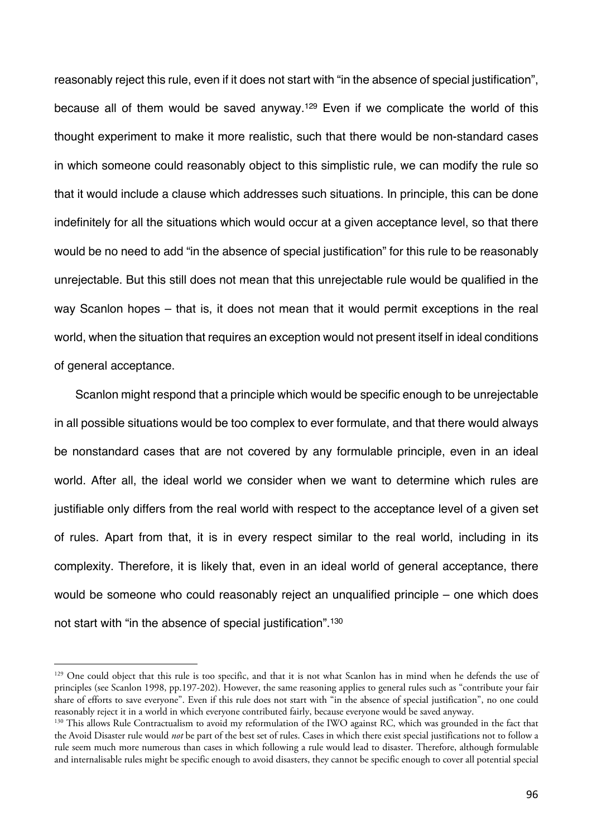reasonably reject this rule, even if it does not start with "in the absence of special justification", because all of them would be saved anyway.<sup>129</sup> Even if we complicate the world of this thought experiment to make it more realistic, such that there would be non-standard cases in which someone could reasonably object to this simplistic rule, we can modify the rule so that it would include a clause which addresses such situations. In principle, this can be done indefinitely for all the situations which would occur at a given acceptance level, so that there would be no need to add "in the absence of special justification" for this rule to be reasonably unrejectable. But this still does not mean that this unrejectable rule would be qualified in the way Scanlon hopes – that is, it does not mean that it would permit exceptions in the real world, when the situation that requires an exception would not present itself in ideal conditions of general acceptance.

Scanlon might respond that a principle which would be specific enough to be unrejectable in all possible situations would be too complex to ever formulate, and that there would always be nonstandard cases that are not covered by any formulable principle, even in an ideal world. After all, the ideal world we consider when we want to determine which rules are justifiable only differs from the real world with respect to the acceptance level of a given set of rules. Apart from that, it is in every respect similar to the real world, including in its complexity. Therefore, it is likely that, even in an ideal world of general acceptance, there would be someone who could reasonably reject an unqualified principle – one which does not start with "in the absence of special justification".130

<sup>&</sup>lt;sup>129</sup> One could object that this rule is too specific, and that it is not what Scanlon has in mind when he defends the use of principles (see Scanlon 1998, pp.197-202). However, the same reasoning applies to general rules such as "contribute your fair share of efforts to save everyone". Even if this rule does not start with "in the absence of special justification", no one could reasonably reject it in a world in which everyone contributed fairly, because everyone would be saved anyway.

<sup>&</sup>lt;sup>130</sup> This allows Rule Contractualism to avoid my reformulation of the IWO against RC, which was grounded in the fact that the Avoid Disaster rule would *not* be part of the best set of rules. Cases in which there exist special justifications not to follow a rule seem much more numerous than cases in which following a rule would lead to disaster. Therefore, although formulable and internalisable rules might be specific enough to avoid disasters, they cannot be specific enough to cover all potential special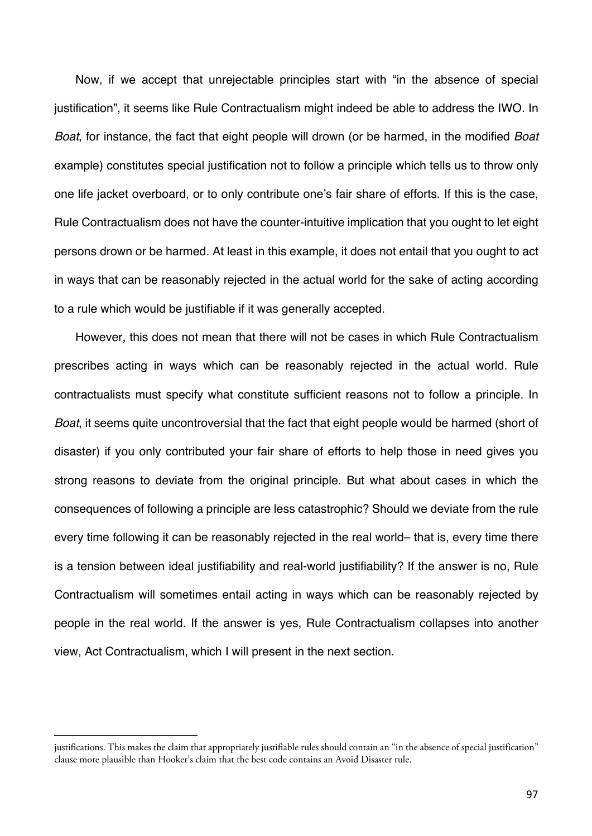Now, if we accept that unrejectable principles start with "in the absence of special justification", it seems like Rule Contractualism might indeed be able to address the IWO. In *Boat*, for instance, the fact that eight people will drown (or be harmed, in the modified *Boat*  example) constitutes special justification not to follow a principle which tells us to throw only one life jacket overboard, or to only contribute one's fair share of efforts. If this is the case, Rule Contractualism does not have the counter-intuitive implication that you ought to let eight persons drown or be harmed. At least in this example, it does not entail that you ought to act in ways that can be reasonably rejected in the actual world for the sake of acting according to a rule which would be justifiable if it was generally accepted.

However, this does not mean that there will not be cases in which Rule Contractualism prescribes acting in ways which can be reasonably rejected in the actual world. Rule contractualists must specify what constitute sufficient reasons not to follow a principle. In *Boat*, it seems quite uncontroversial that the fact that eight people would be harmed (short of disaster) if you only contributed your fair share of efforts to help those in need gives you strong reasons to deviate from the original principle. But what about cases in which the consequences of following a principle are less catastrophic? Should we deviate from the rule every time following it can be reasonably rejected in the real world– that is, every time there is a tension between ideal justifiability and real-world justifiability? If the answer is no, Rule Contractualism will sometimes entail acting in ways which can be reasonably rejected by people in the real world. If the answer is yes, Rule Contractualism collapses into another view, Act Contractualism, which I will present in the next section.

justifications. This makes the claim that appropriately justifiable rules should contain an "in the absence of special justification" clause more plausible than Hooker's claim that the best code contains an Avoid Disaster rule.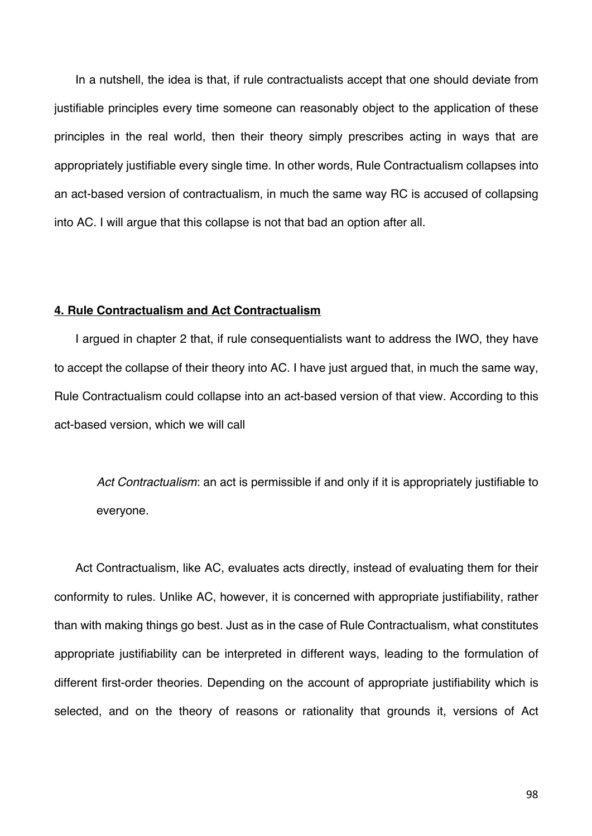In a nutshell, the idea is that, if rule contractualists accept that one should deviate from justifiable principles every time someone can reasonably object to the application of these principles in the real world, then their theory simply prescribes acting in ways that are appropriately justifiable every single time. In other words, Rule Contractualism collapses into an act-based version of contractualism, in much the same way RC is accused of collapsing into AC. I will argue that this collapse is not that bad an option after all.

### **4. Rule Contractualism and Act Contractualism**

I argued in chapter 2 that, if rule consequentialists want to address the IWO, they have to accept the collapse of their theory into AC. I have just argued that, in much the same way, Rule Contractualism could collapse into an act-based version of that view. According to this act-based version, which we will call

*Act Contractualism*: an act is permissible if and only if it is appropriately justifiable to everyone.

Act Contractualism, like AC, evaluates acts directly, instead of evaluating them for their conformity to rules. Unlike AC, however, it is concerned with appropriate justifiability, rather than with making things go best. Just as in the case of Rule Contractualism, what constitutes appropriate justifiability can be interpreted in different ways, leading to the formulation of different first-order theories. Depending on the account of appropriate justifiability which is selected, and on the theory of reasons or rationality that grounds it, versions of Act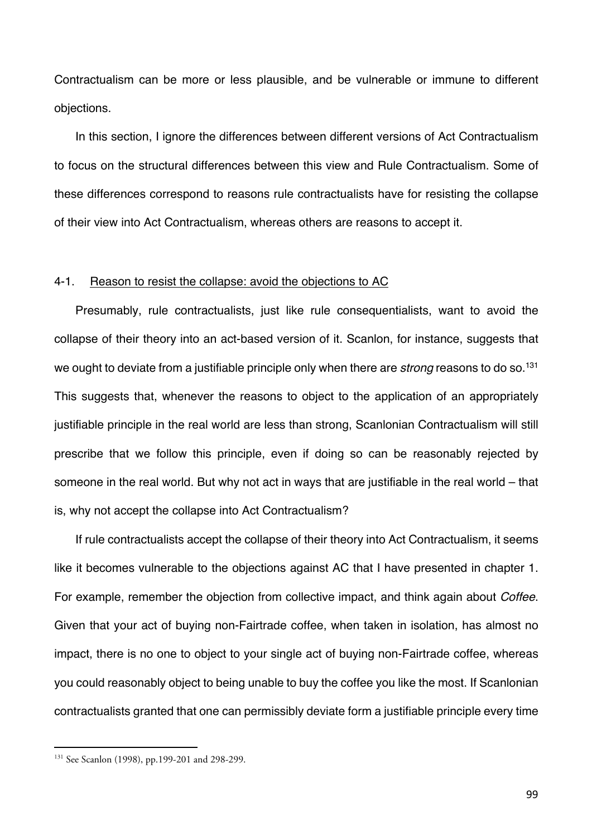Contractualism can be more or less plausible, and be vulnerable or immune to different objections.

In this section, I ignore the differences between different versions of Act Contractualism to focus on the structural differences between this view and Rule Contractualism. Some of these differences correspond to reasons rule contractualists have for resisting the collapse of their view into Act Contractualism, whereas others are reasons to accept it.

### 4-1. Reason to resist the collapse: avoid the objections to AC

Presumably, rule contractualists, just like rule consequentialists, want to avoid the collapse of their theory into an act-based version of it. Scanlon, for instance, suggests that we ought to deviate from a justifiable principle only when there are *strong* reasons to do so.131 This suggests that, whenever the reasons to object to the application of an appropriately justifiable principle in the real world are less than strong, Scanlonian Contractualism will still prescribe that we follow this principle, even if doing so can be reasonably rejected by someone in the real world. But why not act in ways that are justifiable in the real world – that is, why not accept the collapse into Act Contractualism?

If rule contractualists accept the collapse of their theory into Act Contractualism, it seems like it becomes vulnerable to the objections against AC that I have presented in chapter 1. For example, remember the objection from collective impact, and think again about *Coffee*. Given that your act of buying non-Fairtrade coffee, when taken in isolation, has almost no impact, there is no one to object to your single act of buying non-Fairtrade coffee, whereas you could reasonably object to being unable to buy the coffee you like the most. If Scanlonian contractualists granted that one can permissibly deviate form a justifiable principle every time

<sup>131</sup> See Scanlon (1998), pp.199-201 and 298-299.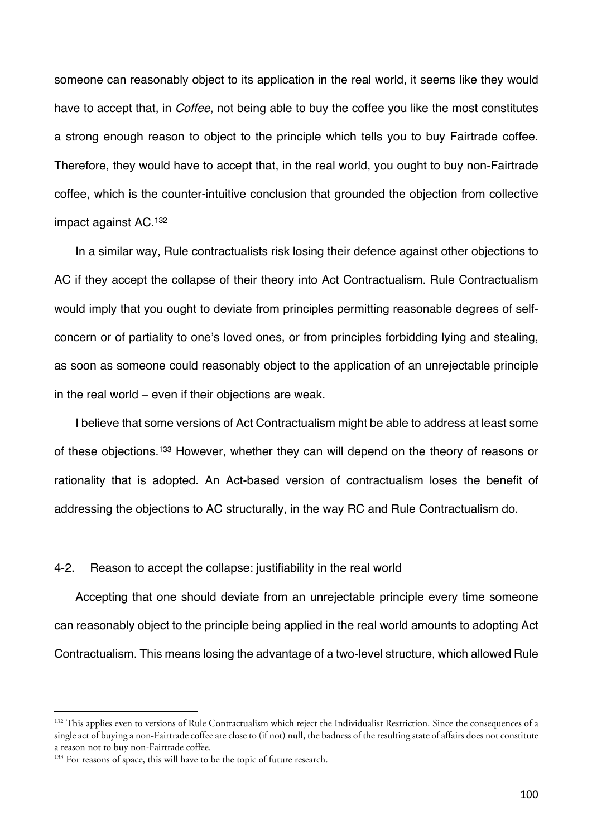someone can reasonably object to its application in the real world, it seems like they would have to accept that, in *Coffee*, not being able to buy the coffee you like the most constitutes a strong enough reason to object to the principle which tells you to buy Fairtrade coffee. Therefore, they would have to accept that, in the real world, you ought to buy non-Fairtrade coffee, which is the counter-intuitive conclusion that grounded the objection from collective impact against AC.132

In a similar way, Rule contractualists risk losing their defence against other objections to AC if they accept the collapse of their theory into Act Contractualism. Rule Contractualism would imply that you ought to deviate from principles permitting reasonable degrees of selfconcern or of partiality to one's loved ones, or from principles forbidding lying and stealing, as soon as someone could reasonably object to the application of an unrejectable principle in the real world – even if their objections are weak.

I believe that some versions of Act Contractualism might be able to address at least some of these objections.133 However, whether they can will depend on the theory of reasons or rationality that is adopted. An Act-based version of contractualism loses the benefit of addressing the objections to AC structurally, in the way RC and Rule Contractualism do.

#### 4-2. Reason to accept the collapse: justifiability in the real world

Accepting that one should deviate from an unrejectable principle every time someone can reasonably object to the principle being applied in the real world amounts to adopting Act Contractualism. This means losing the advantage of a two-level structure, which allowed Rule

<sup>&</sup>lt;sup>132</sup> This applies even to versions of Rule Contractualism which reject the Individualist Restriction. Since the consequences of a single act of buying a non-Fairtrade coffee are close to (if not) null, the badness of the resulting state of affairs does not constitute a reason not to buy non-Fairtrade coffee. 133 For reasons of space, this will have to be the topic of future research.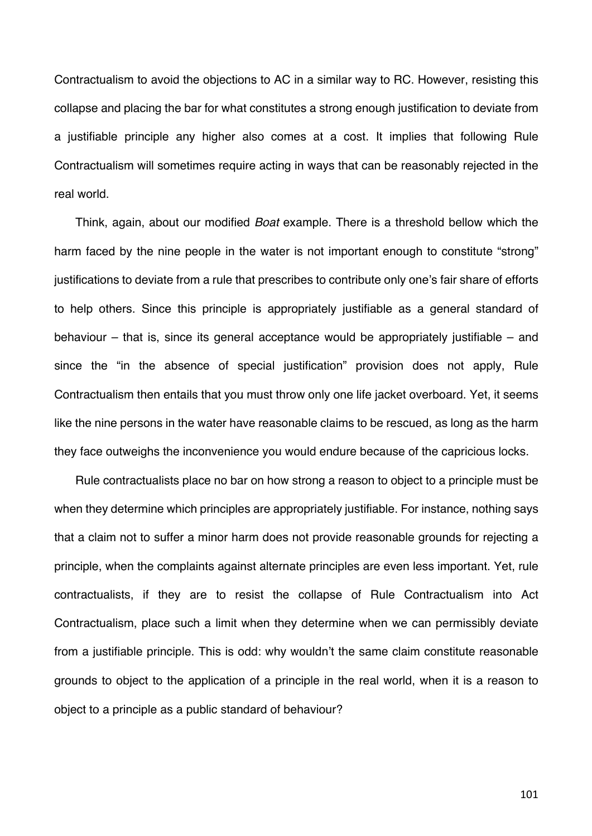Contractualism to avoid the objections to AC in a similar way to RC. However, resisting this collapse and placing the bar for what constitutes a strong enough justification to deviate from a justifiable principle any higher also comes at a cost. It implies that following Rule Contractualism will sometimes require acting in ways that can be reasonably rejected in the real world.

Think, again, about our modified *Boat* example. There is a threshold bellow which the harm faced by the nine people in the water is not important enough to constitute "strong" justifications to deviate from a rule that prescribes to contribute only one's fair share of efforts to help others. Since this principle is appropriately justifiable as a general standard of behaviour – that is, since its general acceptance would be appropriately justifiable – and since the "in the absence of special justification" provision does not apply, Rule Contractualism then entails that you must throw only one life jacket overboard. Yet, it seems like the nine persons in the water have reasonable claims to be rescued, as long as the harm they face outweighs the inconvenience you would endure because of the capricious locks.

Rule contractualists place no bar on how strong a reason to object to a principle must be when they determine which principles are appropriately justifiable. For instance, nothing says that a claim not to suffer a minor harm does not provide reasonable grounds for rejecting a principle, when the complaints against alternate principles are even less important. Yet, rule contractualists, if they are to resist the collapse of Rule Contractualism into Act Contractualism, place such a limit when they determine when we can permissibly deviate from a justifiable principle. This is odd: why wouldn't the same claim constitute reasonable grounds to object to the application of a principle in the real world, when it is a reason to object to a principle as a public standard of behaviour?

101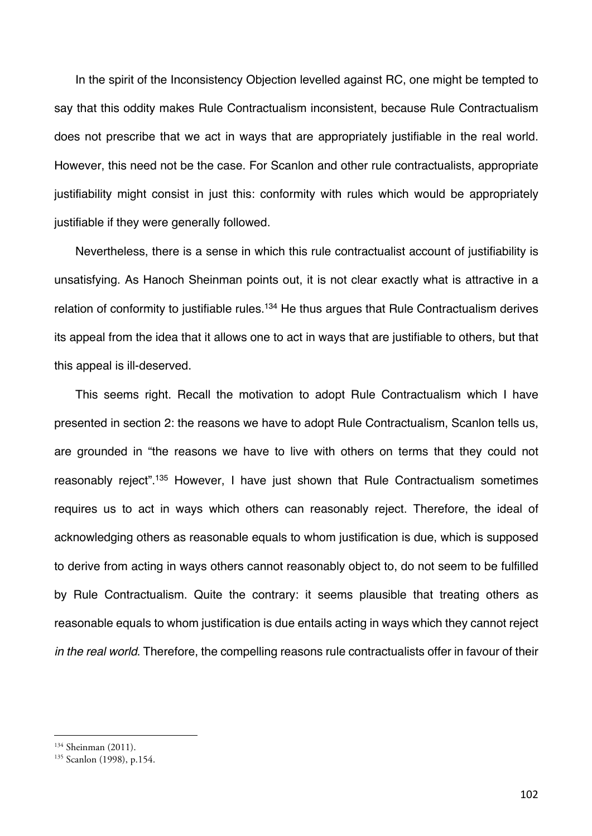In the spirit of the Inconsistency Objection levelled against RC, one might be tempted to say that this oddity makes Rule Contractualism inconsistent, because Rule Contractualism does not prescribe that we act in ways that are appropriately justifiable in the real world. However, this need not be the case. For Scanlon and other rule contractualists, appropriate justifiability might consist in just this: conformity with rules which would be appropriately justifiable if they were generally followed.

Nevertheless, there is a sense in which this rule contractualist account of justifiability is unsatisfying. As Hanoch Sheinman points out, it is not clear exactly what is attractive in a relation of conformity to justifiable rules.<sup>134</sup> He thus argues that Rule Contractualism derives its appeal from the idea that it allows one to act in ways that are justifiable to others, but that this appeal is ill-deserved.

This seems right. Recall the motivation to adopt Rule Contractualism which I have presented in section 2: the reasons we have to adopt Rule Contractualism, Scanlon tells us, are grounded in "the reasons we have to live with others on terms that they could not reasonably reject".135 However, I have just shown that Rule Contractualism sometimes requires us to act in ways which others can reasonably reject. Therefore, the ideal of acknowledging others as reasonable equals to whom justification is due, which is supposed to derive from acting in ways others cannot reasonably object to, do not seem to be fulfilled by Rule Contractualism. Quite the contrary: it seems plausible that treating others as reasonable equals to whom justification is due entails acting in ways which they cannot reject *in the real world*. Therefore, the compelling reasons rule contractualists offer in favour of their

<sup>&</sup>lt;sup>134</sup> Sheinman (2011).<br><sup>135</sup> Scanlon (1998), p.154.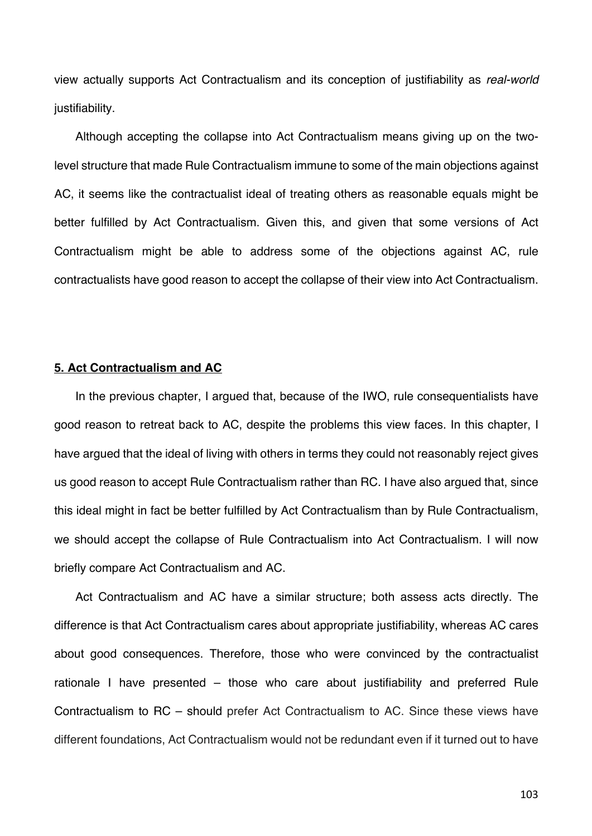view actually supports Act Contractualism and its conception of justifiability as *real-world* justifiability.

Although accepting the collapse into Act Contractualism means giving up on the twolevel structure that made Rule Contractualism immune to some of the main objections against AC, it seems like the contractualist ideal of treating others as reasonable equals might be better fulfilled by Act Contractualism. Given this, and given that some versions of Act Contractualism might be able to address some of the objections against AC, rule contractualists have good reason to accept the collapse of their view into Act Contractualism.

## **5. Act Contractualism and AC**

In the previous chapter, I argued that, because of the IWO, rule consequentialists have good reason to retreat back to AC, despite the problems this view faces. In this chapter, I have argued that the ideal of living with others in terms they could not reasonably reject gives us good reason to accept Rule Contractualism rather than RC. I have also argued that, since this ideal might in fact be better fulfilled by Act Contractualism than by Rule Contractualism, we should accept the collapse of Rule Contractualism into Act Contractualism. I will now briefly compare Act Contractualism and AC.

Act Contractualism and AC have a similar structure; both assess acts directly. The difference is that Act Contractualism cares about appropriate justifiability, whereas AC cares about good consequences. Therefore, those who were convinced by the contractualist rationale I have presented – those who care about justifiability and preferred Rule Contractualism to RC – should prefer Act Contractualism to AC. Since these views have different foundations, Act Contractualism would not be redundant even if it turned out to have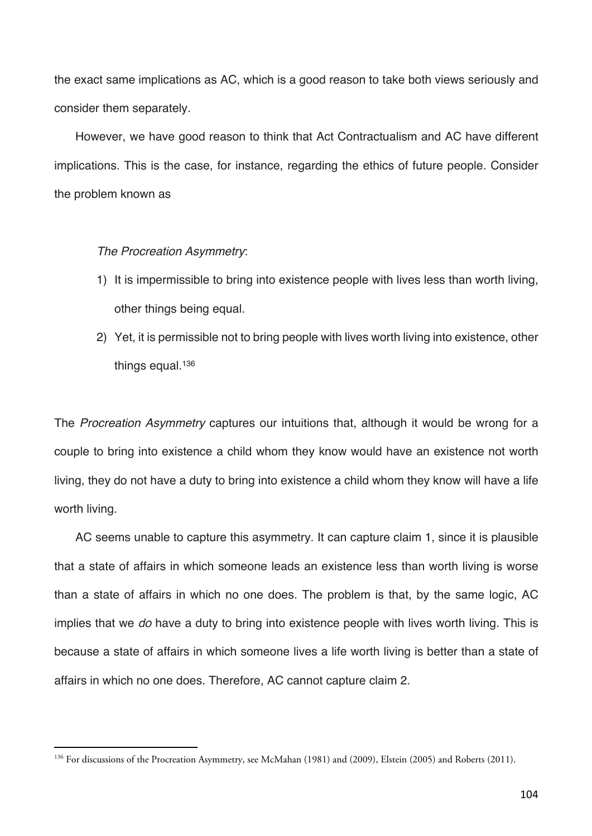the exact same implications as AC, which is a good reason to take both views seriously and consider them separately.

However, we have good reason to think that Act Contractualism and AC have different implications. This is the case, for instance, regarding the ethics of future people. Consider the problem known as

### *The Procreation Asymmetry*:

- 1) It is impermissible to bring into existence people with lives less than worth living, other things being equal.
- 2) Yet, it is permissible not to bring people with lives worth living into existence, other things equal.<sup>136</sup>

The *Procreation Asymmetry* captures our intuitions that, although it would be wrong for a couple to bring into existence a child whom they know would have an existence not worth living, they do not have a duty to bring into existence a child whom they know will have a life worth living.

AC seems unable to capture this asymmetry. It can capture claim 1, since it is plausible that a state of affairs in which someone leads an existence less than worth living is worse than a state of affairs in which no one does. The problem is that, by the same logic, AC implies that we *do* have a duty to bring into existence people with lives worth living. This is because a state of affairs in which someone lives a life worth living is better than a state of affairs in which no one does. Therefore, AC cannot capture claim 2.

<sup>&</sup>lt;sup>136</sup> For discussions of the Procreation Asymmetry, see McMahan (1981) and (2009), Elstein (2005) and Roberts (2011).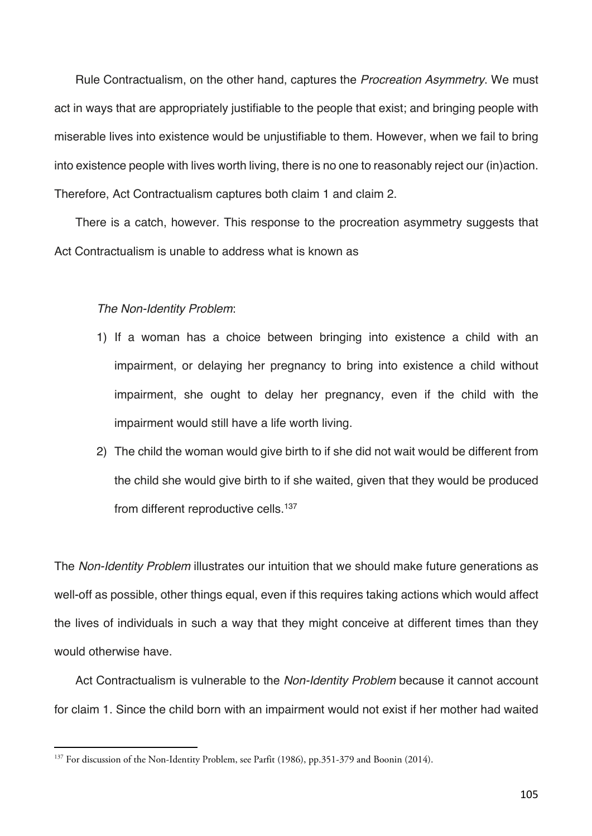Rule Contractualism, on the other hand, captures the *Procreation Asymmetry*. We must act in ways that are appropriately justifiable to the people that exist; and bringing people with miserable lives into existence would be unjustifiable to them. However, when we fail to bring into existence people with lives worth living, there is no one to reasonably reject our (in)action. Therefore, Act Contractualism captures both claim 1 and claim 2.

There is a catch, however. This response to the procreation asymmetry suggests that Act Contractualism is unable to address what is known as

## *The Non-Identity Problem*:

- 1) If a woman has a choice between bringing into existence a child with an impairment, or delaying her pregnancy to bring into existence a child without impairment, she ought to delay her pregnancy, even if the child with the impairment would still have a life worth living.
- 2) The child the woman would give birth to if she did not wait would be different from the child she would give birth to if she waited, given that they would be produced from different reproductive cells.<sup>137</sup>

The *Non-Identity Problem* illustrates our intuition that we should make future generations as well-off as possible, other things equal, even if this requires taking actions which would affect the lives of individuals in such a way that they might conceive at different times than they would otherwise have.

Act Contractualism is vulnerable to the *Non-Identity Problem* because it cannot account for claim 1. Since the child born with an impairment would not exist if her mother had waited

<sup>&</sup>lt;sup>137</sup> For discussion of the Non-Identity Problem, see Parfit (1986), pp.351-379 and Boonin (2014).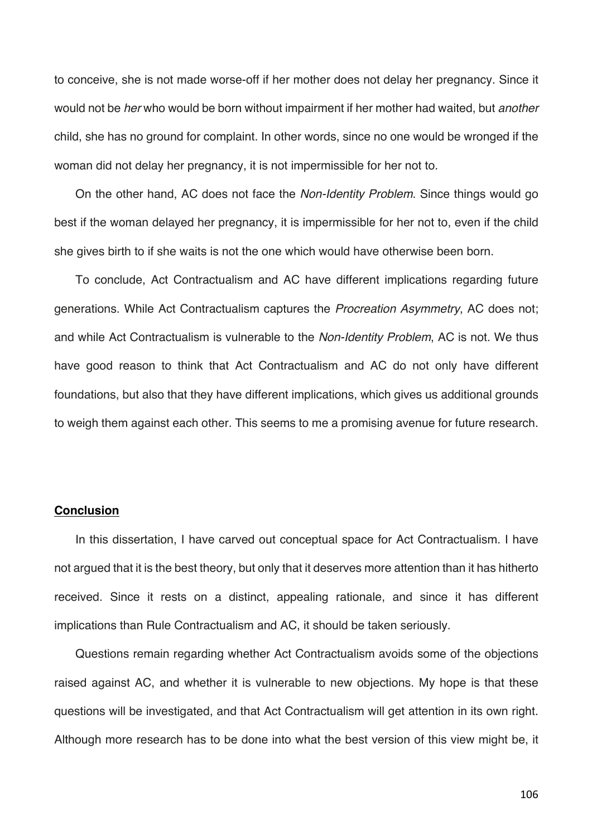to conceive, she is not made worse-off if her mother does not delay her pregnancy. Since it would not be *her* who would be born without impairment if her mother had waited, but *another*  child, she has no ground for complaint. In other words, since no one would be wronged if the woman did not delay her pregnancy, it is not impermissible for her not to.

On the other hand, AC does not face the *Non-Identity Problem*. Since things would go best if the woman delayed her pregnancy, it is impermissible for her not to, even if the child she gives birth to if she waits is not the one which would have otherwise been born.

To conclude, Act Contractualism and AC have different implications regarding future generations. While Act Contractualism captures the *Procreation Asymmetry*, AC does not; and while Act Contractualism is vulnerable to the *Non-Identity Problem*, AC is not. We thus have good reason to think that Act Contractualism and AC do not only have different foundations, but also that they have different implications, which gives us additional grounds to weigh them against each other. This seems to me a promising avenue for future research.

### **Conclusion**

In this dissertation, I have carved out conceptual space for Act Contractualism. I have not argued that it is the best theory, but only that it deserves more attention than it has hitherto received. Since it rests on a distinct, appealing rationale, and since it has different implications than Rule Contractualism and AC, it should be taken seriously.

Questions remain regarding whether Act Contractualism avoids some of the objections raised against AC, and whether it is vulnerable to new objections. My hope is that these questions will be investigated, and that Act Contractualism will get attention in its own right. Although more research has to be done into what the best version of this view might be, it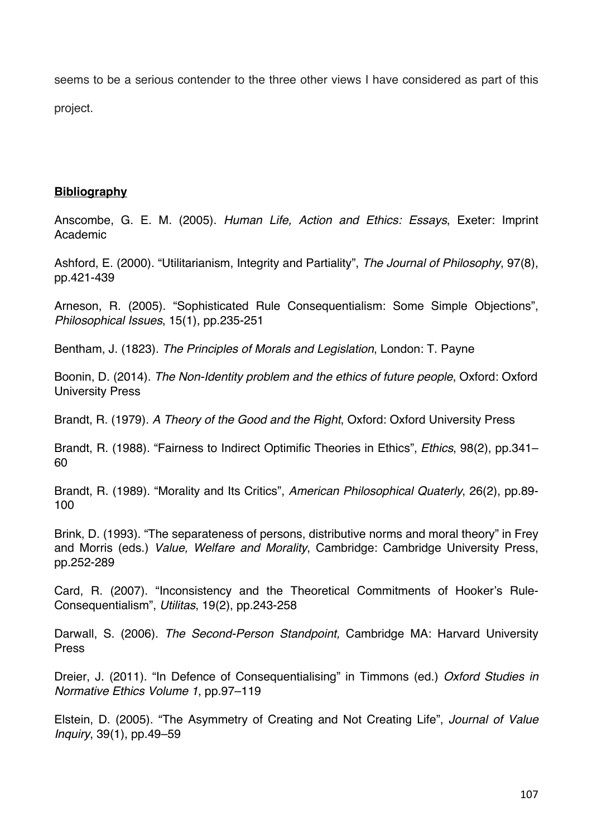seems to be a serious contender to the three other views I have considered as part of this project.

# **Bibliography**

Anscombe, G. E. M. (2005). *Human Life, Action and Ethics: Essays*, Exeter: Imprint Academic

Ashford, E. (2000). "Utilitarianism, Integrity and Partiality", *The Journal of Philosophy*, 97(8), pp.421-439

Arneson, R. (2005). "Sophisticated Rule Consequentialism: Some Simple Objections", *Philosophical Issues*, 15(1), pp.235-251

Bentham, J. (1823). *The Principles of Morals and Legislation*, London: T. Payne

Boonin, D. (2014). *The Non-Identity problem and the ethics of future people*, Oxford: Oxford University Press

Brandt, R. (1979). *A Theory of the Good and the Right*, Oxford: Oxford University Press

Brandt, R. (1988). "Fairness to Indirect Optimific Theories in Ethics", *Ethics*, 98(2), pp.341– 60

Brandt, R. (1989). "Morality and Its Critics", *American Philosophical Quaterly*, 26(2), pp.89- 100

Brink, D. (1993). "The separateness of persons, distributive norms and moral theory" in Frey and Morris (eds.) *Value, Welfare and Morality*, Cambridge: Cambridge University Press, pp.252-289

Card, R. (2007). "Inconsistency and the Theoretical Commitments of Hooker's Rule-Consequentialism", *Utilitas*, 19(2), pp.243-258

Darwall, S. (2006). *The Second-Person Standpoint,* Cambridge MA: Harvard University Press

Dreier, J. (2011). "In Defence of Consequentialising" in Timmons (ed.) *Oxford Studies in Normative Ethics Volume 1*, pp.97–119

Elstein, D. (2005). "The Asymmetry of Creating and Not Creating Life", *Journal of Value Inquiry*, 39(1), pp.49–59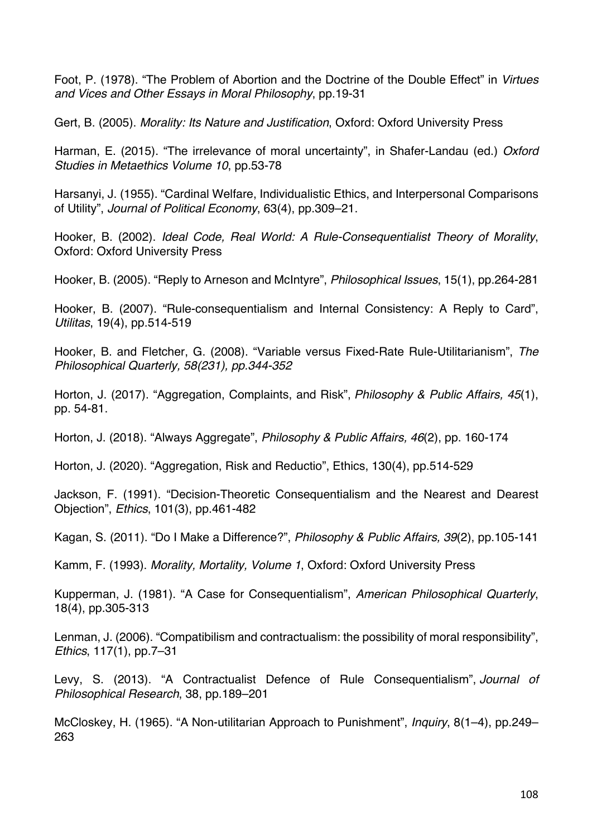Foot, P. (1978). "The Problem of Abortion and the Doctrine of the Double Effect" in *Virtues and Vices and Other Essays in Moral Philosophy*, pp.19-31

Gert, B. (2005). *Morality: Its Nature and Justification*, Oxford: Oxford University Press

Harman, E. (2015). "The irrelevance of moral uncertainty", in Shafer-Landau (ed.) *Oxford Studies in Metaethics Volume 10*, pp.53-78

Harsanyi, J. (1955). "Cardinal Welfare, Individualistic Ethics, and Interpersonal Comparisons of Utility", *Journal of Political Economy*, 63(4), pp.309–21.

Hooker, B. (2002). *Ideal Code, Real World: A Rule-Consequentialist Theory of Morality*, Oxford: Oxford University Press

Hooker, B. (2005). "Reply to Arneson and McIntyre", *Philosophical Issues*, 15(1), pp.264-281

Hooker, B. (2007). "Rule-consequentialism and Internal Consistency: A Reply to Card", *Utilitas*, 19(4), pp.514-519

Hooker, B. and Fletcher, G. (2008). "Variable versus Fixed-Rate Rule-Utilitarianism", *The Philosophical Quarterly, 58(231), pp.344-352*

Horton, J. (2017). "Aggregation, Complaints, and Risk", *Philosophy & Public Affairs, 45*(1), pp. 54-81.

Horton, J. (2018). "Always Aggregate", *Philosophy & Public Affairs, 46*(2), pp. 160-174

Horton, J. (2020). "Aggregation, Risk and Reductio", Ethics, 130(4), pp.514-529

Jackson, F. (1991). "Decision-Theoretic Consequentialism and the Nearest and Dearest Objection", *Ethics*, 101(3), pp.461-482

Kagan, S. (2011). "Do I Make a Difference?", *Philosophy & Public Affairs, 39*(2), pp.105-141

Kamm, F. (1993). *Morality, Mortality, Volume 1*, Oxford: Oxford University Press

Kupperman, J. (1981). "A Case for Consequentialism", *American Philosophical Quarterly*, 18(4), pp.305-313

Lenman, J. (2006). "Compatibilism and contractualism: the possibility of moral responsibility", *Ethics*, 117(1), pp.7–31

Levy, S. (2013). "A Contractualist Defence of Rule Consequentialism", *Journal of Philosophical Research*, 38, pp.189–201

McCloskey, H. (1965). "A Non-utilitarian Approach to Punishment", *Inquiry*, 8(1–4), pp.249– 263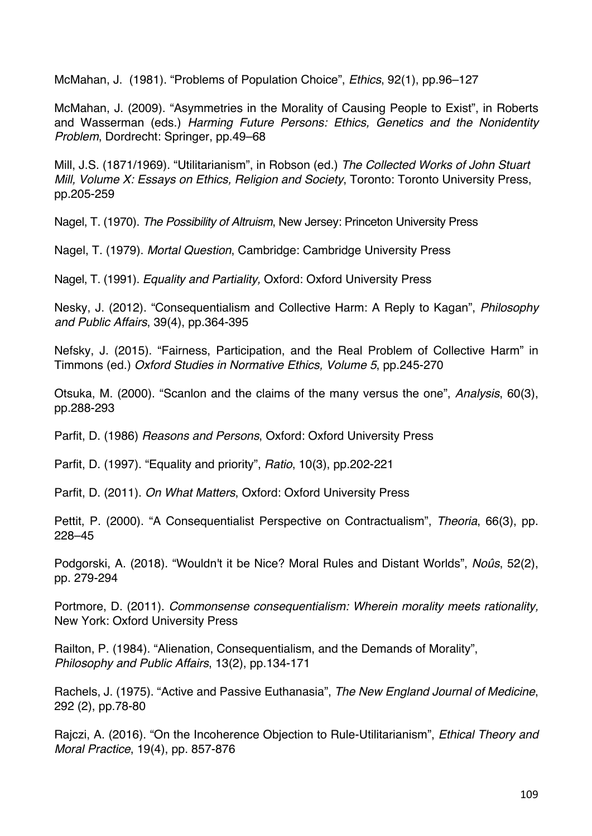McMahan, J. (1981). "Problems of Population Choice", *Ethics*, 92(1), pp.96–127

McMahan, J. (2009). "Asymmetries in the Morality of Causing People to Exist", in Roberts and Wasserman (eds.) *Harming Future Persons: Ethics, Genetics and the Nonidentity Problem*, Dordrecht: Springer, pp.49–68

Mill, J.S. (1871/1969). "Utilitarianism", in Robson (ed.) *The Collected Works of John Stuart Mill, Volume X: Essays on Ethics, Religion and Society*, Toronto: Toronto University Press, pp.205-259

Nagel, T. (1970). *The Possibility of Altruism*, New Jersey: Princeton University Press

Nagel, T. (1979). *Mortal Question*, Cambridge: Cambridge University Press

Nagel, T. (1991). *Equality and Partiality,* Oxford: Oxford University Press

Nesky, J. (2012). "Consequentialism and Collective Harm: A Reply to Kagan", *Philosophy and Public Affairs*, 39(4), pp.364-395

Nefsky, J. (2015). "Fairness, Participation, and the Real Problem of Collective Harm" in Timmons (ed.) *Oxford Studies in Normative Ethics, Volume 5*, pp.245-270

Otsuka, M. (2000). "Scanlon and the claims of the many versus the one", *Analysis*, 60(3), pp.288-293

Parfit, D. (1986) *Reasons and Persons*, Oxford: Oxford University Press

Parfit, D. (1997). "Equality and priority", *Ratio*, 10(3), pp.202-221

Parfit, D. (2011). *On What Matters*, Oxford: Oxford University Press

Pettit, P. (2000). "A Consequentialist Perspective on Contractualism", *Theoria*, 66(3), pp. 228–45

Podgorski, A. (2018). "Wouldn't it be Nice? Moral Rules and Distant Worlds", *Noûs*, 52(2), pp. 279-294

Portmore, D. (2011). *Commonsense consequentialism: Wherein morality meets rationality,* New York: Oxford University Press

Railton, P. (1984). "Alienation, Consequentialism, and the Demands of Morality", *Philosophy and Public Affairs*, 13(2), pp.134-171

Rachels, J. (1975). "Active and Passive Euthanasia", *The New England Journal of Medicine*, 292 (2), pp.78-80

Rajczi, A. (2016). "On the Incoherence Objection to Rule-Utilitarianism", *Ethical Theory and Moral Practice*, 19(4), pp. 857-876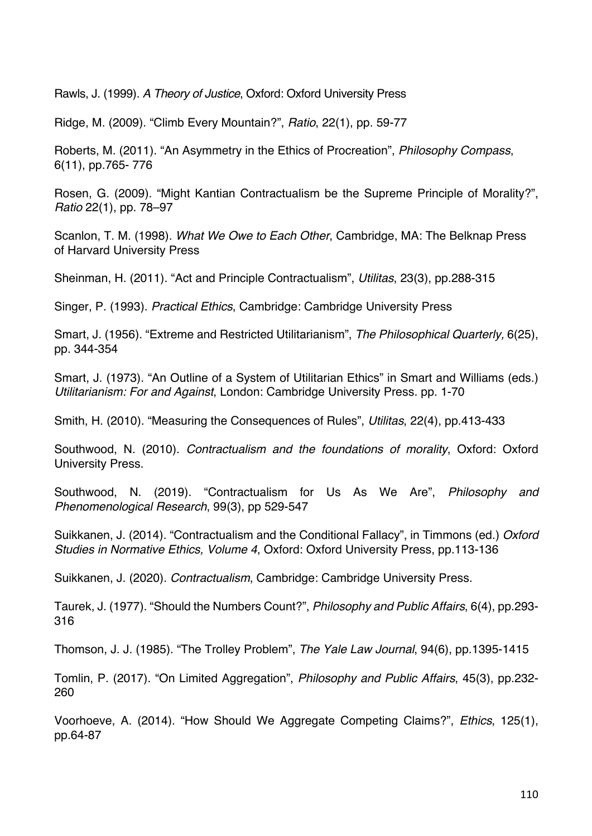Rawls, J. (1999)*. A Theory of Justice*, Oxford: Oxford University Press

Ridge, M. (2009). "Climb Every Mountain?", *Ratio*, 22(1), pp. 59-77

Roberts, M. (2011). "An Asymmetry in the Ethics of Procreation", *Philosophy Compass*, 6(11), pp.765- 776

Rosen, G. (2009). "Might Kantian Contractualism be the Supreme Principle of Morality?", *Ratio* 22(1), pp. 78–97

Scanlon, T. M. (1998). *What We Owe to Each Other*, Cambridge, MA: The Belknap Press of Harvard University Press

Sheinman, H. (2011). "Act and Principle Contractualism", *Utilitas*, 23(3), pp.288-315

Singer, P. (1993). *Practical Ethics*, Cambridge: Cambridge University Press

Smart, J. (1956). "Extreme and Restricted Utilitarianism", *The Philosophical Quarterly,* 6(25), pp. 344-354

Smart, J. (1973). "An Outline of a System of Utilitarian Ethics" in Smart and Williams (eds.) *Utilitarianism: For and Against*, London: Cambridge University Press. pp. 1-70

Smith, H. (2010). "Measuring the Consequences of Rules", *Utilitas*, 22(4), pp.413-433

Southwood, N. (2010). *Contractualism and the foundations of morality*, Oxford: Oxford University Press.

Southwood, N. (2019). "Contractualism for Us As We Are", *Philosophy and Phenomenological Research*, 99(3), pp 529-547

Suikkanen, J. (2014). "Contractualism and the Conditional Fallacy", in Timmons (ed.) *Oxford Studies in Normative Ethics, Volume 4*, Oxford: Oxford University Press, pp.113-136

Suikkanen, J. (2020). *Contractualism*, Cambridge: Cambridge University Press.

Taurek, J. (1977). "Should the Numbers Count?", *Philosophy and Public Affairs*, 6(4), pp.293- 316

Thomson, J. J. (1985). "The Trolley Problem", *The Yale Law Journal*, 94(6), pp.1395-1415

Tomlin, P. (2017). "On Limited Aggregation", *Philosophy and Public Affairs*, 45(3), pp.232- 260

Voorhoeve, A. (2014). "How Should We Aggregate Competing Claims?", *Ethics*, 125(1), pp.64-87